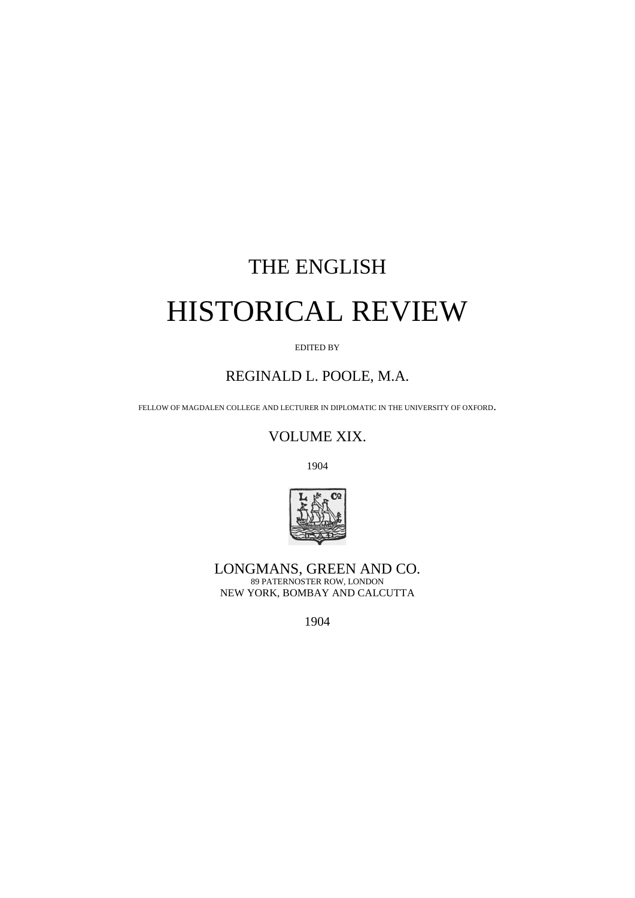# THE ENGLISH

# HISTORICAL REVIEW

EDITED BY

# REGINALD L. POOLE, M.A.

FELLOW OF MAGDALEN COLLEGE AND LECTURER IN DIPLOMATIC IN THE UNIVERSITY OF OXFORD.

# VOLUME XIX.

1904



LONGMANS, GREEN AND CO. 89 PATERNOSTER ROW, LONDON NEW YORK, BOMBAY AND CALCUTTA

1904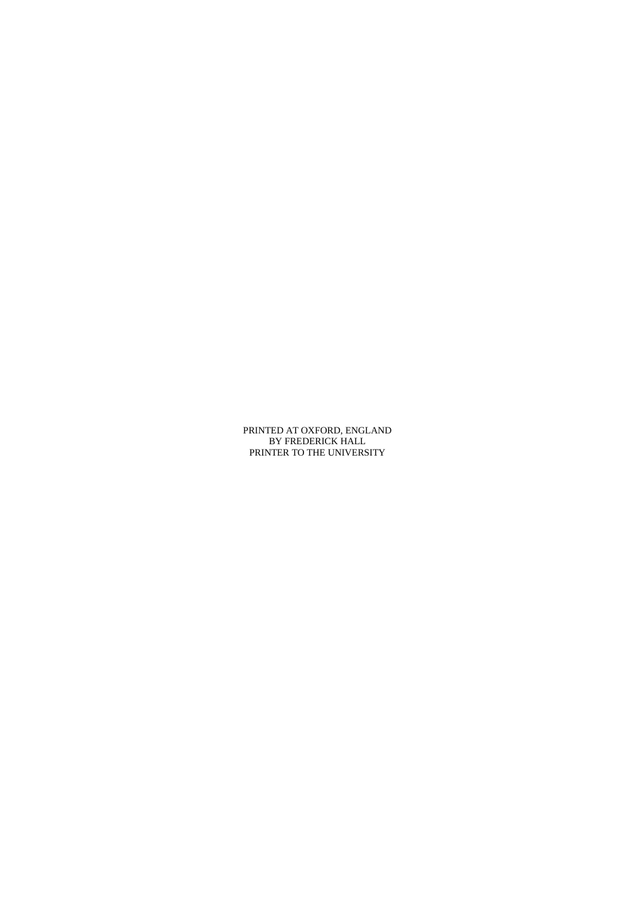PRINTED AT OXFORD, ENGLAND BY FREDERICK HALL PRINTER TO THE UNIVERSITY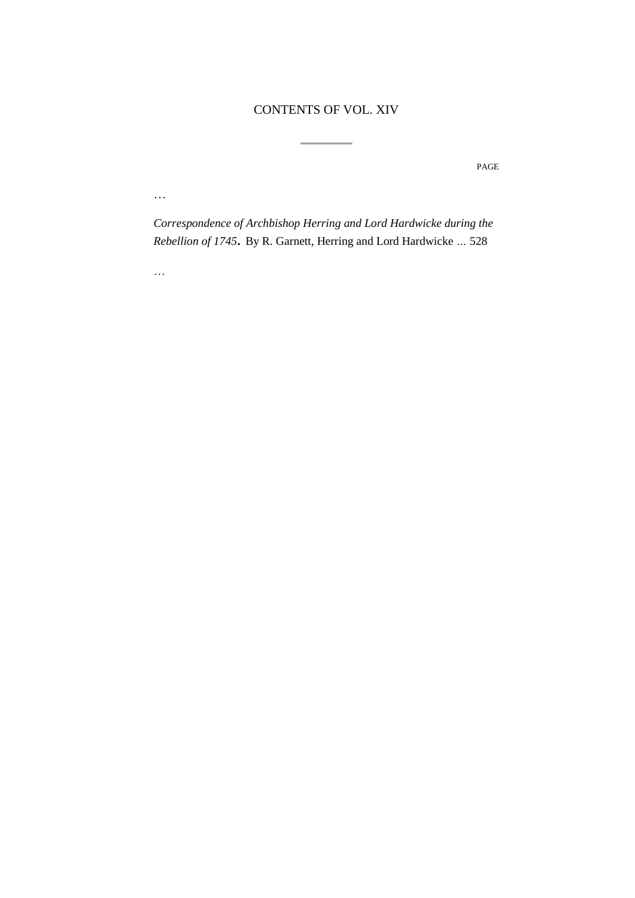# CONTENTS OF VOL. XIV

÷

÷.

PAGE

*Correspondence of Archbishop Herring and Lord Hardwicke during the Rebellion of 1745.* By R. Garnett, Herring and Lord Hardwicke *…* <sup>528</sup>

 $\dots$ 

…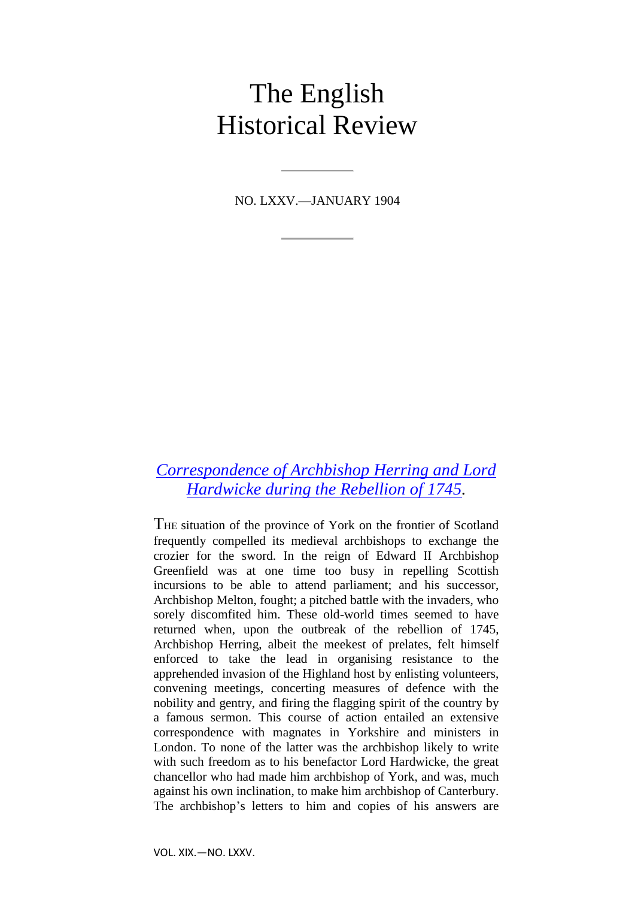# The English Historical Review

NO. LXXV.—JANUARY 1904

# *[Correspondence of Archbishop Herring and Lord](http://books.google.com/books?id=EBspAAAAYAAJ&lpg=PA529&ots=auIj4LFoj0&dq=Eastall%20%22History%20of%20Southwell%22&pg=PA528#v=onepage&q&f=false)  [Hardwicke during the Rebellion of 1745.](http://books.google.com/books?id=EBspAAAAYAAJ&lpg=PA529&ots=auIj4LFoj0&dq=Eastall%20%22History%20of%20Southwell%22&pg=PA528#v=onepage&q&f=false)*

THE situation of the province of York on the frontier of Scotland frequently compelled its medieval archbishops to exchange the crozier for the sword. In the reign of Edward II Archbishop Greenfield was at one time too busy in repelling Scottish incursions to be able to attend parliament; and his successor, Archbishop Melton, fought; a pitched battle with the invaders, who sorely discomfited him. These old-world times seemed to have returned when, upon the outbreak of the rebellion of 1745, Archbishop Herring, albeit the meekest of prelates, felt himself enforced to take the lead in organising resistance to the apprehended invasion of the Highland host by enlisting volunteers, convening meetings, concerting measures of defence with the nobility and gentry, and firing the flagging spirit of the country by a famous sermon. This course of action entailed an extensive correspondence with magnates in Yorkshire and ministers in London. To none of the latter was the archbishop likely to write with such freedom as to his benefactor Lord Hardwicke, the great chancellor who had made him archbishop of York, and was, much against his own inclination, to make him archbishop of Canterbury. The archbishop's letters to him and copies of his answers are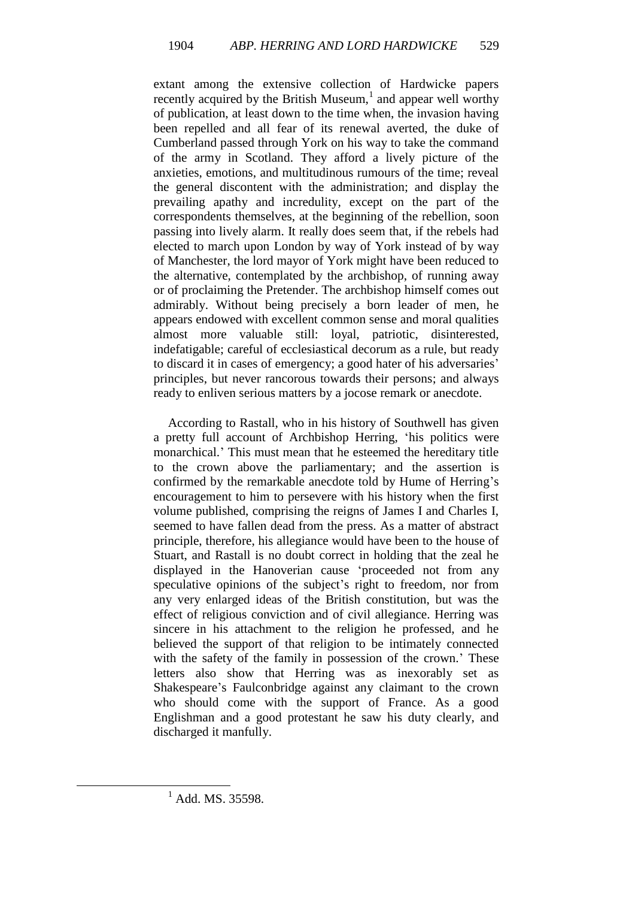extant among the extensive collection of Hardwicke papers recently acquired by the British Museum,<sup>1</sup> and appear well worthy of publication, at least down to the time when, the invasion having been repelled and all fear of its renewal averted, the duke of Cumberland passed through York on his way to take the command of the army in Scotland. They afford a lively picture of the anxieties, emotions, and multitudinous rumours of the time; reveal the general discontent with the administration; and display the prevailing apathy and incredulity, except on the part of the correspondents themselves, at the beginning of the rebellion, soon passing into lively alarm. It really does seem that, if the rebels had elected to march upon London by way of York instead of by way of Manchester, the lord mayor of York might have been reduced to the alternative, contemplated by the archbishop, of running away or of proclaiming the Pretender. The archbishop himself comes out admirably. Without being precisely a born leader of men, he appears endowed with excellent common sense and moral qualities almost more valuable still: loyal, patriotic, disinterested, indefatigable; careful of ecclesiastical decorum as a rule, but ready to discard it in cases of emergency; a good hater of his adversaries' principles, but never rancorous towards their persons; and always ready to enliven serious matters by a jocose remark or anecdote.

According to Rastall, who in his history of Southwell has given a pretty full account of Archbishop Herring, 'his politics were monarchical.' This must mean that he esteemed the hereditary title to the crown above the parliamentary; and the assertion is confirmed by the remarkable anecdote told by Hume of Herring's encouragement to him to persevere with his history when the first volume published, comprising the reigns of James I and Charles I, seemed to have fallen dead from the press. As a matter of abstract principle, therefore, his allegiance would have been to the house of Stuart, and Rastall is no doubt correct in holding that the zeal he displayed in the Hanoverian cause 'proceeded not from any speculative opinions of the subject's right to freedom, nor from any very enlarged ideas of the British constitution, but was the effect of religious conviction and of civil allegiance. Herring was sincere in his attachment to the religion he professed, and he believed the support of that religion to be intimately connected with the safety of the family in possession of the crown.' These letters also show that Herring was as inexorably set as Shakespeare's Faulconbridge against any claimant to the crown who should come with the support of France. As a good Englishman and a good protestant he saw his duty clearly, and discharged it manfully.

1

<sup>&</sup>lt;sup>1</sup> Add. MS. 35598.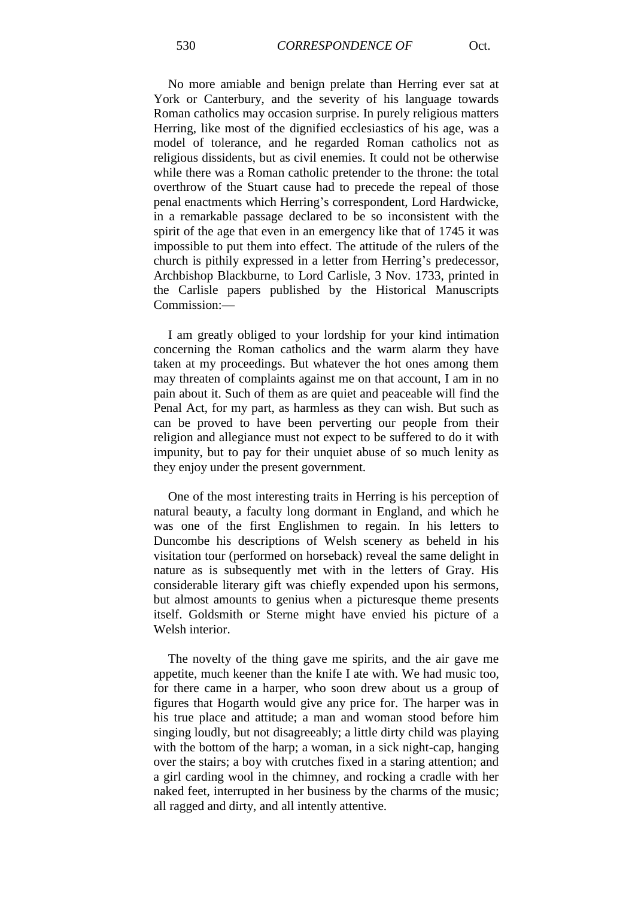## 530 *CORRESPONDENCE OF* Oct.

No more amiable and benign prelate than Herring ever sat at York or Canterbury, and the severity of his language towards Roman catholics may occasion surprise. In purely religious matters Herring, like most of the dignified ecclesiastics of his age, was a model of tolerance, and he regarded Roman catholics not as religious dissidents, but as civil enemies. It could not be otherwise while there was a Roman catholic pretender to the throne: the total overthrow of the Stuart cause had to precede the repeal of those penal enactments which Herring's correspondent, Lord Hardwicke, in a remarkable passage declared to be so inconsistent with the spirit of the age that even in an emergency like that of 1745 it was impossible to put them into effect. The attitude of the rulers of the church is pithily expressed in a letter from Herring's predecessor, Archbishop Blackburne, to Lord Carlisle, 3 Nov. 1733, printed in the Carlisle papers published by the Historical Manuscripts Commission:—

I am greatly obliged to your lordship for your kind intimation concerning the Roman catholics and the warm alarm they have taken at my proceedings. But whatever the hot ones among them may threaten of complaints against me on that account, I am in no pain about it. Such of them as are quiet and peaceable will find the Penal Act, for my part, as harmless as they can wish. But such as can be proved to have been perverting our people from their religion and allegiance must not expect to be suffered to do it with impunity, but to pay for their unquiet abuse of so much lenity as they enjoy under the present government.

One of the most interesting traits in Herring is his perception of natural beauty, a faculty long dormant in England, and which he was one of the first Englishmen to regain. In his letters to Duncombe his descriptions of Welsh scenery as beheld in his visitation tour (performed on horseback) reveal the same delight in nature as is subsequently met with in the letters of Gray. His considerable literary gift was chiefly expended upon his sermons, but almost amounts to genius when a picturesque theme presents itself. Goldsmith or Sterne might have envied his picture of a Welsh interior.

The novelty of the thing gave me spirits, and the air gave me appetite, much keener than the knife I ate with. We had music too, for there came in a harper, who soon drew about us a group of figures that Hogarth would give any price for. The harper was in his true place and attitude; a man and woman stood before him singing loudly, but not disagreeably; a little dirty child was playing with the bottom of the harp; a woman, in a sick night-cap, hanging over the stairs; a boy with crutches fixed in a staring attention; and a girl carding wool in the chimney, and rocking a cradle with her naked feet, interrupted in her business by the charms of the music; all ragged and dirty, and all intently attentive.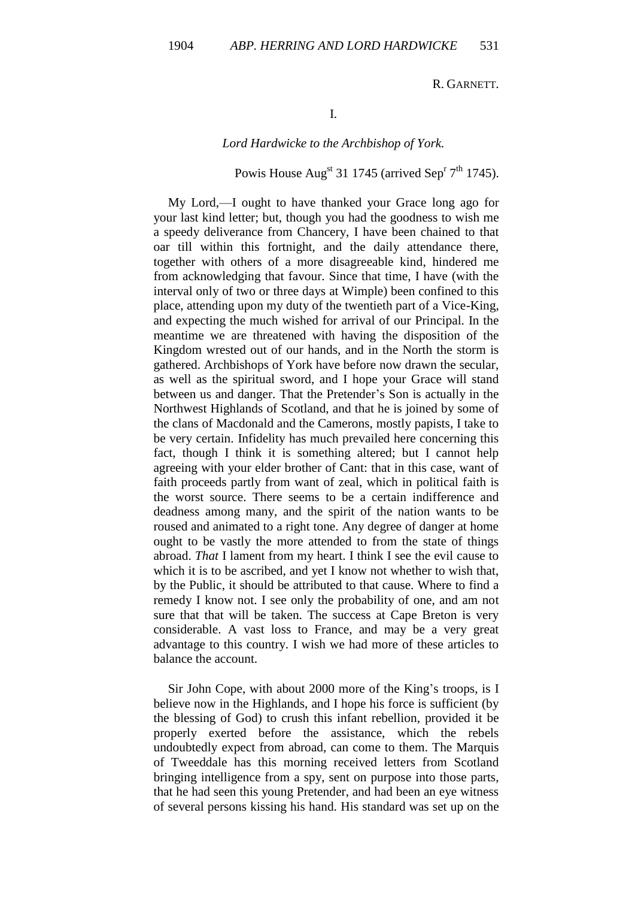R. GARNETT.

## I.

*Lord Hardwicke to the Archbishop of York.*

# Powis House Aug<sup>st</sup> 31 1745 (arrived Sep<sup>r  $7<sup>th</sup>$  1745).</sup>

My Lord,—I ought to have thanked your Grace long ago for your last kind letter; but, though you had the goodness to wish me a speedy deliverance from Chancery, I have been chained to that oar till within this fortnight, and the daily attendance there, together with others of a more disagreeable kind, hindered me from acknowledging that favour. Since that time, I have (with the interval only of two or three days at Wimple) been confined to this place, attending upon my duty of the twentieth part of a Vice-King, and expecting the much wished for arrival of our Principal. In the meantime we are threatened with having the disposition of the Kingdom wrested out of our hands, and in the North the storm is gathered. Archbishops of York have before now drawn the secular, as well as the spiritual sword, and I hope your Grace will stand between us and danger. That the Pretender's Son is actually in the Northwest Highlands of Scotland, and that he is joined by some of the clans of Macdonald and the Camerons, mostly papists, I take to be very certain. Infidelity has much prevailed here concerning this fact, though I think it is something altered; but I cannot help agreeing with your elder brother of Cant: that in this case, want of faith proceeds partly from want of zeal, which in political faith is the worst source. There seems to be a certain indifference and deadness among many, and the spirit of the nation wants to be roused and animated to a right tone. Any degree of danger at home ought to be vastly the more attended to from the state of things abroad. *That* I lament from my heart. I think I see the evil cause to which it is to be ascribed, and yet I know not whether to wish that, by the Public, it should be attributed to that cause. Where to find a remedy I know not. I see only the probability of one, and am not sure that that will be taken. The success at Cape Breton is very considerable. A vast loss to France, and may be a very great advantage to this country. I wish we had more of these articles to balance the account.

Sir John Cope, with about 2000 more of the King's troops, is I believe now in the Highlands, and I hope his force is sufficient (by the blessing of God) to crush this infant rebellion, provided it be properly exerted before the assistance, which the rebels undoubtedly expect from abroad, can come to them. The Marquis of Tweeddale has this morning received letters from Scotland bringing intelligence from a spy, sent on purpose into those parts, that he had seen this young Pretender, and had been an eye witness of several persons kissing his hand. His standard was set up on the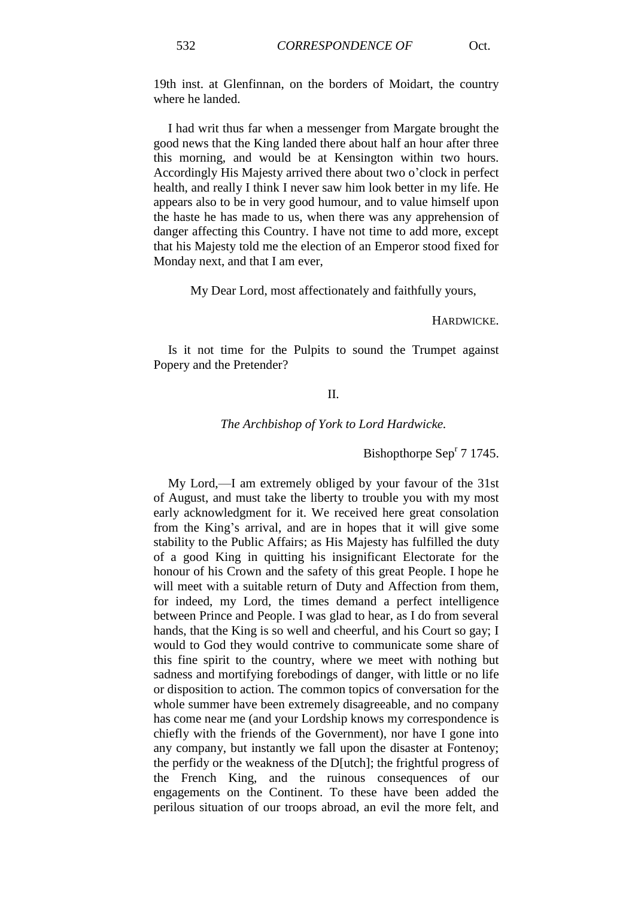19th inst. at Glenfinnan, on the borders of Moidart, the country where he landed.

I had writ thus far when a messenger from Margate brought the good news that the King landed there about half an hour after three this morning, and would be at Kensington within two hours. Accordingly His Majesty arrived there about two o'clock in perfect health, and really I think I never saw him look better in my life. He appears also to be in very good humour, and to value himself upon the haste he has made to us, when there was any apprehension of danger affecting this Country. I have not time to add more, except that his Majesty told me the election of an Emperor stood fixed for Monday next, and that I am ever,

My Dear Lord, most affectionately and faithfully yours,

HARDWICKE.

Is it not time for the Pulpits to sound the Trumpet against Popery and the Pretender?

# II.

#### *The Archbishop of York to Lord Hardwicke.*

Bishopthorpe Sep<sup>r</sup> 7 1745.

My Lord,—I am extremely obliged by your favour of the 31st of August, and must take the liberty to trouble you with my most early acknowledgment for it. We received here great consolation from the King's arrival, and are in hopes that it will give some stability to the Public Affairs; as His Majesty has fulfilled the duty of a good King in quitting his insignificant Electorate for the honour of his Crown and the safety of this great People. I hope he will meet with a suitable return of Duty and Affection from them, for indeed, my Lord, the times demand a perfect intelligence between Prince and People. I was glad to hear, as I do from several hands, that the King is so well and cheerful, and his Court so gay; I would to God they would contrive to communicate some share of this fine spirit to the country, where we meet with nothing but sadness and mortifying forebodings of danger, with little or no life or disposition to action. The common topics of conversation for the whole summer have been extremely disagreeable, and no company has come near me (and your Lordship knows my correspondence is chiefly with the friends of the Government), nor have I gone into any company, but instantly we fall upon the disaster at Fontenoy; the perfidy or the weakness of the D[utch]; the frightful progress of the French King, and the ruinous consequences of our engagements on the Continent. To these have been added the perilous situation of our troops abroad, an evil the more felt, and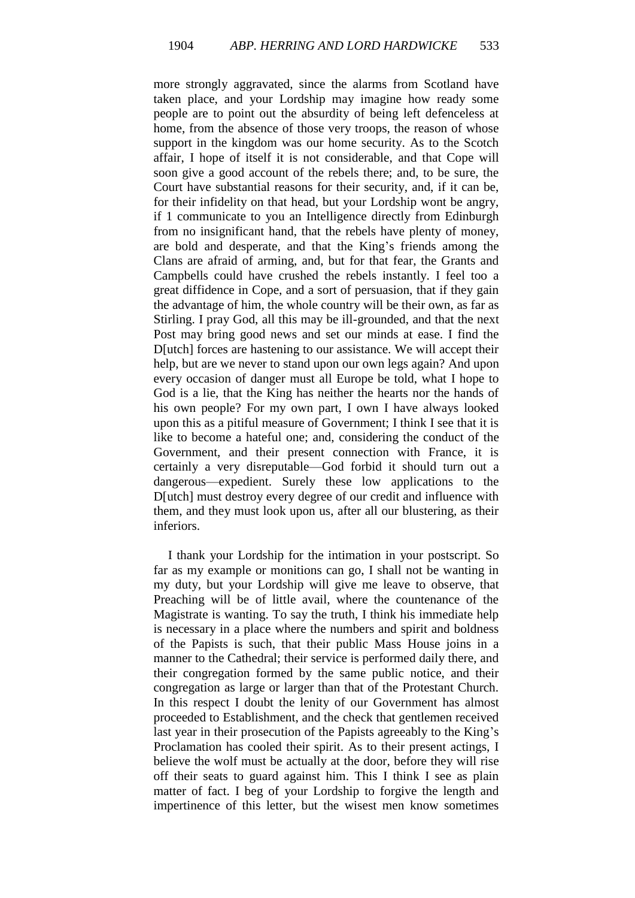more strongly aggravated, since the alarms from Scotland have taken place, and your Lordship may imagine how ready some people are to point out the absurdity of being left defenceless at home, from the absence of those very troops, the reason of whose support in the kingdom was our home security. As to the Scotch affair, I hope of itself it is not considerable, and that Cope will soon give a good account of the rebels there; and, to be sure, the Court have substantial reasons for their security, and, if it can be, for their infidelity on that head, but your Lordship wont be angry, if 1 communicate to you an Intelligence directly from Edinburgh from no insignificant hand, that the rebels have plenty of money, are bold and desperate, and that the King's friends among the Clans are afraid of arming, and, but for that fear, the Grants and Campbells could have crushed the rebels instantly. I feel too a great diffidence in Cope, and a sort of persuasion, that if they gain the advantage of him, the whole country will be their own, as far as Stirling. I pray God, all this may be ill-grounded, and that the next Post may bring good news and set our minds at ease. I find the D[utch] forces are hastening to our assistance. We will accept their help, but are we never to stand upon our own legs again? And upon every occasion of danger must all Europe be told, what I hope to God is a lie, that the King has neither the hearts nor the hands of his own people? For my own part, I own I have always looked upon this as a pitiful measure of Government; I think I see that it is like to become a hateful one; and, considering the conduct of the Government, and their present connection with France, it is certainly a very disreputable—God forbid it should turn out a dangerous—expedient. Surely these low applications to the D[utch] must destroy every degree of our credit and influence with them, and they must look upon us, after all our blustering, as their inferiors.

I thank your Lordship for the intimation in your postscript. So far as my example or monitions can go, I shall not be wanting in my duty, but your Lordship will give me leave to observe, that Preaching will be of little avail, where the countenance of the Magistrate is wanting. To say the truth, I think his immediate help is necessary in a place where the numbers and spirit and boldness of the Papists is such, that their public Mass House joins in a manner to the Cathedral; their service is performed daily there, and their congregation formed by the same public notice, and their congregation as large or larger than that of the Protestant Church. In this respect I doubt the lenity of our Government has almost proceeded to Establishment, and the check that gentlemen received last year in their prosecution of the Papists agreeably to the King's Proclamation has cooled their spirit. As to their present actings, I believe the wolf must be actually at the door, before they will rise off their seats to guard against him. This I think I see as plain matter of fact. I beg of your Lordship to forgive the length and impertinence of this letter, but the wisest men know sometimes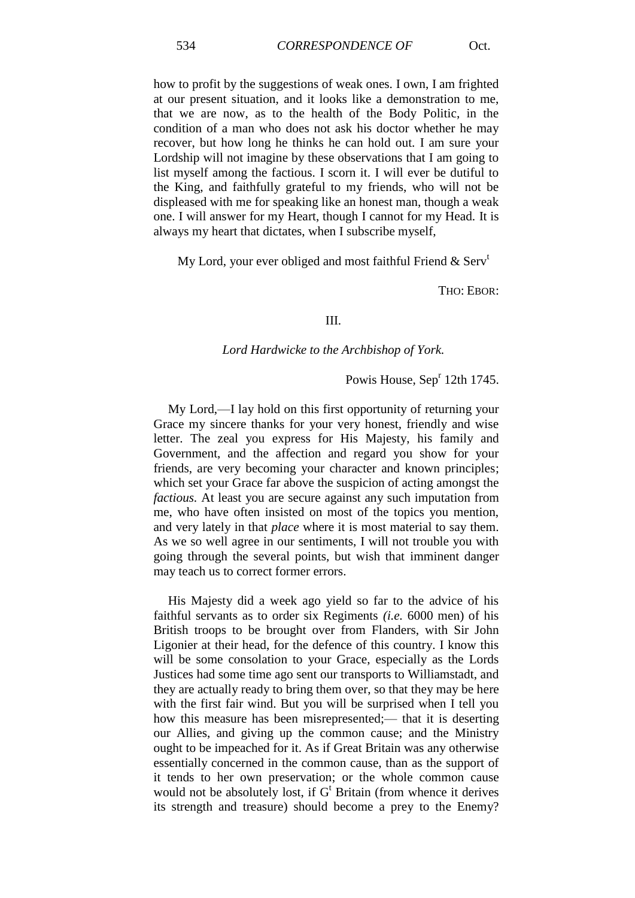how to profit by the suggestions of weak ones. I own, I am frighted at our present situation, and it looks like a demonstration to me, that we are now, as to the health of the Body Politic, in the condition of a man who does not ask his doctor whether he may recover, but how long he thinks he can hold out. I am sure your Lordship will not imagine by these observations that I am going to list myself among the factious. I scorn it. I will ever be dutiful to the King, and faithfully grateful to my friends, who will not be displeased with me for speaking like an honest man, though a weak one. I will answer for my Heart, though I cannot for my Head. It is always my heart that dictates, when I subscribe myself,

My Lord, your ever obliged and most faithful Friend  $\&$  Serv<sup>t</sup>

THO: EBOR:

# III.

#### *Lord Hardwicke to the Archbishop of York.*

# Powis House, Sep<sup>r</sup> 12th 1745.

My Lord,—I lay hold on this first opportunity of returning your Grace my sincere thanks for your very honest, friendly and wise letter. The zeal you express for His Majesty, his family and Government, and the affection and regard you show for your friends, are very becoming your character and known principles; which set your Grace far above the suspicion of acting amongst the *factious.* At least you are secure against any such imputation from me, who have often insisted on most of the topics you mention, and very lately in that *place* where it is most material to say them. As we so well agree in our sentiments, I will not trouble you with going through the several points, but wish that imminent danger may teach us to correct former errors.

His Majesty did a week ago yield so far to the advice of his faithful servants as to order six Regiments *(i.e.* 6000 men) of his British troops to be brought over from Flanders, with Sir John Ligonier at their head, for the defence of this country. I know this will be some consolation to your Grace, especially as the Lords Justices had some time ago sent our transports to Williamstadt, and they are actually ready to bring them over, so that they may be here with the first fair wind. But you will be surprised when I tell you how this measure has been misrepresented;— that it is deserting our Allies, and giving up the common cause; and the Ministry ought to be impeached for it. As if Great Britain was any otherwise essentially concerned in the common cause, than as the support of it tends to her own preservation; or the whole common cause would not be absolutely lost, if  $G<sup>t</sup>$  Britain (from whence it derives its strength and treasure) should become a prey to the Enemy?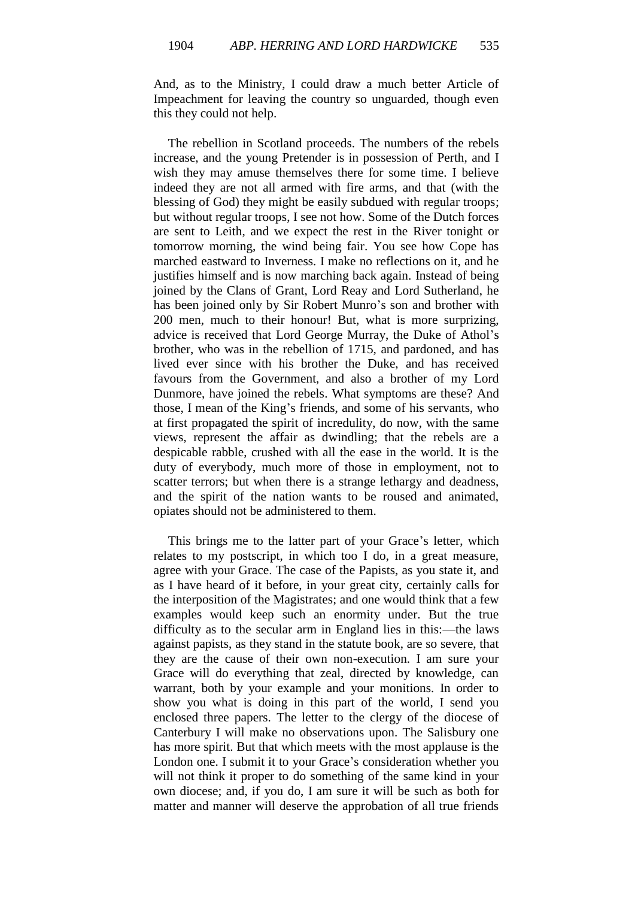And, as to the Ministry, I could draw a much better Article of Impeachment for leaving the country so unguarded, though even this they could not help.

The rebellion in Scotland proceeds. The numbers of the rebels increase, and the young Pretender is in possession of Perth, and I wish they may amuse themselves there for some time. I believe indeed they are not all armed with fire arms, and that (with the blessing of God) they might be easily subdued with regular troops; but without regular troops, I see not how. Some of the Dutch forces are sent to Leith, and we expect the rest in the River tonight or tomorrow morning, the wind being fair. You see how Cope has marched eastward to Inverness. I make no reflections on it, and he justifies himself and is now marching back again. Instead of being joined by the Clans of Grant, Lord Reay and Lord Sutherland, he has been joined only by Sir Robert Munro's son and brother with 200 men, much to their honour! But, what is more surprizing, advice is received that Lord George Murray, the Duke of Athol's brother, who was in the rebellion of 1715, and pardoned, and has lived ever since with his brother the Duke, and has received favours from the Government, and also a brother of my Lord Dunmore, have joined the rebels. What symptoms are these? And those, I mean of the King's friends, and some of his servants, who at first propagated the spirit of incredulity, do now, with the same views, represent the affair as dwindling; that the rebels are a despicable rabble, crushed with all the ease in the world. It is the duty of everybody, much more of those in employment, not to scatter terrors; but when there is a strange lethargy and deadness, and the spirit of the nation wants to be roused and animated, opiates should not be administered to them.

This brings me to the latter part of your Grace's letter, which relates to my postscript, in which too I do, in a great measure, agree with your Grace. The case of the Papists, as you state it, and as I have heard of it before, in your great city, certainly calls for the interposition of the Magistrates; and one would think that a few examples would keep such an enormity under. But the true difficulty as to the secular arm in England lies in this:—the laws against papists, as they stand in the statute book, are so severe, that they are the cause of their own non-execution. I am sure your Grace will do everything that zeal, directed by knowledge, can warrant, both by your example and your monitions. In order to show you what is doing in this part of the world, I send you enclosed three papers. The letter to the clergy of the diocese of Canterbury I will make no observations upon. The Salisbury one has more spirit. But that which meets with the most applause is the London one. I submit it to your Grace's consideration whether you will not think it proper to do something of the same kind in your own diocese; and, if you do, I am sure it will be such as both for matter and manner will deserve the approbation of all true friends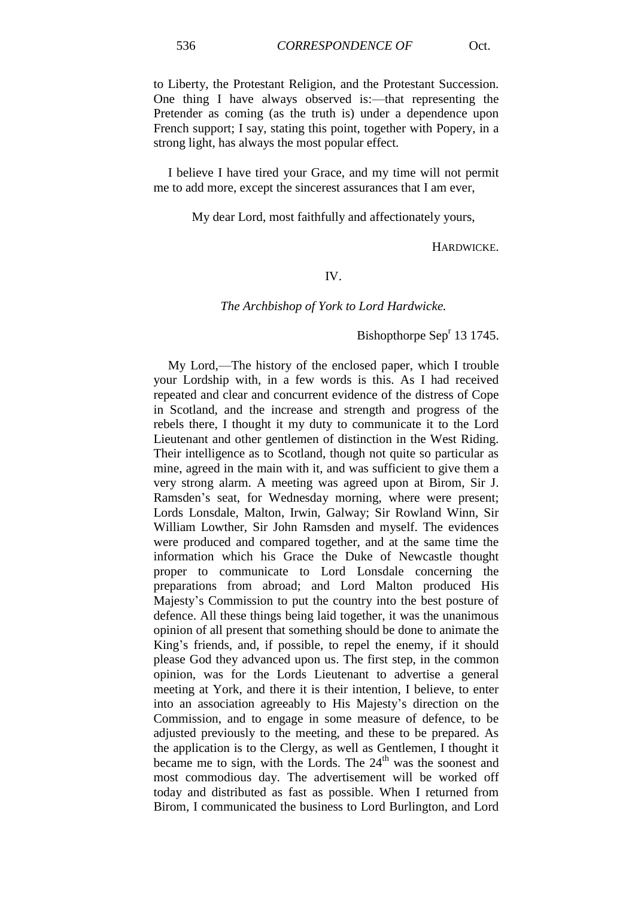to Liberty, the Protestant Religion, and the Protestant Succession. One thing I have always observed is:—that representing the Pretender as coming (as the truth is) under a dependence upon French support; I say, stating this point, together with Popery, in a strong light, has always the most popular effect.

I believe I have tired your Grace, and my time will not permit me to add more, except the sincerest assurances that I am ever,

My dear Lord, most faithfully and affectionately yours,

HARDWICKE.

### IV.

#### *The Archbishop of York to Lord Hardwicke.*

# Bishopthorpe Sep<sup>r</sup> 13 1745.

My Lord,—The history of the enclosed paper, which I trouble your Lordship with, in a few words is this. As I had received repeated and clear and concurrent evidence of the distress of Cope in Scotland, and the increase and strength and progress of the rebels there, I thought it my duty to communicate it to the Lord Lieutenant and other gentlemen of distinction in the West Riding. Their intelligence as to Scotland, though not quite so particular as mine, agreed in the main with it, and was sufficient to give them a very strong alarm. A meeting was agreed upon at Birom, Sir J. Ramsden's seat, for Wednesday morning, where were present; Lords Lonsdale, Malton, Irwin, Galway; Sir Rowland Winn, Sir William Lowther, Sir John Ramsden and myself. The evidences were produced and compared together, and at the same time the information which his Grace the Duke of Newcastle thought proper to communicate to Lord Lonsdale concerning the preparations from abroad; and Lord Malton produced His Majesty's Commission to put the country into the best posture of defence. All these things being laid together, it was the unanimous opinion of all present that something should be done to animate the King's friends, and, if possible, to repel the enemy, if it should please God they advanced upon us. The first step, in the common opinion, was for the Lords Lieutenant to advertise a general meeting at York, and there it is their intention, I believe, to enter into an association agreeably to His Majesty's direction on the Commission, and to engage in some measure of defence, to be adjusted previously to the meeting, and these to be prepared. As the application is to the Clergy, as well as Gentlemen, I thought it became me to sign, with the Lords. The 24<sup>th</sup> was the soonest and most commodious day. The advertisement will be worked off today and distributed as fast as possible. When I returned from Birom, I communicated the business to Lord Burlington, and Lord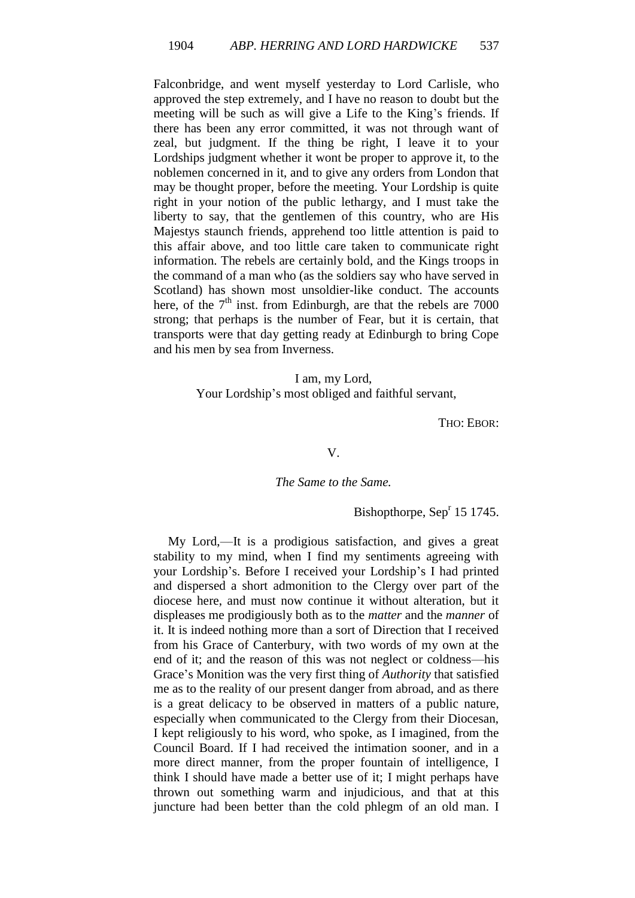Falconbridge, and went myself yesterday to Lord Carlisle, who approved the step extremely, and I have no reason to doubt but the meeting will be such as will give a Life to the King's friends. If there has been any error committed, it was not through want of zeal, but judgment. If the thing be right, I leave it to your Lordships judgment whether it wont be proper to approve it, to the noblemen concerned in it, and to give any orders from London that may be thought proper, before the meeting. Your Lordship is quite right in your notion of the public lethargy, and I must take the liberty to say, that the gentlemen of this country, who are His Majestys staunch friends, apprehend too little attention is paid to this affair above, and too little care taken to communicate right information. The rebels are certainly bold, and the Kings troops in the command of a man who (as the soldiers say who have served in Scotland) has shown most unsoldier-like conduct. The accounts here, of the  $7<sup>th</sup>$  inst. from Edinburgh, are that the rebels are 7000 strong; that perhaps is the number of Fear, but it is certain, that transports were that day getting ready at Edinburgh to bring Cope and his men by sea from Inverness.

> I am, my Lord, Your Lordship's most obliged and faithful servant,

> > THO: EBOR:

# V.

#### *The Same to the Same.*

# Bishopthorpe, Sep<sup>r</sup> 15 1745.

My Lord,—It is a prodigious satisfaction, and gives a great stability to my mind, when I find my sentiments agreeing with your Lordship's. Before I received your Lordship's I had printed and dispersed a short admonition to the Clergy over part of the diocese here, and must now continue it without alteration, but it displeases me prodigiously both as to the *matter* and the *manner* of it. It is indeed nothing more than a sort of Direction that I received from his Grace of Canterbury, with two words of my own at the end of it; and the reason of this was not neglect or coldness—his Grace's Monition was the very first thing of *Authority* that satisfied me as to the reality of our present danger from abroad, and as there is a great delicacy to be observed in matters of a public nature, especially when communicated to the Clergy from their Diocesan, I kept religiously to his word, who spoke, as I imagined, from the Council Board. If I had received the intimation sooner, and in a more direct manner, from the proper fountain of intelligence, I think I should have made a better use of it; I might perhaps have thrown out something warm and injudicious, and that at this juncture had been better than the cold phlegm of an old man. I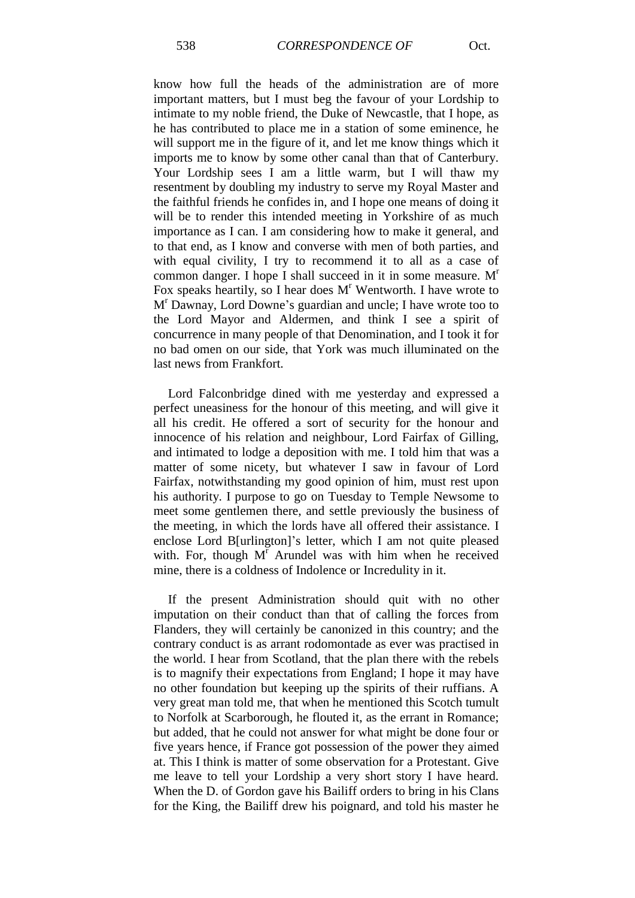know how full the heads of the administration are of more important matters, but I must beg the favour of your Lordship to intimate to my noble friend, the Duke of Newcastle, that I hope, as he has contributed to place me in a station of some eminence, he will support me in the figure of it, and let me know things which it imports me to know by some other canal than that of Canterbury. Your Lordship sees I am a little warm, but I will thaw my resentment by doubling my industry to serve my Royal Master and the faithful friends he confides in, and I hope one means of doing it will be to render this intended meeting in Yorkshire of as much importance as I can. I am considering how to make it general, and to that end, as I know and converse with men of both parties, and with equal civility, I try to recommend it to all as a case of common danger. I hope I shall succeed in it in some measure. M<sup>t</sup> Fox speaks heartily, so I hear does  $M<sup>r</sup>$  Wentworth. I have wrote to M <sup>r</sup> Dawnay, Lord Downe's guardian and uncle; I have wrote too to the Lord Mayor and Aldermen, and think I see a spirit of concurrence in many people of that Denomination, and I took it for no bad omen on our side, that York was much illuminated on the last news from Frankfort.

Lord Falconbridge dined with me yesterday and expressed a perfect uneasiness for the honour of this meeting, and will give it all his credit. He offered a sort of security for the honour and innocence of his relation and neighbour, Lord Fairfax of Gilling, and intimated to lodge a deposition with me. I told him that was a matter of some nicety, but whatever I saw in favour of Lord Fairfax, notwithstanding my good opinion of him, must rest upon his authority. I purpose to go on Tuesday to Temple Newsome to meet some gentlemen there, and settle previously the business of the meeting, in which the lords have all offered their assistance. I enclose Lord B[urlington]'s letter, which I am not quite pleased with. For, though  $M<sup>r</sup>$  Arundel was with him when he received mine, there is a coldness of Indolence or Incredulity in it.

If the present Administration should quit with no other imputation on their conduct than that of calling the forces from Flanders, they will certainly be canonized in this country; and the contrary conduct is as arrant rodomontade as ever was practised in the world. I hear from Scotland, that the plan there with the rebels is to magnify their expectations from England; I hope it may have no other foundation but keeping up the spirits of their ruffians. A very great man told me, that when he mentioned this Scotch tumult to Norfolk at Scarborough, he flouted it, as the errant in Romance; but added, that he could not answer for what might be done four or five years hence, if France got possession of the power they aimed at. This I think is matter of some observation for a Protestant. Give me leave to tell your Lordship a very short story I have heard. When the D. of Gordon gave his Bailiff orders to bring in his Clans for the King, the Bailiff drew his poignard, and told his master he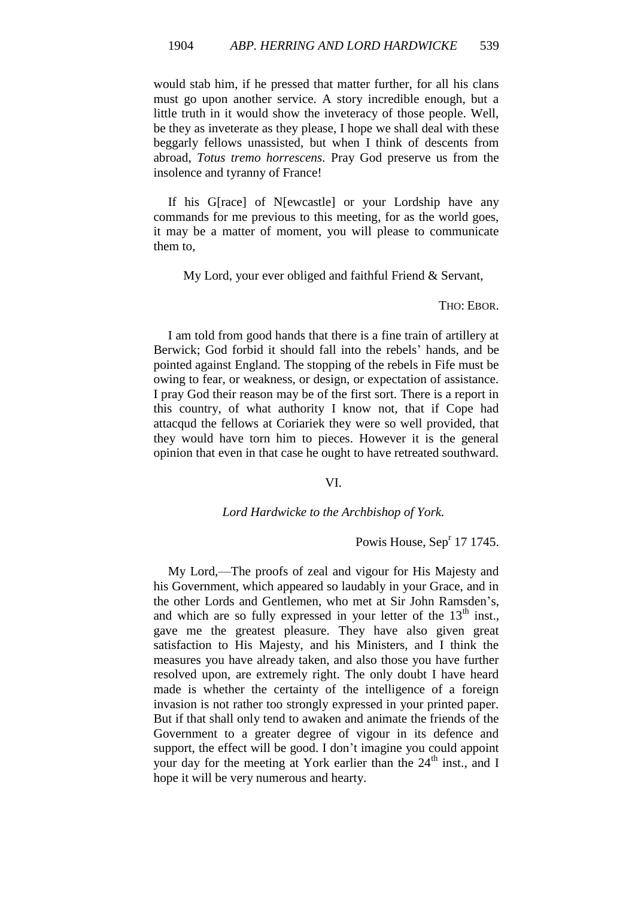would stab him, if he pressed that matter further, for all his clans must go upon another service. A story incredible enough, but a little truth in it would show the inveteracy of those people. Well, be they as inveterate as they please, I hope we shall deal with these beggarly fellows unassisted, but when I think of descents from abroad, *Totus tremo horrescens.* Pray God preserve us from the insolence and tyranny of France!

If his G[race] of N[ewcastle] or your Lordship have any commands for me previous to this meeting, for as the world goes, it may be a matter of moment, you will please to communicate them to,

My Lord, your ever obliged and faithful Friend & Servant,

THO: EBOR.

I am told from good hands that there is a fine train of artillery at Berwick; God forbid it should fall into the rebels' hands, and be pointed against England. The stopping of the rebels in Fife must be owing to fear, or weakness, or design, or expectation of assistance. I pray God their reason may be of the first sort. There is a report in this country, of what authority I know not, that if Cope had attacqud the fellows at Coriariek they were so well provided, that they would have torn him to pieces. However it is the general opinion that even in that case he ought to have retreated southward.

## VI.

#### *Lord Hardwicke to the Archbishop of York.*

# Powis House, Sep<sup>r</sup> 17 1745.

My Lord,—The proofs of zeal and vigour for His Majesty and his Government, which appeared so laudably in your Grace, and in the other Lords and Gentlemen, who met at Sir John Ramsden's, and which are so fully expressed in your letter of the  $13<sup>th</sup>$  inst., gave me the greatest pleasure. They have also given great satisfaction to His Majesty, and his Ministers, and I think the measures you have already taken, and also those you have further resolved upon, are extremely right. The only doubt I have heard made is whether the certainty of the intelligence of a foreign invasion is not rather too strongly expressed in your printed paper. But if that shall only tend to awaken and animate the friends of the Government to a greater degree of vigour in its defence and support, the effect will be good. I don't imagine you could appoint your day for the meeting at York earlier than the 24<sup>th</sup> inst., and I hope it will be very numerous and hearty.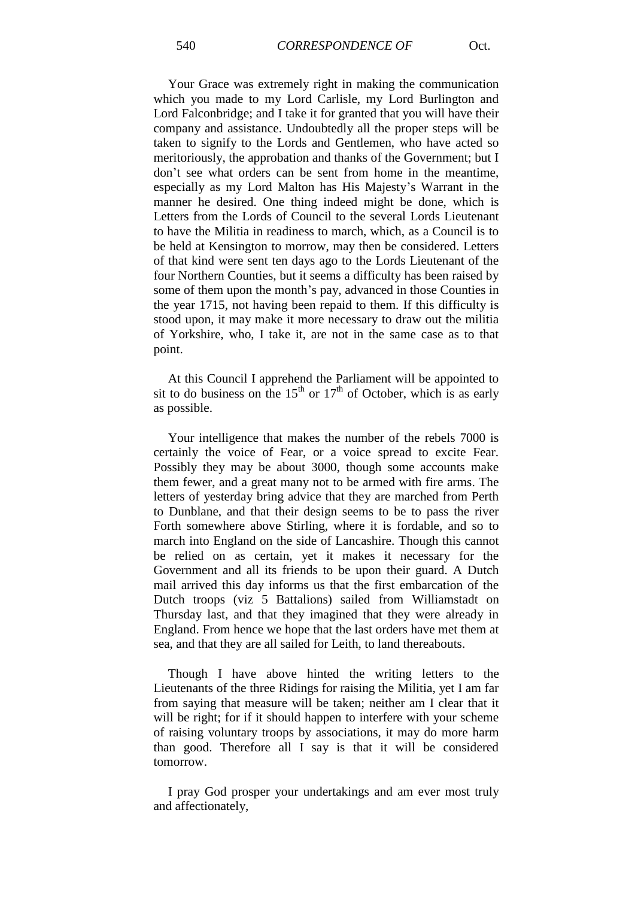Your Grace was extremely right in making the communication which you made to my Lord Carlisle, my Lord Burlington and Lord Falconbridge; and I take it for granted that you will have their company and assistance. Undoubtedly all the proper steps will be taken to signify to the Lords and Gentlemen, who have acted so meritoriously, the approbation and thanks of the Government; but I don't see what orders can be sent from home in the meantime, especially as my Lord Malton has His Majesty's Warrant in the manner he desired. One thing indeed might be done, which is Letters from the Lords of Council to the several Lords Lieutenant to have the Militia in readiness to march, which, as a Council is to be held at Kensington to morrow, may then be considered. Letters of that kind were sent ten days ago to the Lords Lieutenant of the four Northern Counties, but it seems a difficulty has been raised by some of them upon the month's pay, advanced in those Counties in the year 1715, not having been repaid to them. If this difficulty is stood upon, it may make it more necessary to draw out the militia of Yorkshire, who, I take it, are not in the same case as to that point.

At this Council I apprehend the Parliament will be appointed to sit to do business on the  $15<sup>th</sup>$  or  $17<sup>th</sup>$  of October, which is as early as possible.

Your intelligence that makes the number of the rebels 7000 is certainly the voice of Fear, or a voice spread to excite Fear. Possibly they may be about 3000, though some accounts make them fewer, and a great many not to be armed with fire arms. The letters of yesterday bring advice that they are marched from Perth to Dunblane, and that their design seems to be to pass the river Forth somewhere above Stirling, where it is fordable, and so to march into England on the side of Lancashire. Though this cannot be relied on as certain, yet it makes it necessary for the Government and all its friends to be upon their guard. A Dutch mail arrived this day informs us that the first embarcation of the Dutch troops (viz 5 Battalions) sailed from Williamstadt on Thursday last, and that they imagined that they were already in England. From hence we hope that the last orders have met them at sea, and that they are all sailed for Leith, to land thereabouts.

Though I have above hinted the writing letters to the Lieutenants of the three Ridings for raising the Militia, yet I am far from saying that measure will be taken; neither am I clear that it will be right; for if it should happen to interfere with your scheme of raising voluntary troops by associations, it may do more harm than good. Therefore all I say is that it will be considered tomorrow.

I pray God prosper your undertakings and am ever most truly and affectionately,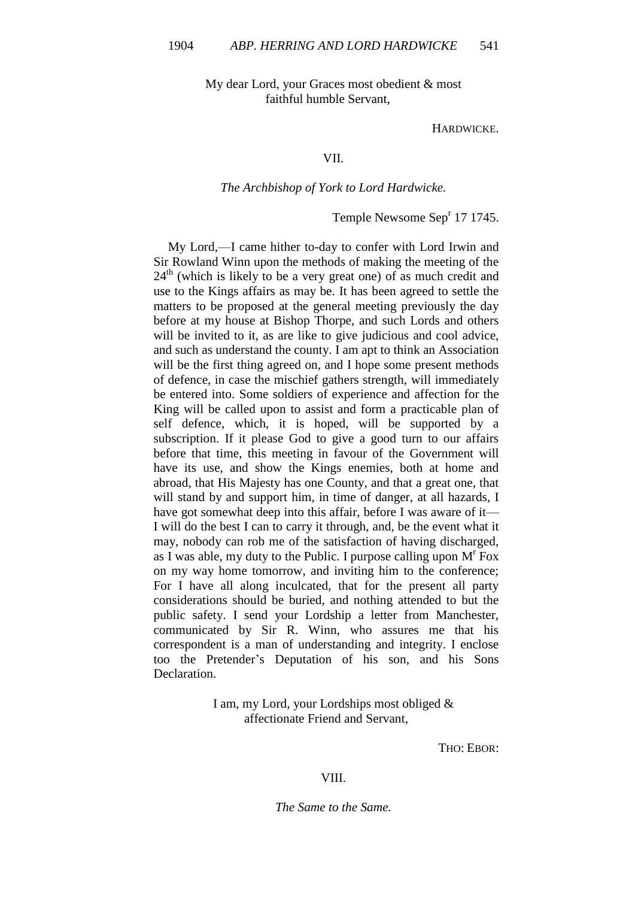My dear Lord, your Graces most obedient & most faithful humble Servant,

HARDWICKE.

## VII.

#### *The Archbishop of York to Lord Hardwicke.*

# Temple Newsome Sep<sup>r</sup> 17 1745.

My Lord,—I came hither to-day to confer with Lord Irwin and Sir Rowland Winn upon the methods of making the meeting of the  $24<sup>th</sup>$  (which is likely to be a very great one) of as much credit and use to the Kings affairs as may be. It has been agreed to settle the matters to be proposed at the general meeting previously the day before at my house at Bishop Thorpe, and such Lords and others will be invited to it, as are like to give judicious and cool advice, and such as understand the county. I am apt to think an Association will be the first thing agreed on, and I hope some present methods of defence, in case the mischief gathers strength, will immediately be entered into. Some soldiers of experience and affection for the King will be called upon to assist and form a practicable plan of self defence, which, it is hoped, will be supported by a subscription. If it please God to give a good turn to our affairs before that time, this meeting in favour of the Government will have its use, and show the Kings enemies, both at home and abroad, that His Majesty has one County, and that a great one, that will stand by and support him, in time of danger, at all hazards, I have got somewhat deep into this affair, before I was aware of it— I will do the best I can to carry it through, and, be the event what it may, nobody can rob me of the satisfaction of having discharged, as I was able, my duty to the Public. I purpose calling upon  $M<sup>r</sup>$  Fox on my way home tomorrow, and inviting him to the conference; For I have all along inculcated, that for the present all party considerations should be buried, and nothing attended to but the public safety. I send your Lordship a letter from Manchester, communicated by Sir R. Winn, who assures me that his correspondent is a man of understanding and integrity. I enclose too the Pretender's Deputation of his son, and his Sons Declaration.

# I am, my Lord, your Lordships most obliged & affectionate Friend and Servant,

THO: EBOR:

## VIII.

*The Same to the Same.*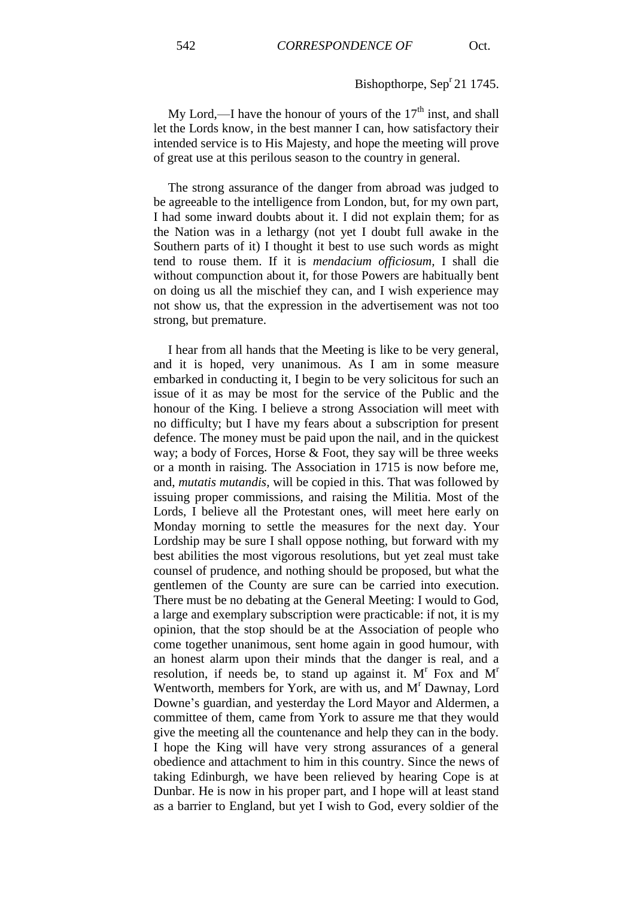### Bishopthorpe,  $Sep<sup>r</sup>21$  1745.

My Lord,—I have the honour of yours of the  $17<sup>th</sup>$  inst, and shall let the Lords know, in the best manner I can, how satisfactory their intended service is to His Majesty, and hope the meeting will prove of great use at this perilous season to the country in general.

The strong assurance of the danger from abroad was judged to be agreeable to the intelligence from London, but, for my own part, I had some inward doubts about it. I did not explain them; for as the Nation was in a lethargy (not yet I doubt full awake in the Southern parts of it) I thought it best to use such words as might tend to rouse them. If it is *mendacium officiosum,* I shall die without compunction about it, for those Powers are habitually bent on doing us all the mischief they can, and I wish experience may not show us, that the expression in the advertisement was not too strong, but premature.

I hear from all hands that the Meeting is like to be very general, and it is hoped, very unanimous. As I am in some measure embarked in conducting it, I begin to be very solicitous for such an issue of it as may be most for the service of the Public and the honour of the King. I believe a strong Association will meet with no difficulty; but I have my fears about a subscription for present defence. The money must be paid upon the nail, and in the quickest way; a body of Forces, Horse & Foot, they say will be three weeks or a month in raising. The Association in 1715 is now before me, and, *mutatis mutandis,* will be copied in this. That was followed by issuing proper commissions, and raising the Militia. Most of the Lords, I believe all the Protestant ones, will meet here early on Monday morning to settle the measures for the next day. Your Lordship may be sure I shall oppose nothing, but forward with my best abilities the most vigorous resolutions, but yet zeal must take counsel of prudence, and nothing should be proposed, but what the gentlemen of the County are sure can be carried into execution. There must be no debating at the General Meeting: I would to God, a large and exemplary subscription were practicable: if not, it is my opinion, that the stop should be at the Association of people who come together unanimous, sent home again in good humour, with an honest alarm upon their minds that the danger is real, and a resolution, if needs be, to stand up against it.  $M<sup>r</sup>$  Fox and  $M<sup>r</sup>$ Wentworth, members for York, are with us, and M<sup>r</sup> Dawnay, Lord Downe's guardian, and yesterday the Lord Mayor and Aldermen, a committee of them, came from York to assure me that they would give the meeting all the countenance and help they can in the body. I hope the King will have very strong assurances of a general obedience and attachment to him in this country. Since the news of taking Edinburgh, we have been relieved by hearing Cope is at Dunbar. He is now in his proper part, and I hope will at least stand as a barrier to England, but yet I wish to God, every soldier of the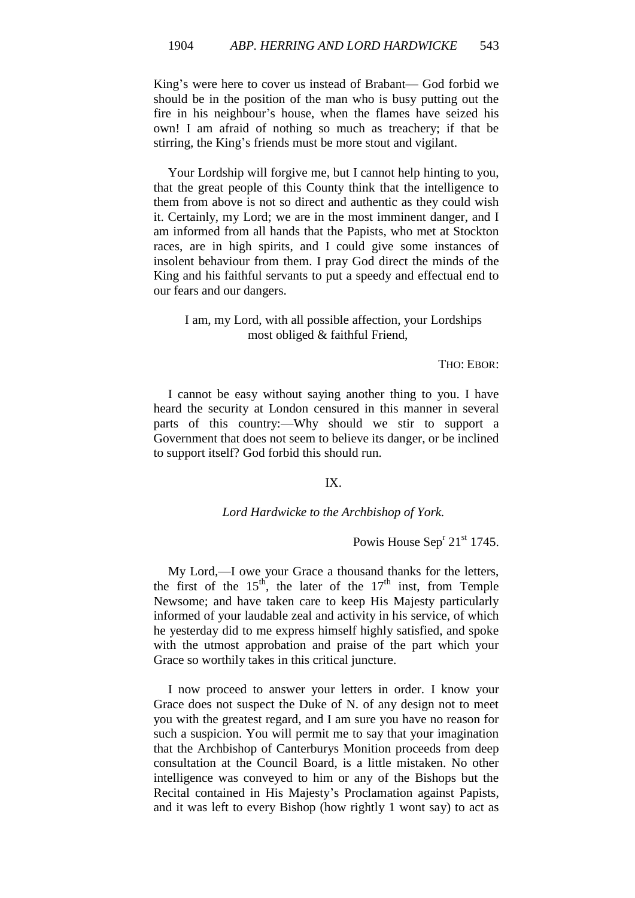King's were here to cover us instead of Brabant— God forbid we should be in the position of the man who is busy putting out the fire in his neighbour's house, when the flames have seized his own! I am afraid of nothing so much as treachery; if that be stirring, the King's friends must be more stout and vigilant.

Your Lordship will forgive me, but I cannot help hinting to you, that the great people of this County think that the intelligence to them from above is not so direct and authentic as they could wish it. Certainly, my Lord; we are in the most imminent danger, and I am informed from all hands that the Papists, who met at Stockton races, are in high spirits, and I could give some instances of insolent behaviour from them. I pray God direct the minds of the King and his faithful servants to put a speedy and effectual end to our fears and our dangers.

# I am, my Lord, with all possible affection, your Lordships most obliged & faithful Friend,

THO: EBOR:

I cannot be easy without saying another thing to you. I have heard the security at London censured in this manner in several parts of this country:—Why should we stir to support a Government that does not seem to believe its danger, or be inclined to support itself? God forbid this should run.

# IX.

#### *Lord Hardwicke to the Archbishop of York.*

Powis House Sep<sup>r</sup> 21<sup>st</sup> 1745.

My Lord,—I owe your Grace a thousand thanks for the letters, the first of the  $15<sup>th</sup>$ , the later of the  $17<sup>th</sup>$  inst, from Temple Newsome; and have taken care to keep His Majesty particularly informed of your laudable zeal and activity in his service, of which he yesterday did to me express himself highly satisfied, and spoke with the utmost approbation and praise of the part which your Grace so worthily takes in this critical juncture.

I now proceed to answer your letters in order. I know your Grace does not suspect the Duke of N. of any design not to meet you with the greatest regard, and I am sure you have no reason for such a suspicion. You will permit me to say that your imagination that the Archbishop of Canterburys Monition proceeds from deep consultation at the Council Board, is a little mistaken. No other intelligence was conveyed to him or any of the Bishops but the Recital contained in His Majesty's Proclamation against Papists, and it was left to every Bishop (how rightly 1 wont say) to act as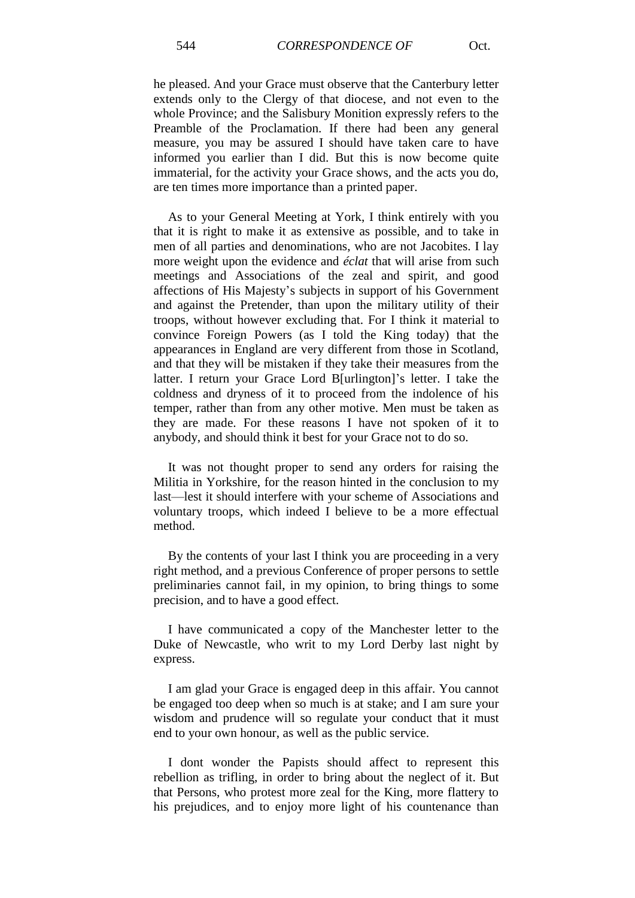## 544 *CORRESPONDENCE OF* Oct.

he pleased. And your Grace must observe that the Canterbury letter extends only to the Clergy of that diocese, and not even to the whole Province; and the Salisbury Monition expressly refers to the Preamble of the Proclamation. If there had been any general measure, you may be assured I should have taken care to have informed you earlier than I did. But this is now become quite immaterial, for the activity your Grace shows, and the acts you do, are ten times more importance than a printed paper.

As to your General Meeting at York, I think entirely with you that it is right to make it as extensive as possible, and to take in men of all parties and denominations, who are not Jacobites. I lay more weight upon the evidence and *éclat* that will arise from such meetings and Associations of the zeal and spirit, and good affections of His Majesty's subjects in support of his Government and against the Pretender, than upon the military utility of their troops, without however excluding that. For I think it material to convince Foreign Powers (as I told the King today) that the appearances in England are very different from those in Scotland, and that they will be mistaken if they take their measures from the latter. I return your Grace Lord B[urlington]'s letter. I take the coldness and dryness of it to proceed from the indolence of his temper, rather than from any other motive. Men must be taken as they are made. For these reasons I have not spoken of it to anybody, and should think it best for your Grace not to do so.

It was not thought proper to send any orders for raising the Militia in Yorkshire, for the reason hinted in the conclusion to my last—lest it should interfere with your scheme of Associations and voluntary troops, which indeed I believe to be a more effectual method.

By the contents of your last I think you are proceeding in a very right method, and a previous Conference of proper persons to settle preliminaries cannot fail, in my opinion, to bring things to some precision, and to have a good effect.

I have communicated a copy of the Manchester letter to the Duke of Newcastle, who writ to my Lord Derby last night by express.

I am glad your Grace is engaged deep in this affair. You cannot be engaged too deep when so much is at stake; and I am sure your wisdom and prudence will so regulate your conduct that it must end to your own honour, as well as the public service.

I dont wonder the Papists should affect to represent this rebellion as trifling, in order to bring about the neglect of it. But that Persons, who protest more zeal for the King, more flattery to his prejudices, and to enjoy more light of his countenance than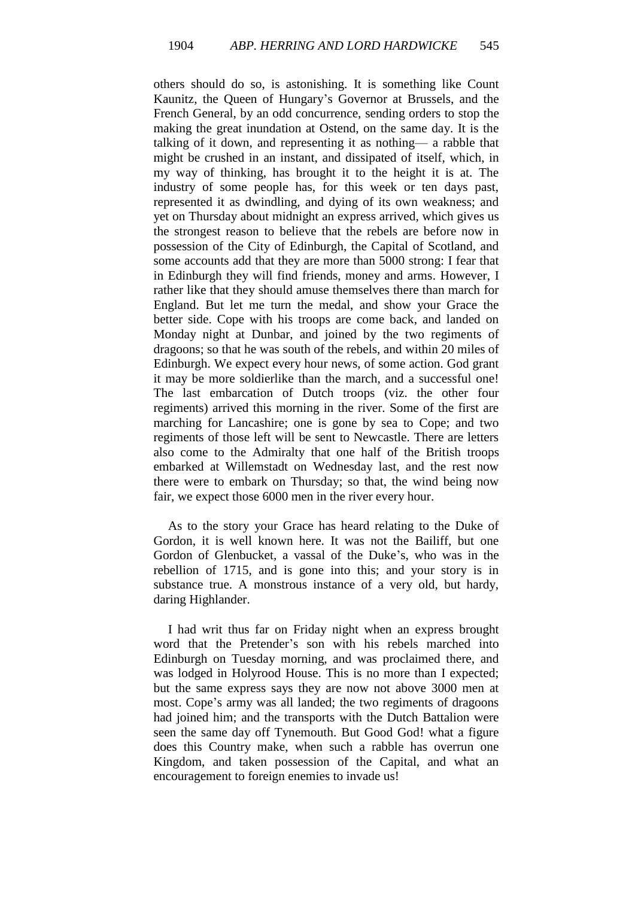others should do so, is astonishing. It is something like Count Kaunitz, the Queen of Hungary's Governor at Brussels, and the French General, by an odd concurrence, sending orders to stop the making the great inundation at Ostend, on the same day. It is the talking of it down, and representing it as nothing— a rabble that might be crushed in an instant, and dissipated of itself, which, in my way of thinking, has brought it to the height it is at. The industry of some people has, for this week or ten days past, represented it as dwindling, and dying of its own weakness; and yet on Thursday about midnight an express arrived, which gives us the strongest reason to believe that the rebels are before now in possession of the City of Edinburgh, the Capital of Scotland, and some accounts add that they are more than 5000 strong: I fear that in Edinburgh they will find friends, money and arms. However, I rather like that they should amuse themselves there than march for England. But let me turn the medal, and show your Grace the better side. Cope with his troops are come back, and landed on Monday night at Dunbar, and joined by the two regiments of dragoons; so that he was south of the rebels, and within 20 miles of Edinburgh. We expect every hour news, of some action. God grant it may be more soldierlike than the march, and a successful one! The last embarcation of Dutch troops (viz. the other four regiments) arrived this morning in the river. Some of the first are marching for Lancashire; one is gone by sea to Cope; and two regiments of those left will be sent to Newcastle. There are letters also come to the Admiralty that one half of the British troops embarked at Willemstadt on Wednesday last, and the rest now there were to embark on Thursday; so that, the wind being now fair, we expect those 6000 men in the river every hour.

As to the story your Grace has heard relating to the Duke of Gordon, it is well known here. It was not the Bailiff, but one Gordon of Glenbucket, a vassal of the Duke's, who was in the rebellion of 1715, and is gone into this; and your story is in substance true. A monstrous instance of a very old, but hardy, daring Highlander.

I had writ thus far on Friday night when an express brought word that the Pretender's son with his rebels marched into Edinburgh on Tuesday morning, and was proclaimed there, and was lodged in Holyrood House. This is no more than I expected; but the same express says they are now not above 3000 men at most. Cope's army was all landed; the two regiments of dragoons had joined him; and the transports with the Dutch Battalion were seen the same day off Tynemouth. But Good God! what a figure does this Country make, when such a rabble has overrun one Kingdom, and taken possession of the Capital, and what an encouragement to foreign enemies to invade us!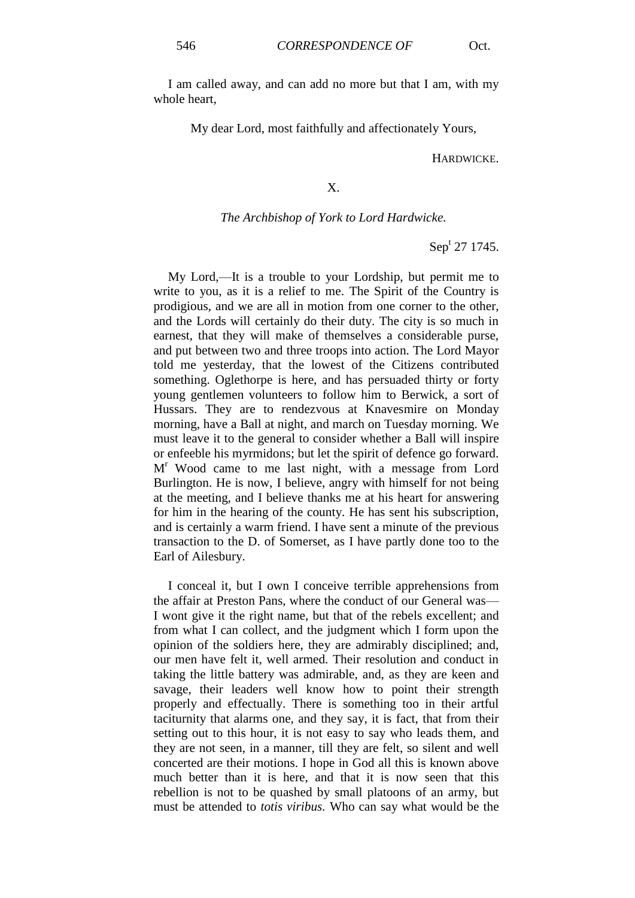I am called away, and can add no more but that I am, with my whole heart,

My dear Lord, most faithfully and affectionately Yours,

HARDWICKE.

## X.

#### *The Archbishop of York to Lord Hardwicke.*

# Sep<sup>t</sup> 27 1745.

My Lord,—It is a trouble to your Lordship, but permit me to write to you, as it is a relief to me. The Spirit of the Country is prodigious, and we are all in motion from one corner to the other, and the Lords will certainly do their duty. The city is so much in earnest, that they will make of themselves a considerable purse, and put between two and three troops into action. The Lord Mayor told me yesterday, that the lowest of the Citizens contributed something. Oglethorpe is here, and has persuaded thirty or forty young gentlemen volunteers to follow him to Berwick, a sort of Hussars. They are to rendezvous at Knavesmire on Monday morning, have a Ball at night, and march on Tuesday morning. We must leave it to the general to consider whether a Ball will inspire or enfeeble his myrmidons; but let the spirit of defence go forward. M <sup>r</sup> Wood came to me last night, with a message from Lord Burlington. He is now, I believe, angry with himself for not being at the meeting, and I believe thanks me at his heart for answering for him in the hearing of the county. He has sent his subscription, and is certainly a warm friend. I have sent a minute of the previous transaction to the D. of Somerset, as I have partly done too to the Earl of Ailesbury.

I conceal it, but I own I conceive terrible apprehensions from the affair at Preston Pans, where the conduct of our General was— I wont give it the right name, but that of the rebels excellent; and from what I can collect, and the judgment which I form upon the opinion of the soldiers here, they are admirably disciplined; and, our men have felt it, well armed. Their resolution and conduct in taking the little battery was admirable, and, as they are keen and savage, their leaders well know how to point their strength properly and effectually. There is something too in their artful taciturnity that alarms one, and they say, it is fact, that from their setting out to this hour, it is not easy to say who leads them, and they are not seen, in a manner, till they are felt, so silent and well concerted are their motions. I hope in God all this is known above much better than it is here, and that it is now seen that this rebellion is not to be quashed by small platoons of an army, but must be attended to *totis viribus.* Who can say what would be the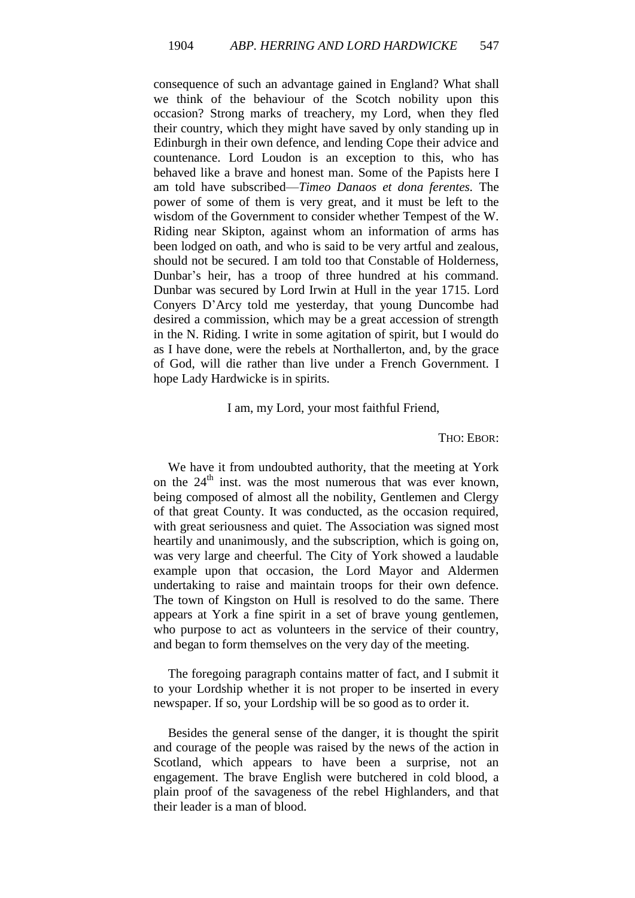consequence of such an advantage gained in England? What shall we think of the behaviour of the Scotch nobility upon this occasion? Strong marks of treachery, my Lord, when they fled their country, which they might have saved by only standing up in Edinburgh in their own defence, and lending Cope their advice and countenance. Lord Loudon is an exception to this, who has behaved like a brave and honest man. Some of the Papists here I am told have subscribed—*Timeo Danaos et dona ferentes.* The power of some of them is very great, and it must be left to the wisdom of the Government to consider whether Tempest of the W. Riding near Skipton, against whom an information of arms has been lodged on oath, and who is said to be very artful and zealous, should not be secured. I am told too that Constable of Holderness, Dunbar's heir, has a troop of three hundred at his command. Dunbar was secured by Lord Irwin at Hull in the year 1715. Lord Conyers D'Arcy told me yesterday, that young Duncombe had desired a commission, which may be a great accession of strength in the N. Riding. I write in some agitation of spirit, but I would do as I have done, were the rebels at Northallerton, and, by the grace of God, will die rather than live under a French Government. I hope Lady Hardwicke is in spirits.

I am, my Lord, your most faithful Friend,

THO: EBOR:

We have it from undoubted authority, that the meeting at York on the  $24<sup>th</sup>$  inst. was the most numerous that was ever known, being composed of almost all the nobility, Gentlemen and Clergy of that great County. It was conducted, as the occasion required, with great seriousness and quiet. The Association was signed most heartily and unanimously, and the subscription, which is going on, was very large and cheerful. The City of York showed a laudable example upon that occasion, the Lord Mayor and Aldermen undertaking to raise and maintain troops for their own defence. The town of Kingston on Hull is resolved to do the same. There appears at York a fine spirit in a set of brave young gentlemen, who purpose to act as volunteers in the service of their country, and began to form themselves on the very day of the meeting.

The foregoing paragraph contains matter of fact, and I submit it to your Lordship whether it is not proper to be inserted in every newspaper. If so, your Lordship will be so good as to order it.

Besides the general sense of the danger, it is thought the spirit and courage of the people was raised by the news of the action in Scotland, which appears to have been a surprise, not an engagement. The brave English were butchered in cold blood, a plain proof of the savageness of the rebel Highlanders, and that their leader is a man of blood.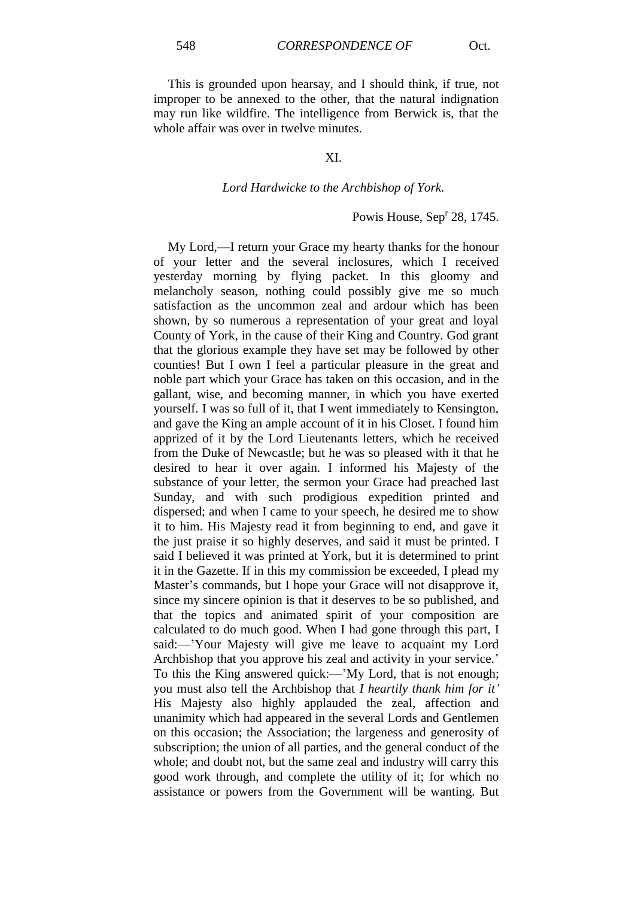This is grounded upon hearsay, and I should think, if true, not improper to be annexed to the other, that the natural indignation may run like wildfire. The intelligence from Berwick is, that the whole affair was over in twelve minutes.

# XI.

#### *Lord Hardwicke to the Archbishop of York.*

# Powis House,  $Sep<sup>r</sup> 28$ , 1745.

My Lord,—I return your Grace my hearty thanks for the honour of your letter and the several inclosures, which I received yesterday morning by flying packet. In this gloomy and melancholy season, nothing could possibly give me so much satisfaction as the uncommon zeal and ardour which has been shown, by so numerous a representation of your great and loyal County of York, in the cause of their King and Country. God grant that the glorious example they have set may be followed by other counties! But I own I feel a particular pleasure in the great and noble part which your Grace has taken on this occasion, and in the gallant, wise, and becoming manner, in which you have exerted yourself. I was so full of it, that I went immediately to Kensington, and gave the King an ample account of it in his Closet. I found him apprized of it by the Lord Lieutenants letters, which he received from the Duke of Newcastle; but he was so pleased with it that he desired to hear it over again. I informed his Majesty of the substance of your letter, the sermon your Grace had preached last Sunday, and with such prodigious expedition printed and dispersed; and when I came to your speech, he desired me to show it to him. His Majesty read it from beginning to end, and gave it the just praise it so highly deserves, and said it must be printed. I said I believed it was printed at York, but it is determined to print it in the Gazette. If in this my commission be exceeded, I plead my Master's commands, but I hope your Grace will not disapprove it, since my sincere opinion is that it deserves to be so published, and that the topics and animated spirit of your composition are calculated to do much good. When I had gone through this part, I said:—'Your Majesty will give me leave to acquaint my Lord Archbishop that you approve his zeal and activity in your service.' To this the King answered quick:—'My Lord, that is not enough; you must also tell the Archbishop that *I heartily thank him for it'* His Majesty also highly applauded the zeal, affection and unanimity which had appeared in the several Lords and Gentlemen on this occasion; the Association; the largeness and generosity of subscription; the union of all parties, and the general conduct of the whole; and doubt not, but the same zeal and industry will carry this good work through, and complete the utility of it; for which no assistance or powers from the Government will be wanting. But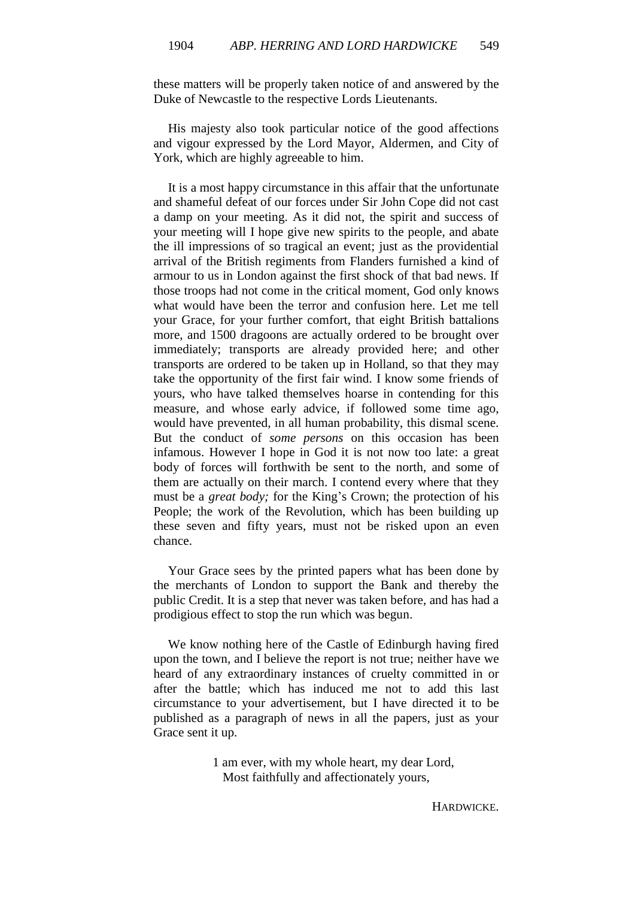these matters will be properly taken notice of and answered by the Duke of Newcastle to the respective Lords Lieutenants.

His majesty also took particular notice of the good affections and vigour expressed by the Lord Mayor, Aldermen, and City of York, which are highly agreeable to him.

It is a most happy circumstance in this affair that the unfortunate and shameful defeat of our forces under Sir John Cope did not cast a damp on your meeting. As it did not, the spirit and success of your meeting will I hope give new spirits to the people, and abate the ill impressions of so tragical an event; just as the providential arrival of the British regiments from Flanders furnished a kind of armour to us in London against the first shock of that bad news. If those troops had not come in the critical moment, God only knows what would have been the terror and confusion here. Let me tell your Grace, for your further comfort, that eight British battalions more, and 1500 dragoons are actually ordered to be brought over immediately; transports are already provided here; and other transports are ordered to be taken up in Holland, so that they may take the opportunity of the first fair wind. I know some friends of yours, who have talked themselves hoarse in contending for this measure, and whose early advice, if followed some time ago, would have prevented, in all human probability, this dismal scene. But the conduct of *some persons* on this occasion has been infamous. However I hope in God it is not now too late: a great body of forces will forthwith be sent to the north, and some of them are actually on their march. I contend every where that they must be a *great body;* for the King's Crown; the protection of his People; the work of the Revolution, which has been building up these seven and fifty years, must not be risked upon an even chance.

Your Grace sees by the printed papers what has been done by the merchants of London to support the Bank and thereby the public Credit. It is a step that never was taken before, and has had a prodigious effect to stop the run which was begun.

We know nothing here of the Castle of Edinburgh having fired upon the town, and I believe the report is not true; neither have we heard of any extraordinary instances of cruelty committed in or after the battle; which has induced me not to add this last circumstance to your advertisement, but I have directed it to be published as a paragraph of news in all the papers, just as your Grace sent it up.

> 1 am ever, with my whole heart, my dear Lord, Most faithfully and affectionately yours,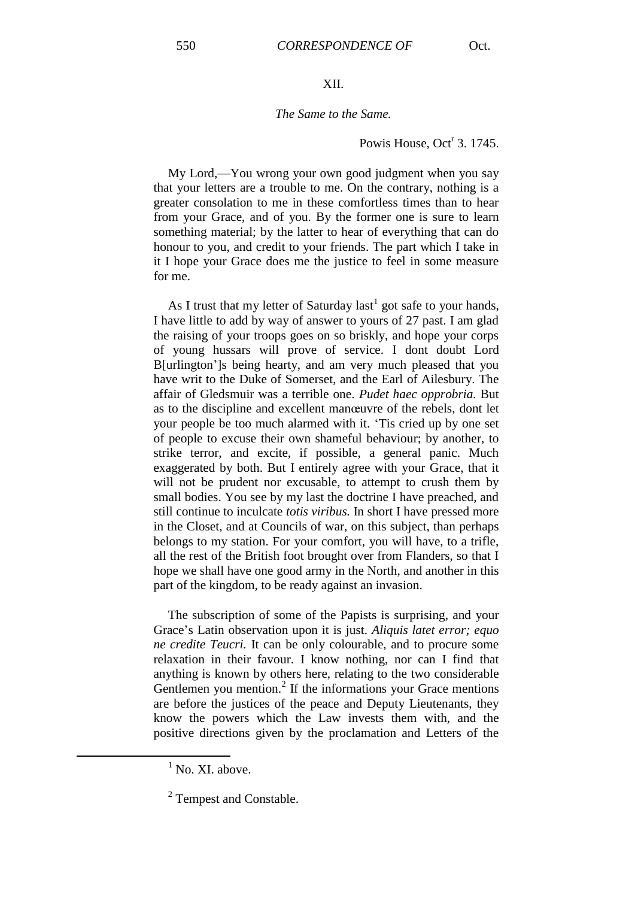# XII.

## *The Same to the Same.*

# Powis House,  $Oct^r 3. 1745$ .

My Lord,—You wrong your own good judgment when you say that your letters are a trouble to me. On the contrary, nothing is a greater consolation to me in these comfortless times than to hear from your Grace, and of you. By the former one is sure to learn something material; by the latter to hear of everything that can do honour to you, and credit to your friends. The part which I take in it I hope your Grace does me the justice to feel in some measure for me.

As I trust that my letter of Saturday last<sup>1</sup> got safe to your hands, I have little to add by way of answer to yours of 27 past. I am glad the raising of your troops goes on so briskly, and hope your corps of young hussars will prove of service. I dont doubt Lord B[urlington']s being hearty, and am very much pleased that you have writ to the Duke of Somerset, and the Earl of Ailesbury. The affair of Gledsmuir was a terrible one. *Pudet haec opprobria.* But as to the discipline and excellent manœuvre of the rebels, dont let your people be too much alarmed with it. 'Tis cried up by one set of people to excuse their own shameful behaviour; by another, to strike terror, and excite, if possible, a general panic. Much exaggerated by both. But I entirely agree with your Grace, that it will not be prudent nor excusable, to attempt to crush them by small bodies. You see by my last the doctrine I have preached, and still continue to inculcate *totis viribus.* In short I have pressed more in the Closet, and at Councils of war, on this subject, than perhaps belongs to my station. For your comfort, you will have, to a trifle, all the rest of the British foot brought over from Flanders, so that I hope we shall have one good army in the North, and another in this part of the kingdom, to be ready against an invasion.

The subscription of some of the Papists is surprising, and your Grace's Latin observation upon it is just. *Aliquis latet error; equo ne credite Teucri.* It can be only colourable, and to procure some relaxation in their favour. I know nothing, nor can I find that anything is known by others here, relating to the two considerable Gentlemen you mention.<sup>2</sup> If the informations your Grace mentions are before the justices of the peace and Deputy Lieutenants, they know the powers which the Law invests them with, and the positive directions given by the proclamation and Letters of the

1

 $<sup>1</sup>$  No. XI. above.</sup>

<sup>&</sup>lt;sup>2</sup> Tempest and Constable.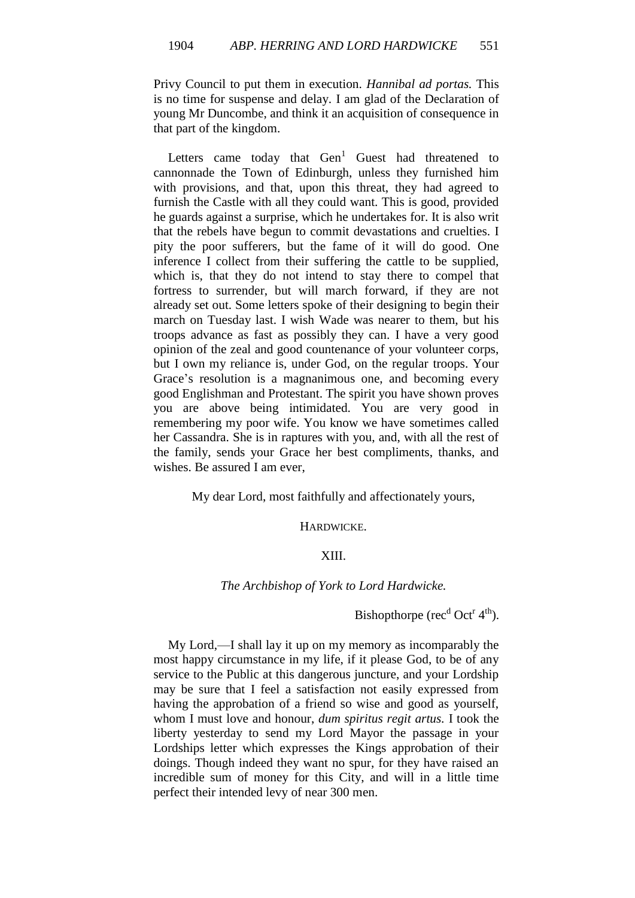Privy Council to put them in execution. *Hannibal ad portas.* This is no time for suspense and delay. I am glad of the Declaration of young Mr Duncombe, and think it an acquisition of consequence in that part of the kingdom.

Letters came today that  $Gen<sup>1</sup>$  Guest had threatened to cannonnade the Town of Edinburgh, unless they furnished him with provisions, and that, upon this threat, they had agreed to furnish the Castle with all they could want. This is good, provided he guards against a surprise, which he undertakes for. It is also writ that the rebels have begun to commit devastations and cruelties. I pity the poor sufferers, but the fame of it will do good. One inference I collect from their suffering the cattle to be supplied, which is, that they do not intend to stay there to compel that fortress to surrender, but will march forward, if they are not already set out. Some letters spoke of their designing to begin their march on Tuesday last. I wish Wade was nearer to them, but his troops advance as fast as possibly they can. I have a very good opinion of the zeal and good countenance of your volunteer corps, but I own my reliance is, under God, on the regular troops. Your Grace's resolution is a magnanimous one, and becoming every good Englishman and Protestant. The spirit you have shown proves you are above being intimidated. You are very good in remembering my poor wife. You know we have sometimes called her Cassandra. She is in raptures with you, and, with all the rest of the family, sends your Grace her best compliments, thanks, and wishes. Be assured I am ever,

My dear Lord, most faithfully and affectionately yours,

## HARDWICKE.

# XIII.

#### *The Archbishop of York to Lord Hardwicke.*

Bishopthorpe (rec<sup>d</sup> Oct<sup>r</sup> 4<sup>th</sup>).

My Lord,—I shall lay it up on my memory as incomparably the most happy circumstance in my life, if it please God, to be of any service to the Public at this dangerous juncture, and your Lordship may be sure that I feel a satisfaction not easily expressed from having the approbation of a friend so wise and good as yourself, whom I must love and honour, *dum spiritus regit artus.* I took the liberty yesterday to send my Lord Mayor the passage in your Lordships letter which expresses the Kings approbation of their doings. Though indeed they want no spur, for they have raised an incredible sum of money for this City, and will in a little time perfect their intended levy of near 300 men.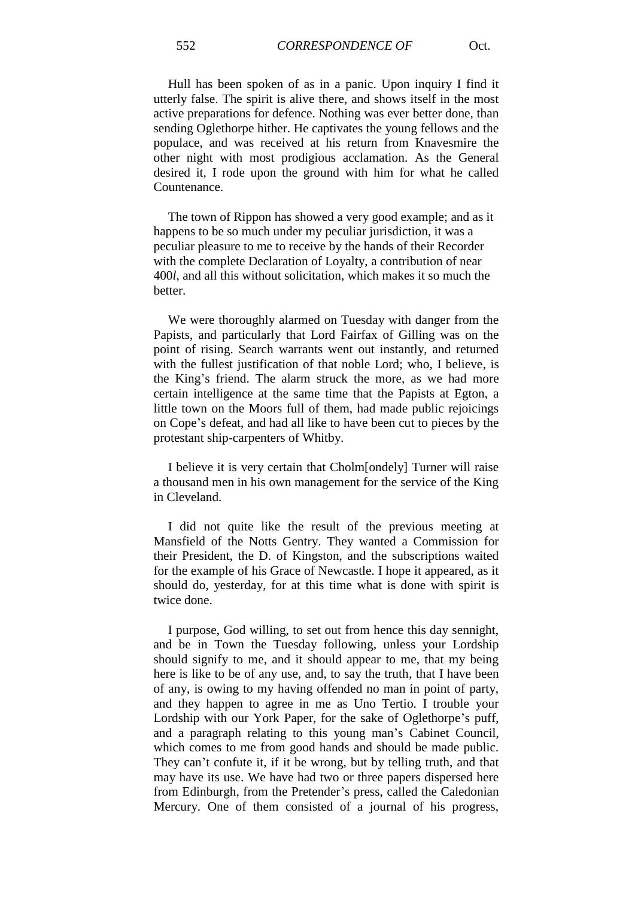#### 552 *CORRESPONDENCE OF* Oct.

Hull has been spoken of as in a panic. Upon inquiry I find it utterly false. The spirit is alive there, and shows itself in the most active preparations for defence. Nothing was ever better done, than sending Oglethorpe hither. He captivates the young fellows and the populace, and was received at his return from Knavesmire the other night with most prodigious acclamation. As the General desired it, I rode upon the ground with him for what he called Countenance.

The town of Rippon has showed a very good example; and as it happens to be so much under my peculiar jurisdiction, it was a peculiar pleasure to me to receive by the hands of their Recorder with the complete Declaration of Loyalty, a contribution of near 400*l*, and all this without solicitation, which makes it so much the better.

We were thoroughly alarmed on Tuesday with danger from the Papists, and particularly that Lord Fairfax of Gilling was on the point of rising. Search warrants went out instantly, and returned with the fullest justification of that noble Lord; who, I believe, is the King's friend. The alarm struck the more, as we had more certain intelligence at the same time that the Papists at Egton, a little town on the Moors full of them, had made public rejoicings on Cope's defeat, and had all like to have been cut to pieces by the protestant ship-carpenters of Whitby.

I believe it is very certain that Cholm[ondely] Turner will raise a thousand men in his own management for the service of the King in Cleveland.

I did not quite like the result of the previous meeting at Mansfield of the Notts Gentry. They wanted a Commission for their President, the D. of Kingston, and the subscriptions waited for the example of his Grace of Newcastle. I hope it appeared, as it should do, yesterday, for at this time what is done with spirit is twice done.

I purpose, God willing, to set out from hence this day sennight, and be in Town the Tuesday following, unless your Lordship should signify to me, and it should appear to me, that my being here is like to be of any use, and, to say the truth, that I have been of any, is owing to my having offended no man in point of party, and they happen to agree in me as Uno Tertio. I trouble your Lordship with our York Paper, for the sake of Oglethorpe's puff, and a paragraph relating to this young man's Cabinet Council, which comes to me from good hands and should be made public. They can't confute it, if it be wrong, but by telling truth, and that may have its use. We have had two or three papers dispersed here from Edinburgh, from the Pretender's press, called the Caledonian Mercury. One of them consisted of a journal of his progress,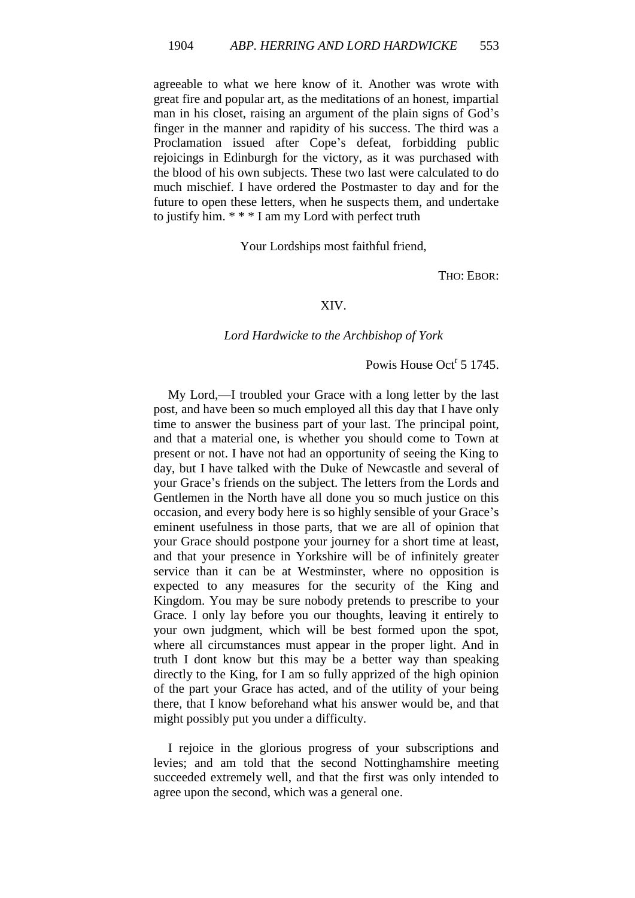agreeable to what we here know of it. Another was wrote with great fire and popular art, as the meditations of an honest, impartial man in his closet, raising an argument of the plain signs of God's finger in the manner and rapidity of his success. The third was a Proclamation issued after Cope's defeat, forbidding public rejoicings in Edinburgh for the victory, as it was purchased with the blood of his own subjects. These two last were calculated to do much mischief. I have ordered the Postmaster to day and for the future to open these letters, when he suspects them, and undertake to justify him.  $***$  I am my Lord with perfect truth

Your Lordships most faithful friend,

THO: EBOR:

## XIV.

### *Lord Hardwicke to the Archbishop of York*

# Powis House Oct<sup>r</sup> 5 1745.

My Lord,—I troubled your Grace with a long letter by the last post, and have been so much employed all this day that I have only time to answer the business part of your last. The principal point, and that a material one, is whether you should come to Town at present or not. I have not had an opportunity of seeing the King to day, but I have talked with the Duke of Newcastle and several of your Grace's friends on the subject. The letters from the Lords and Gentlemen in the North have all done you so much justice on this occasion, and every body here is so highly sensible of your Grace's eminent usefulness in those parts, that we are all of opinion that your Grace should postpone your journey for a short time at least, and that your presence in Yorkshire will be of infinitely greater service than it can be at Westminster, where no opposition is expected to any measures for the security of the King and Kingdom. You may be sure nobody pretends to prescribe to your Grace. I only lay before you our thoughts, leaving it entirely to your own judgment, which will be best formed upon the spot, where all circumstances must appear in the proper light. And in truth I dont know but this may be a better way than speaking directly to the King, for I am so fully apprized of the high opinion of the part your Grace has acted, and of the utility of your being there, that I know beforehand what his answer would be, and that might possibly put you under a difficulty.

I rejoice in the glorious progress of your subscriptions and levies; and am told that the second Nottinghamshire meeting succeeded extremely well, and that the first was only intended to agree upon the second, which was a general one.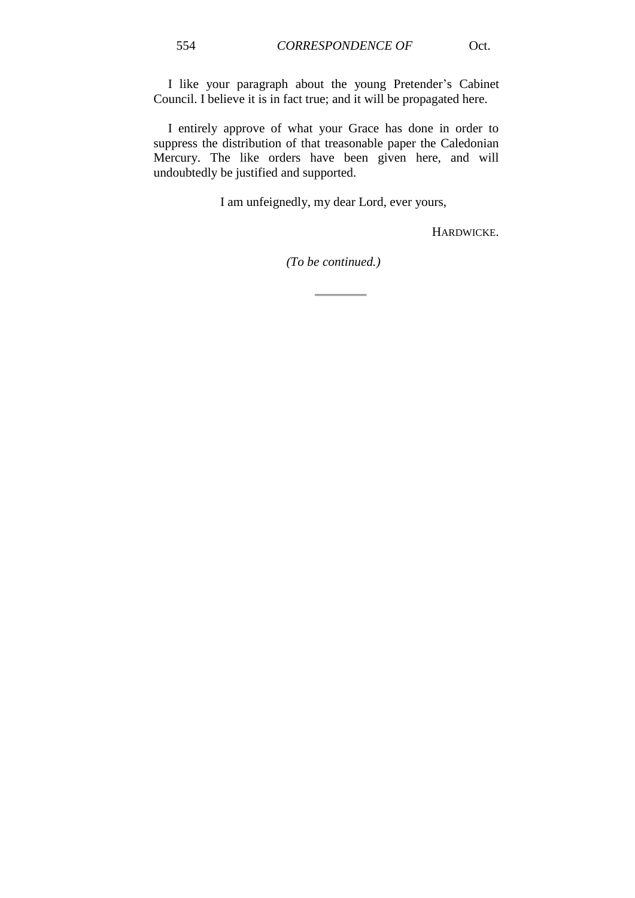I like your paragraph about the young Pretender's Cabinet Council. I believe it is in fact true; and it will be propagated here.

I entirely approve of what your Grace has done in order to suppress the distribution of that treasonable paper the Caledonian Mercury. The like orders have been given here, and will undoubtedly be justified and supported.

I am unfeignedly, my dear Lord, ever yours,

HARDWICKE.

*(To be continued.)*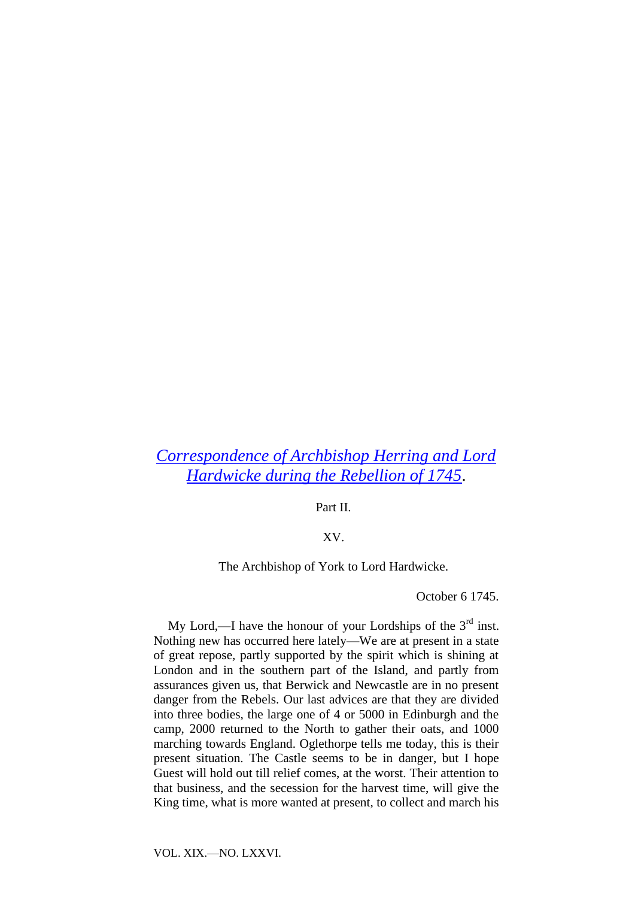# *[Correspondence of Archbishop Herring and Lord](http://books.google.com/books?id=EBspAAAAYAAJ&lpg=PA529&ots=auIj4LFoj0&dq=Eastall%20%22History%20of%20Southwell%22&pg=PA719#v=onepage&q=Eastall%20%22History%20of%20Southwell%22&f=false)  [Hardwicke during the Rebellion of 1745](http://books.google.com/books?id=EBspAAAAYAAJ&lpg=PA529&ots=auIj4LFoj0&dq=Eastall%20%22History%20of%20Southwell%22&pg=PA719#v=onepage&q=Eastall%20%22History%20of%20Southwell%22&f=false)*.

Part II.

# XV.

# The Archbishop of York to Lord Hardwicke.

October 6 1745.

My Lord,—I have the honour of your Lordships of the  $3<sup>rd</sup>$  inst. Nothing new has occurred here lately—We are at present in a state of great repose, partly supported by the spirit which is shining at London and in the southern part of the Island, and partly from assurances given us, that Berwick and Newcastle are in no present danger from the Rebels. Our last advices are that they are divided into three bodies, the large one of 4 or 5000 in Edinburgh and the camp, 2000 returned to the North to gather their oats, and 1000 marching towards England. Oglethorpe tells me today, this is their present situation. The Castle seems to be in danger, but I hope Guest will hold out till relief comes, at the worst. Their attention to that business, and the secession for the harvest time, will give the King time, what is more wanted at present, to collect and march his

VOL. XIX.—NO. LXXVI.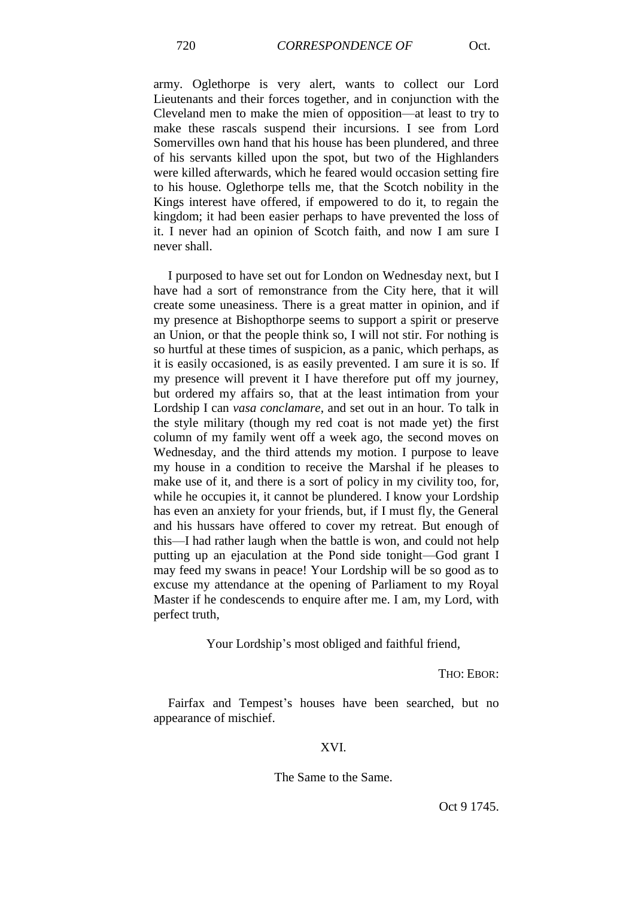## 720 *CORRESPONDENCE OF* Oct.

army. Oglethorpe is very alert, wants to collect our Lord Lieutenants and their forces together, and in conjunction with the Cleveland men to make the mien of opposition—at least to try to make these rascals suspend their incursions. I see from Lord Somervilles own hand that his house has been plundered, and three of his servants killed upon the spot, but two of the Highlanders were killed afterwards, which he feared would occasion setting fire to his house. Oglethorpe tells me, that the Scotch nobility in the Kings interest have offered, if empowered to do it, to regain the kingdom; it had been easier perhaps to have prevented the loss of it. I never had an opinion of Scotch faith, and now I am sure I never shall.

I purposed to have set out for London on Wednesday next, but I have had a sort of remonstrance from the City here, that it will create some uneasiness. There is a great matter in opinion, and if my presence at Bishopthorpe seems to support a spirit or preserve an Union, or that the people think so, I will not stir. For nothing is so hurtful at these times of suspicion, as a panic, which perhaps, as it is easily occasioned, is as easily prevented. I am sure it is so. If my presence will prevent it I have therefore put off my journey, but ordered my affairs so, that at the least intimation from your Lordship I can *vasa conclamare*, and set out in an hour. To talk in the style military (though my red coat is not made yet) the first column of my family went off a week ago, the second moves on Wednesday, and the third attends my motion. I purpose to leave my house in a condition to receive the Marshal if he pleases to make use of it, and there is a sort of policy in my civility too, for, while he occupies it, it cannot be plundered. I know your Lordship has even an anxiety for your friends, but, if I must fly, the General and his hussars have offered to cover my retreat. But enough of this—I had rather laugh when the battle is won, and could not help putting up an ejaculation at the Pond side tonight—God grant I may feed my swans in peace! Your Lordship will be so good as to excuse my attendance at the opening of Parliament to my Royal Master if he condescends to enquire after me. I am, my Lord, with perfect truth,

Your Lordship's most obliged and faithful friend,

THO: EBOR:

Fairfax and Tempest's houses have been searched, but no appearance of mischief.

#### XVI.

The Same to the Same.

Oct 9 1745.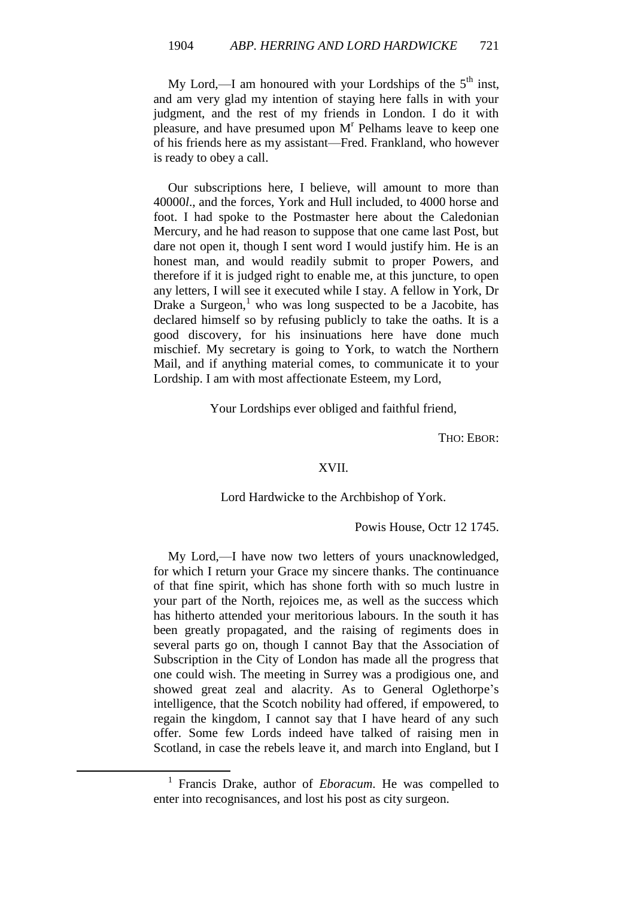My Lord,—I am honoured with your Lordships of the  $5<sup>th</sup>$  inst, and am very glad my intention of staying here falls in with your judgment, and the rest of my friends in London. I do it with pleasure, and have presumed upon M<sup>r</sup> Pelhams leave to keep one of his friends here as my assistant—Fred. Frankland, who however is ready to obey a call.

Our subscriptions here, I believe, will amount to more than 40000*l*., and the forces, York and Hull included, to 4000 horse and foot. I had spoke to the Postmaster here about the Caledonian Mercury, and he had reason to suppose that one came last Post, but dare not open it, though I sent word I would justify him. He is an honest man, and would readily submit to proper Powers, and therefore if it is judged right to enable me, at this juncture, to open any letters, I will see it executed while I stay. A fellow in York, Dr Drake a Surgeon, $<sup>1</sup>$  who was long suspected to be a Jacobite, has</sup> declared himself so by refusing publicly to take the oaths. It is a good discovery, for his insinuations here have done much mischief. My secretary is going to York, to watch the Northern Mail, and if anything material comes, to communicate it to your Lordship. I am with most affectionate Esteem, my Lord,

Your Lordships ever obliged and faithful friend,

THO: EBOR:

#### XVII.

## Lord Hardwicke to the Archbishop of York.

#### Powis House, Octr 12 1745.

My Lord,—I have now two letters of yours unacknowledged, for which I return your Grace my sincere thanks. The continuance of that fine spirit, which has shone forth with so much lustre in your part of the North, rejoices me, as well as the success which has hitherto attended your meritorious labours. In the south it has been greatly propagated, and the raising of regiments does in several parts go on, though I cannot Bay that the Association of Subscription in the City of London has made all the progress that one could wish. The meeting in Surrey was a prodigious one, and showed great zeal and alacrity. As to General Oglethorpe's intelligence, that the Scotch nobility had offered, if empowered, to regain the kingdom, I cannot say that I have heard of any such offer. Some few Lords indeed have talked of raising men in Scotland, in case the rebels leave it, and march into England, but I

1

<sup>&</sup>lt;sup>1</sup> Francis Drake, author of *Eboracum*. He was compelled to enter into recognisances, and lost his post as city surgeon.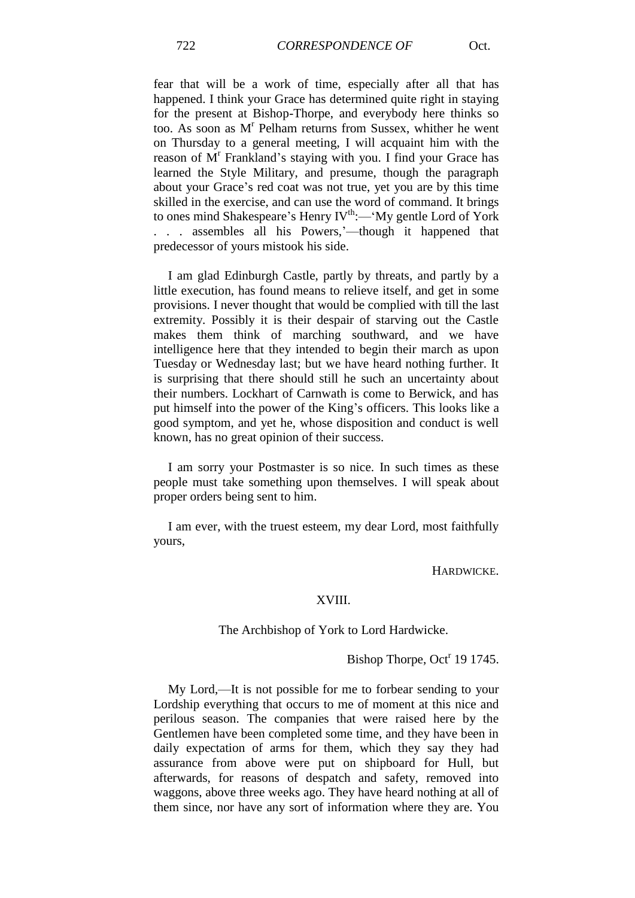## 722 *CORRESPONDENCE OF* Oct.

fear that will be a work of time, especially after all that has happened. I think your Grace has determined quite right in staying for the present at Bishop-Thorpe, and everybody here thinks so too. As soon as M<sup>r</sup> Pelham returns from Sussex, whither he went on Thursday to a general meeting, I will acquaint him with the reason of M<sup>r</sup> Frankland's staying with you. I find your Grace has learned the Style Military, and presume, though the paragraph about your Grace's red coat was not true, yet you are by this time skilled in the exercise, and can use the word of command. It brings to ones mind Shakespeare's Henry IV<sup>th</sup>:—'My gentle Lord of York . . . assembles all his Powers,'—though it happened that predecessor of yours mistook his side.

I am glad Edinburgh Castle, partly by threats, and partly by a little execution, has found means to relieve itself, and get in some provisions. I never thought that would be complied with till the last extremity. Possibly it is their despair of starving out the Castle makes them think of marching southward, and we have intelligence here that they intended to begin their march as upon Tuesday or Wednesday last; but we have heard nothing further. It is surprising that there should still he such an uncertainty about their numbers. Lockhart of Carnwath is come to Berwick, and has put himself into the power of the King's officers. This looks like a good symptom, and yet he, whose disposition and conduct is well known, has no great opinion of their success.

I am sorry your Postmaster is so nice. In such times as these people must take something upon themselves. I will speak about proper orders being sent to him.

I am ever, with the truest esteem, my dear Lord, most faithfully yours,

HARDWICKE.

#### XVIII.

#### The Archbishop of York to Lord Hardwicke.

# Bishop Thorpe, Oct<sup>r</sup> 19 1745.

My Lord,—It is not possible for me to forbear sending to your Lordship everything that occurs to me of moment at this nice and perilous season. The companies that were raised here by the Gentlemen have been completed some time, and they have been in daily expectation of arms for them, which they say they had assurance from above were put on shipboard for Hull, but afterwards, for reasons of despatch and safety, removed into waggons, above three weeks ago. They have heard nothing at all of them since, nor have any sort of information where they are. You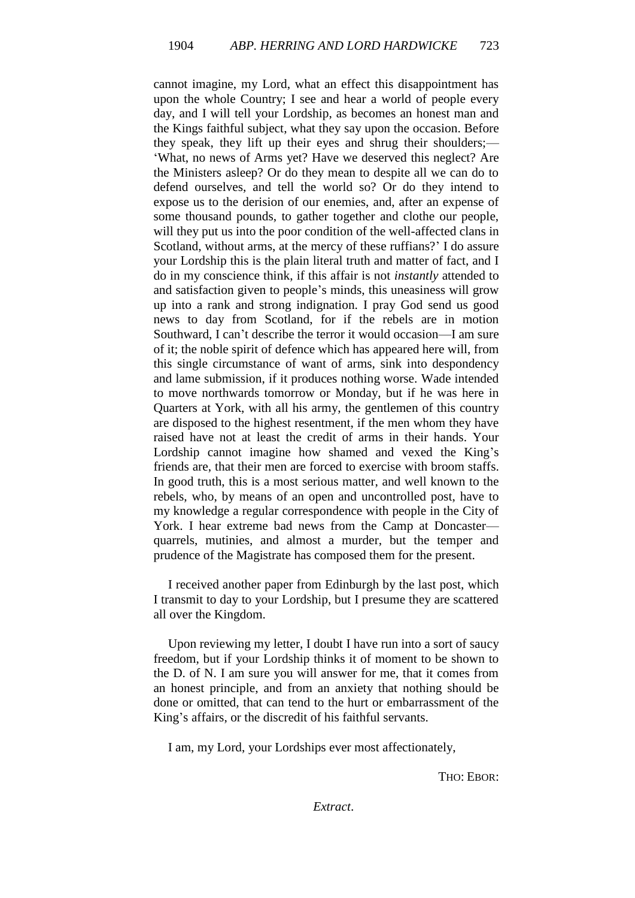cannot imagine, my Lord, what an effect this disappointment has upon the whole Country; I see and hear a world of people every day, and I will tell your Lordship, as becomes an honest man and the Kings faithful subject, what they say upon the occasion. Before they speak, they lift up their eyes and shrug their shoulders;— 'What, no news of Arms yet? Have we deserved this neglect? Are the Ministers asleep? Or do they mean to despite all we can do to defend ourselves, and tell the world so? Or do they intend to expose us to the derision of our enemies, and, after an expense of some thousand pounds, to gather together and clothe our people, will they put us into the poor condition of the well-affected clans in Scotland, without arms, at the mercy of these ruffians?' I do assure your Lordship this is the plain literal truth and matter of fact, and I do in my conscience think, if this affair is not *instantly* attended to and satisfaction given to people's minds, this uneasiness will grow up into a rank and strong indignation. I pray God send us good news to day from Scotland, for if the rebels are in motion Southward, I can't describe the terror it would occasion—I am sure of it; the noble spirit of defence which has appeared here will, from this single circumstance of want of arms, sink into despondency and lame submission, if it produces nothing worse. Wade intended to move northwards tomorrow or Monday, but if he was here in Quarters at York, with all his army, the gentlemen of this country are disposed to the highest resentment, if the men whom they have raised have not at least the credit of arms in their hands. Your Lordship cannot imagine how shamed and vexed the King's friends are, that their men are forced to exercise with broom staffs. In good truth, this is a most serious matter, and well known to the rebels, who, by means of an open and uncontrolled post, have to my knowledge a regular correspondence with people in the City of York. I hear extreme bad news from the Camp at Doncaster quarrels, mutinies, and almost a murder, but the temper and prudence of the Magistrate has composed them for the present.

I received another paper from Edinburgh by the last post, which I transmit to day to your Lordship, but I presume they are scattered all over the Kingdom.

Upon reviewing my letter, I doubt I have run into a sort of saucy freedom, but if your Lordship thinks it of moment to be shown to the D. of N. I am sure you will answer for me, that it comes from an honest principle, and from an anxiety that nothing should be done or omitted, that can tend to the hurt or embarrassment of the King's affairs, or the discredit of his faithful servants.

I am, my Lord, your Lordships ever most affectionately,

THO: EBOR:

*Extract*.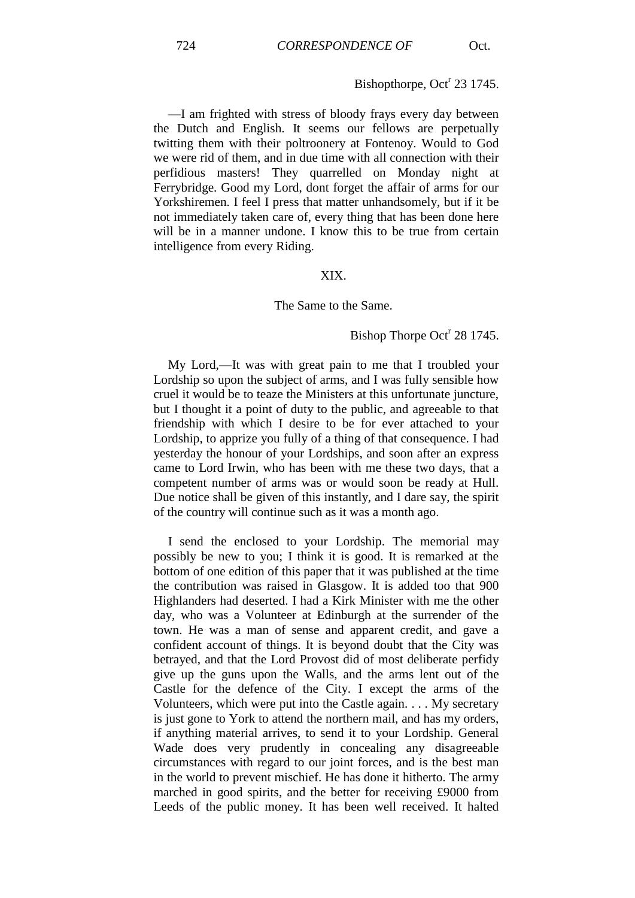# Bishopthorpe, Oct<sup>r</sup> 23 1745.

—I am frighted with stress of bloody frays every day between the Dutch and English. It seems our fellows are perpetually twitting them with their poltroonery at Fontenoy. Would to God we were rid of them, and in due time with all connection with their perfidious masters! They quarrelled on Monday night at Ferrybridge. Good my Lord, dont forget the affair of arms for our Yorkshiremen. I feel I press that matter unhandsomely, but if it be not immediately taken care of, every thing that has been done here will be in a manner undone. I know this to be true from certain intelligence from every Riding.

# XIX.

#### The Same to the Same.

# Bishop Thorpe Oct<sup>r</sup> 28 1745.

My Lord,—It was with great pain to me that I troubled your Lordship so upon the subject of arms, and I was fully sensible how cruel it would be to teaze the Ministers at this unfortunate juncture, but I thought it a point of duty to the public, and agreeable to that friendship with which I desire to be for ever attached to your Lordship, to apprize you fully of a thing of that consequence. I had yesterday the honour of your Lordships, and soon after an express came to Lord Irwin, who has been with me these two days, that a competent number of arms was or would soon be ready at Hull. Due notice shall be given of this instantly, and I dare say, the spirit of the country will continue such as it was a month ago.

I send the enclosed to your Lordship. The memorial may possibly be new to you; I think it is good. It is remarked at the bottom of one edition of this paper that it was published at the time the contribution was raised in Glasgow. It is added too that 900 Highlanders had deserted. I had a Kirk Minister with me the other day, who was a Volunteer at Edinburgh at the surrender of the town. He was a man of sense and apparent credit, and gave a confident account of things. It is beyond doubt that the City was betrayed, and that the Lord Provost did of most deliberate perfidy give up the guns upon the Walls, and the arms lent out of the Castle for the defence of the City. I except the arms of the Volunteers, which were put into the Castle again. . . . My secretary is just gone to York to attend the northern mail, and has my orders, if anything material arrives, to send it to your Lordship. General Wade does very prudently in concealing any disagreeable circumstances with regard to our joint forces, and is the best man in the world to prevent mischief. He has done it hitherto. The army marched in good spirits, and the better for receiving £9000 from Leeds of the public money. It has been well received. It halted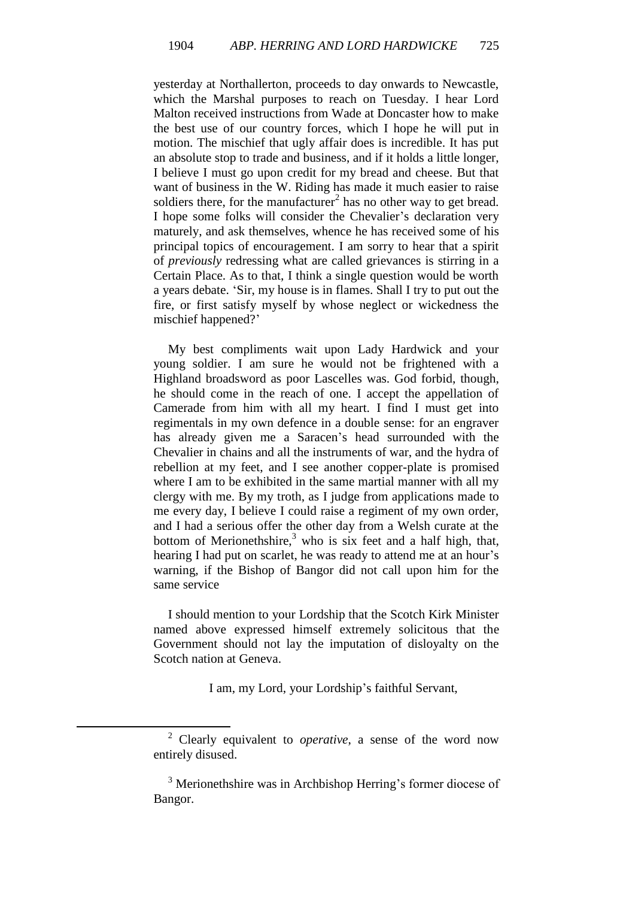yesterday at Northallerton, proceeds to day onwards to Newcastle, which the Marshal purposes to reach on Tuesday. I hear Lord Malton received instructions from Wade at Doncaster how to make the best use of our country forces, which I hope he will put in motion. The mischief that ugly affair does is incredible. It has put an absolute stop to trade and business, and if it holds a little longer, I believe I must go upon credit for my bread and cheese. But that want of business in the W. Riding has made it much easier to raise soldiers there, for the manufacturer<sup>2</sup> has no other way to get bread. I hope some folks will consider the Chevalier's declaration very maturely, and ask themselves, whence he has received some of his principal topics of encouragement. I am sorry to hear that a spirit of *previously* redressing what are called grievances is stirring in a Certain Place. As to that, I think a single question would be worth a years debate. 'Sir, my house is in flames. Shall I try to put out the fire, or first satisfy myself by whose neglect or wickedness the mischief happened?'

My best compliments wait upon Lady Hardwick and your young soldier. I am sure he would not be frightened with a Highland broadsword as poor Lascelles was. God forbid, though, he should come in the reach of one. I accept the appellation of Camerade from him with all my heart. I find I must get into regimentals in my own defence in a double sense: for an engraver has already given me a Saracen's head surrounded with the Chevalier in chains and all the instruments of war, and the hydra of rebellion at my feet, and I see another copper-plate is promised where I am to be exhibited in the same martial manner with all my clergy with me. By my troth, as I judge from applications made to me every day, I believe I could raise a regiment of my own order, and I had a serious offer the other day from a Welsh curate at the bottom of Merionethshire, $3 \overline{ }$  who is six feet and a half high, that, hearing I had put on scarlet, he was ready to attend me at an hour's warning, if the Bishop of Bangor did not call upon him for the same service

I should mention to your Lordship that the Scotch Kirk Minister named above expressed himself extremely solicitous that the Government should not lay the imputation of disloyalty on the Scotch nation at Geneva.

I am, my Lord, your Lordship's faithful Servant,

 $\overline{a}$ 

<sup>2</sup> Clearly equivalent to *operative*, a sense of the word now entirely disused.

<sup>&</sup>lt;sup>3</sup> Merionethshire was in Archbishop Herring's former diocese of Bangor.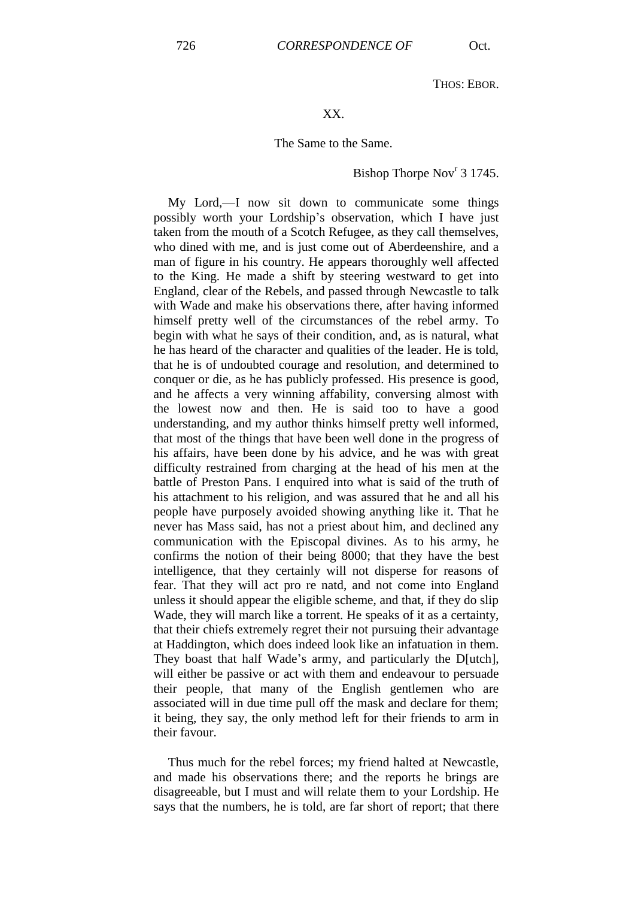THOS: EBOR.

# XX.

#### The Same to the Same.

# Bishop Thorpe Nov<sup>r</sup> 3 1745.

My Lord,—I now sit down to communicate some things possibly worth your Lordship's observation, which I have just taken from the mouth of a Scotch Refugee, as they call themselves, who dined with me, and is just come out of Aberdeenshire, and a man of figure in his country. He appears thoroughly well affected to the King. He made a shift by steering westward to get into England, clear of the Rebels, and passed through Newcastle to talk with Wade and make his observations there, after having informed himself pretty well of the circumstances of the rebel army. To begin with what he says of their condition, and, as is natural, what he has heard of the character and qualities of the leader. He is told, that he is of undoubted courage and resolution, and determined to conquer or die, as he has publicly professed. His presence is good, and he affects a very winning affability, conversing almost with the lowest now and then. He is said too to have a good understanding, and my author thinks himself pretty well informed, that most of the things that have been well done in the progress of his affairs, have been done by his advice, and he was with great difficulty restrained from charging at the head of his men at the battle of Preston Pans. I enquired into what is said of the truth of his attachment to his religion, and was assured that he and all his people have purposely avoided showing anything like it. That he never has Mass said, has not a priest about him, and declined any communication with the Episcopal divines. As to his army, he confirms the notion of their being 8000; that they have the best intelligence, that they certainly will not disperse for reasons of fear. That they will act pro re natd, and not come into England unless it should appear the eligible scheme, and that, if they do slip Wade, they will march like a torrent. He speaks of it as a certainty, that their chiefs extremely regret their not pursuing their advantage at Haddington, which does indeed look like an infatuation in them. They boast that half Wade's army, and particularly the D[utch], will either be passive or act with them and endeavour to persuade their people, that many of the English gentlemen who are associated will in due time pull off the mask and declare for them; it being, they say, the only method left for their friends to arm in their favour.

Thus much for the rebel forces; my friend halted at Newcastle, and made his observations there; and the reports he brings are disagreeable, but I must and will relate them to your Lordship. He says that the numbers, he is told, are far short of report; that there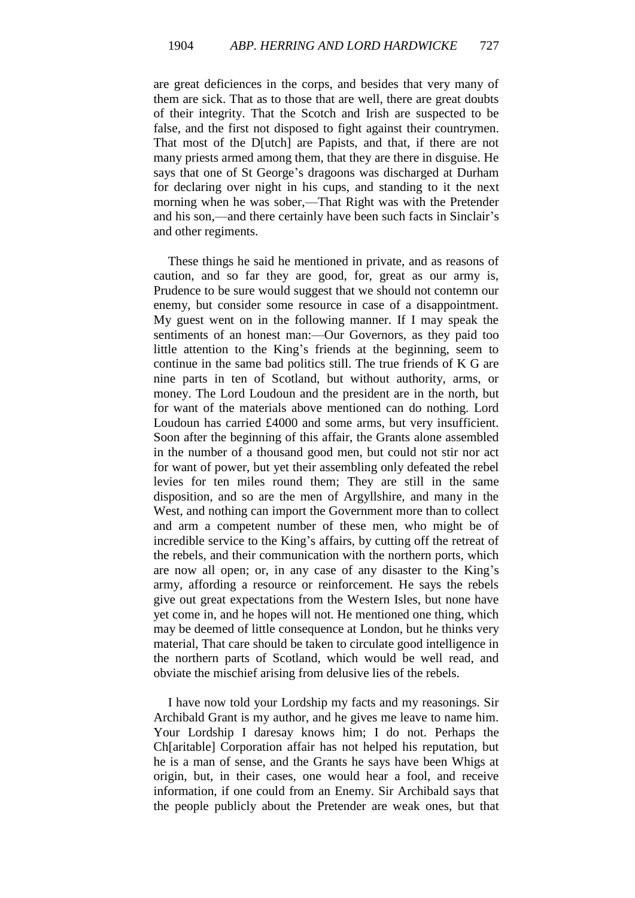are great deficiences in the corps, and besides that very many of them are sick. That as to those that are well, there are great doubts of their integrity. That the Scotch and Irish are suspected to be false, and the first not disposed to fight against their countrymen. That most of the D[utch] are Papists, and that, if there are not many priests armed among them, that they are there in disguise. He says that one of St George's dragoons was discharged at Durham for declaring over night in his cups, and standing to it the next morning when he was sober,—That Right was with the Pretender and his son,—and there certainly have been such facts in Sinclair's and other regiments.

These things he said he mentioned in private, and as reasons of caution, and so far they are good, for, great as our army is, Prudence to be sure would suggest that we should not contemn our enemy, but consider some resource in case of a disappointment. My guest went on in the following manner. If I may speak the sentiments of an honest man:—Our Governors, as they paid too little attention to the King's friends at the beginning, seem to continue in the same bad politics still. The true friends of K G are nine parts in ten of Scotland, but without authority, arms, or money. The Lord Loudoun and the president are in the north, but for want of the materials above mentioned can do nothing. Lord Loudoun has carried £4000 and some arms, but very insufficient. Soon after the beginning of this affair, the Grants alone assembled in the number of a thousand good men, but could not stir nor act for want of power, but yet their assembling only defeated the rebel levies for ten miles round them; They are still in the same disposition, and so are the men of Argyllshire, and many in the West, and nothing can import the Government more than to collect and arm a competent number of these men, who might be of incredible service to the King's affairs, by cutting off the retreat of the rebels, and their communication with the northern ports, which are now all open; or, in any case of any disaster to the King's army, affording a resource or reinforcement. He says the rebels give out great expectations from the Western Isles, but none have yet come in, and he hopes will not. He mentioned one thing, which may be deemed of little consequence at London, but he thinks very material, That care should be taken to circulate good intelligence in the northern parts of Scotland, which would be well read, and obviate the mischief arising from delusive lies of the rebels.

I have now told your Lordship my facts and my reasonings. Sir Archibald Grant is my author, and he gives me leave to name him. Your Lordship I daresay knows him; I do not. Perhaps the Ch[aritable] Corporation affair has not helped his reputation, but he is a man of sense, and the Grants he says have been Whigs at origin, but, in their cases, one would hear a fool, and receive information, if one could from an Enemy. Sir Archibald says that the people publicly about the Pretender are weak ones, but that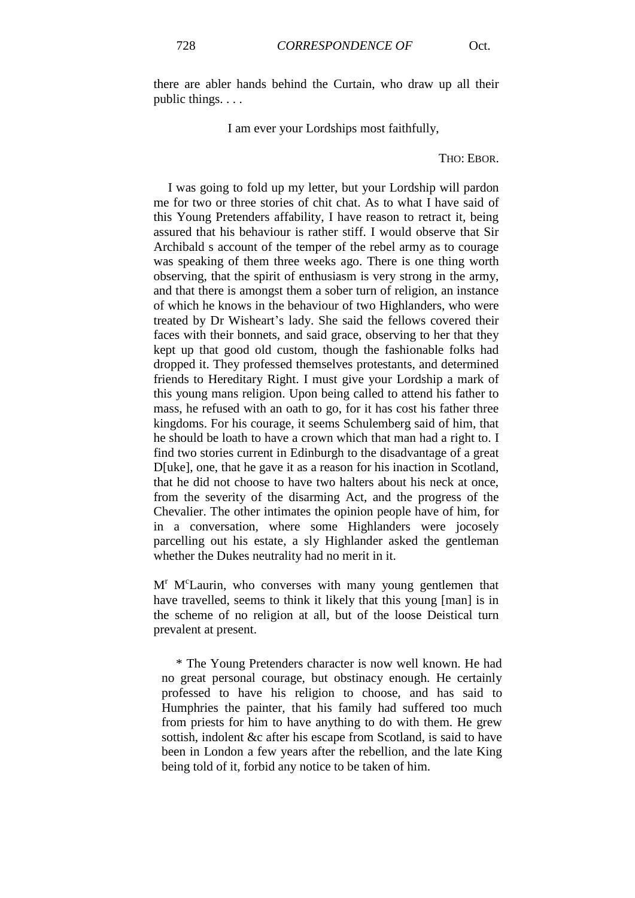there are abler hands behind the Curtain, who draw up all their public things. . . .

I am ever your Lordships most faithfully,

THO: EBOR.

I was going to fold up my letter, but your Lordship will pardon me for two or three stories of chit chat. As to what I have said of this Young Pretenders affability, I have reason to retract it, being assured that his behaviour is rather stiff. I would observe that Sir Archibald s account of the temper of the rebel army as to courage was speaking of them three weeks ago. There is one thing worth observing, that the spirit of enthusiasm is very strong in the army, and that there is amongst them a sober turn of religion, an instance of which he knows in the behaviour of two Highlanders, who were treated by Dr Wisheart's lady. She said the fellows covered their faces with their bonnets, and said grace, observing to her that they kept up that good old custom, though the fashionable folks had dropped it. They professed themselves protestants, and determined friends to Hereditary Right. I must give your Lordship a mark of this young mans religion. Upon being called to attend his father to mass, he refused with an oath to go, for it has cost his father three kingdoms. For his courage, it seems Schulemberg said of him, that he should be loath to have a crown which that man had a right to. I find two stories current in Edinburgh to the disadvantage of a great D[uke], one, that he gave it as a reason for his inaction in Scotland, that he did not choose to have two halters about his neck at once, from the severity of the disarming Act, and the progress of the Chevalier. The other intimates the opinion people have of him, for in a conversation, where some Highlanders were jocosely parcelling out his estate, a sly Highlander asked the gentleman whether the Dukes neutrality had no merit in it.

M<sup>r</sup> M<sup>c</sup>Laurin, who converses with many young gentlemen that have travelled, seems to think it likely that this young [man] is in the scheme of no religion at all, but of the loose Deistical turn prevalent at present.

\* The Young Pretenders character is now well known. He had no great personal courage, but obstinacy enough. He certainly professed to have his religion to choose, and has said to Humphries the painter, that his family had suffered too much from priests for him to have anything to do with them. He grew sottish, indolent &c after his escape from Scotland, is said to have been in London a few years after the rebellion, and the late King being told of it, forbid any notice to be taken of him.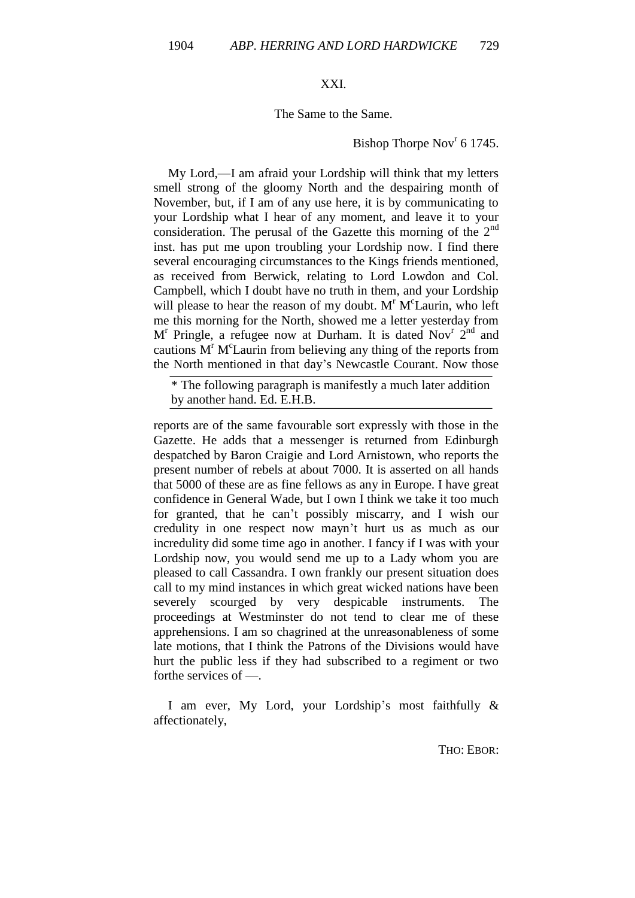#### XXI.

#### The Same to the Same.

# Bishop Thorpe Nov<sup>r</sup> 6 1745.

My Lord,—I am afraid your Lordship will think that my letters smell strong of the gloomy North and the despairing month of November, but, if I am of any use here, it is by communicating to your Lordship what I hear of any moment, and leave it to your consideration. The perusal of the Gazette this morning of the  $2<sup>nd</sup>$ inst. has put me upon troubling your Lordship now. I find there several encouraging circumstances to the Kings friends mentioned, as received from Berwick, relating to Lord Lowdon and Col. Campbell, which I doubt have no truth in them, and your Lordship will please to hear the reason of my doubt.  $M<sup>r</sup> M<sup>c</sup> Laurin$ , who left me this morning for the North, showed me a letter yesterday from  $M<sup>r</sup>$  Pringle, a refugee now at Durham. It is dated Nov<sup>r</sup> 2<sup>nd</sup> and cautions M<sup>r</sup> M<sup>c</sup>Laurin from believing any thing of the reports from the North mentioned in that day's Newcastle Courant. Now those

\* The following paragraph is manifestly a much later addition by another hand. Ed. E.H.B.

reports are of the same favourable sort expressly with those in the Gazette. He adds that a messenger is returned from Edinburgh despatched by Baron Craigie and Lord Arnistown, who reports the present number of rebels at about 7000. It is asserted on all hands that 5000 of these are as fine fellows as any in Europe. I have great confidence in General Wade, but I own I think we take it too much for granted, that he can't possibly miscarry, and I wish our credulity in one respect now mayn't hurt us as much as our incredulity did some time ago in another. I fancy if I was with your Lordship now, you would send me up to a Lady whom you are pleased to call Cassandra. I own frankly our present situation does call to my mind instances in which great wicked nations have been severely scourged by very despicable instruments. The proceedings at Westminster do not tend to clear me of these apprehensions. I am so chagrined at the unreasonableness of some late motions, that I think the Patrons of the Divisions would have hurt the public less if they had subscribed to a regiment or two forthe services of —.

I am ever, My Lord, your Lordship's most faithfully & affectionately,

THO: EBOR: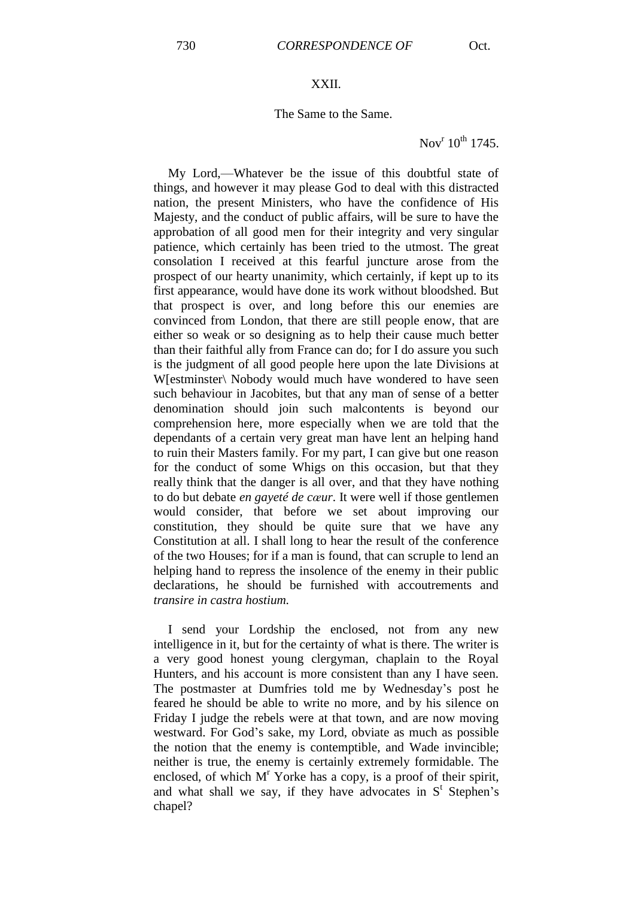#### XXII.

#### The Same to the Same.

Nov<sup>r</sup>  $10^{th}$  1745.

My Lord,—Whatever be the issue of this doubtful state of things, and however it may please God to deal with this distracted nation, the present Ministers, who have the confidence of His Majesty, and the conduct of public affairs, will be sure to have the approbation of all good men for their integrity and very singular patience, which certainly has been tried to the utmost. The great consolation I received at this fearful juncture arose from the prospect of our hearty unanimity, which certainly, if kept up to its first appearance, would have done its work without bloodshed. But that prospect is over, and long before this our enemies are convinced from London, that there are still people enow, that are either so weak or so designing as to help their cause much better than their faithful ally from France can do; for I do assure you such is the judgment of all good people here upon the late Divisions at W[estminster\ Nobody would much have wondered to have seen such behaviour in Jacobites, but that any man of sense of a better denomination should join such malcontents is beyond our comprehension here, more especially when we are told that the dependants of a certain very great man have lent an helping hand to ruin their Masters family. For my part, I can give but one reason for the conduct of some Whigs on this occasion, but that they really think that the danger is all over, and that they have nothing to do but debate *en gayeté de cœur*. It were well if those gentlemen would consider, that before we set about improving our constitution, they should be quite sure that we have any Constitution at all. I shall long to hear the result of the conference of the two Houses; for if a man is found, that can scruple to lend an helping hand to repress the insolence of the enemy in their public declarations, he should be furnished with accoutrements and *transire in castra hostium.*

I send your Lordship the enclosed, not from any new intelligence in it, but for the certainty of what is there. The writer is a very good honest young clergyman, chaplain to the Royal Hunters, and his account is more consistent than any I have seen. The postmaster at Dumfries told me by Wednesday's post he feared he should be able to write no more, and by his silence on Friday I judge the rebels were at that town, and are now moving westward. For God's sake, my Lord, obviate as much as possible the notion that the enemy is contemptible, and Wade invincible; neither is true, the enemy is certainly extremely formidable. The enclosed, of which  $M<sup>r</sup>$  Yorke has a copy, is a proof of their spirit, and what shall we say, if they have advocates in S<sup>t</sup> Stephen's chapel?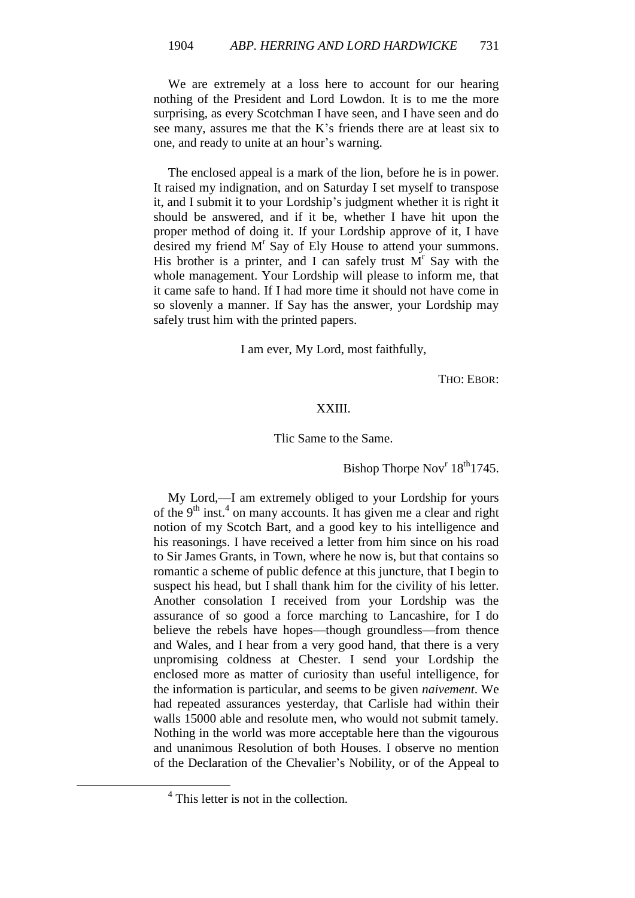We are extremely at a loss here to account for our hearing nothing of the President and Lord Lowdon. It is to me the more surprising, as every Scotchman I have seen, and I have seen and do see many, assures me that the K's friends there are at least six to one, and ready to unite at an hour's warning.

The enclosed appeal is a mark of the lion, before he is in power. It raised my indignation, and on Saturday I set myself to transpose it, and I submit it to your Lordship's judgment whether it is right it should be answered, and if it be, whether I have hit upon the proper method of doing it. If your Lordship approve of it, I have desired my friend M<sup>r</sup> Say of Ely House to attend your summons. His brother is a printer, and I can safely trust  $M<sup>r</sup>$  Say with the whole management. Your Lordship will please to inform me, that it came safe to hand. If I had more time it should not have come in so slovenly a manner. If Say has the answer, your Lordship may safely trust him with the printed papers.

I am ever, My Lord, most faithfully,

THO: EBOR:

## XXIII.

#### Tlic Same to the Same.

Bishop Thorpe Nov<sup>r</sup> 18<sup>th</sup>1745.

My Lord,—I am extremely obliged to your Lordship for yours of the  $9<sup>th</sup>$  inst.<sup>4</sup> on many accounts. It has given me a clear and right notion of my Scotch Bart, and a good key to his intelligence and his reasonings. I have received a letter from him since on his road to Sir James Grants, in Town, where he now is, but that contains so romantic a scheme of public defence at this juncture, that I begin to suspect his head, but I shall thank him for the civility of his letter. Another consolation I received from your Lordship was the assurance of so good a force marching to Lancashire, for I do believe the rebels have hopes—though groundless—from thence and Wales, and I hear from a very good hand, that there is a very unpromising coldness at Chester. I send your Lordship the enclosed more as matter of curiosity than useful intelligence, for the information is particular, and seems to be given *naivement*. We had repeated assurances yesterday, that Carlisle had within their walls 15000 able and resolute men, who would not submit tamely. Nothing in the world was more acceptable here than the vigourous and unanimous Resolution of both Houses. I observe no mention of the Declaration of the Chevalier's Nobility, or of the Appeal to

1

<sup>&</sup>lt;sup>4</sup> This letter is not in the collection.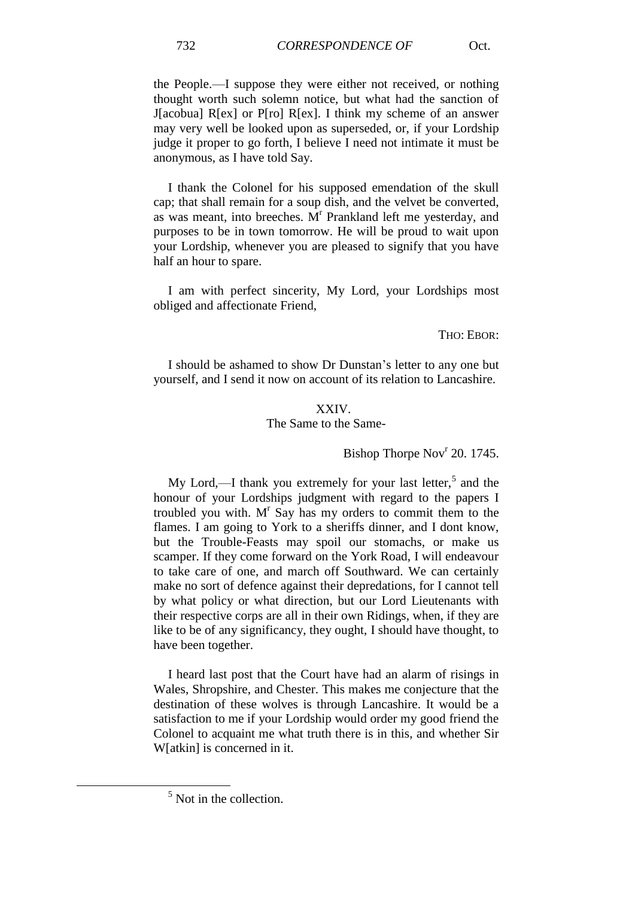# 732 *CORRESPONDENCE OF* Oct.

the People.—I suppose they were either not received, or nothing thought worth such solemn notice, but what had the sanction of J[acobua] R[ex] or P[ro] R[ex]. I think my scheme of an answer may very well be looked upon as superseded, or, if your Lordship judge it proper to go forth, I believe I need not intimate it must be anonymous, as I have told Say.

I thank the Colonel for his supposed emendation of the skull cap; that shall remain for a soup dish, and the velvet be converted, as was meant, into breeches. M<sup>r</sup> Prankland left me yesterday, and purposes to be in town tomorrow. He will be proud to wait upon your Lordship, whenever you are pleased to signify that you have half an hour to spare.

I am with perfect sincerity, My Lord, your Lordships most obliged and affectionate Friend,

THO: EROR:

I should be ashamed to show Dr Dunstan's letter to any one but yourself, and I send it now on account of its relation to Lancashire.

> XXIV. The Same to the Same-

> > Bishop Thorpe Nov<sup>r</sup> 20. 1745.

My Lord,—I thank you extremely for your last letter,<sup>5</sup> and the honour of your Lordships judgment with regard to the papers I troubled you with. M<sup>r</sup> Say has my orders to commit them to the flames. I am going to York to a sheriffs dinner, and I dont know, but the Trouble-Feasts may spoil our stomachs, or make us scamper. If they come forward on the York Road, I will endeavour to take care of one, and march off Southward. We can certainly make no sort of defence against their depredations, for I cannot tell by what policy or what direction, but our Lord Lieutenants with their respective corps are all in their own Ridings, when, if they are like to be of any significancy, they ought, I should have thought, to have been together.

I heard last post that the Court have had an alarm of risings in Wales, Shropshire, and Chester. This makes me conjecture that the destination of these wolves is through Lancashire. It would be a satisfaction to me if your Lordship would order my good friend the Colonel to acquaint me what truth there is in this, and whether Sir W[atkin] is concerned in it.

1

 $<sup>5</sup>$  Not in the collection.</sup>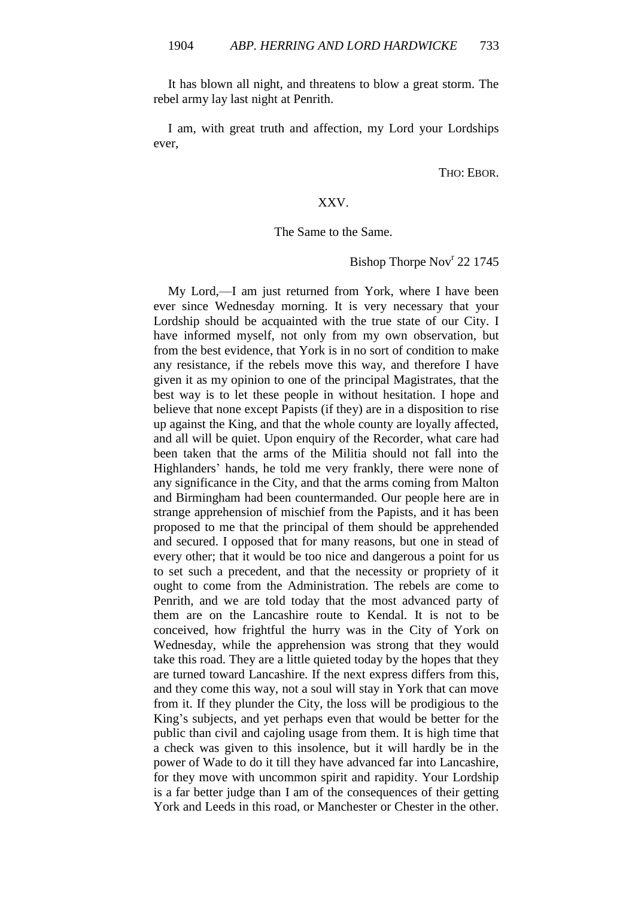It has blown all night, and threatens to blow a great storm. The rebel army lay last night at Penrith.

I am, with great truth and affection, my Lord your Lordships ever,

THO: EBOR.

#### XXV.

## The Same to the Same.

Bishop Thorpe Nov<sup>r</sup> 22 1745

My Lord,—I am just returned from York, where I have been ever since Wednesday morning. It is very necessary that your Lordship should be acquainted with the true state of our City. I have informed myself, not only from my own observation, but from the best evidence, that York is in no sort of condition to make any resistance, if the rebels move this way, and therefore I have given it as my opinion to one of the principal Magistrates, that the best way is to let these people in without hesitation. I hope and believe that none except Papists (if they) are in a disposition to rise up against the King, and that the whole county are loyally affected, and all will be quiet. Upon enquiry of the Recorder, what care had been taken that the arms of the Militia should not fall into the Highlanders' hands, he told me very frankly, there were none of any significance in the City, and that the arms coming from Malton and Birmingham had been countermanded. Our people here are in strange apprehension of mischief from the Papists, and it has been proposed to me that the principal of them should be apprehended and secured. I opposed that for many reasons, but one in stead of every other; that it would be too nice and dangerous a point for us to set such a precedent, and that the necessity or propriety of it ought to come from the Administration. The rebels are come to Penrith, and we are told today that the most advanced party of them are on the Lancashire route to Kendal. It is not to be conceived, how frightful the hurry was in the City of York on Wednesday, while the apprehension was strong that they would take this road. They are a little quieted today by the hopes that they are turned toward Lancashire. If the next express differs from this, and they come this way, not a soul will stay in York that can move from it. If they plunder the City, the loss will be prodigious to the King's subjects, and yet perhaps even that would be better for the public than civil and cajoling usage from them. It is high time that a check was given to this insolence, but it will hardly be in the power of Wade to do it till they have advanced far into Lancashire, for they move with uncommon spirit and rapidity. Your Lordship is a far better judge than I am of the consequences of their getting York and Leeds in this road, or Manchester or Chester in the other.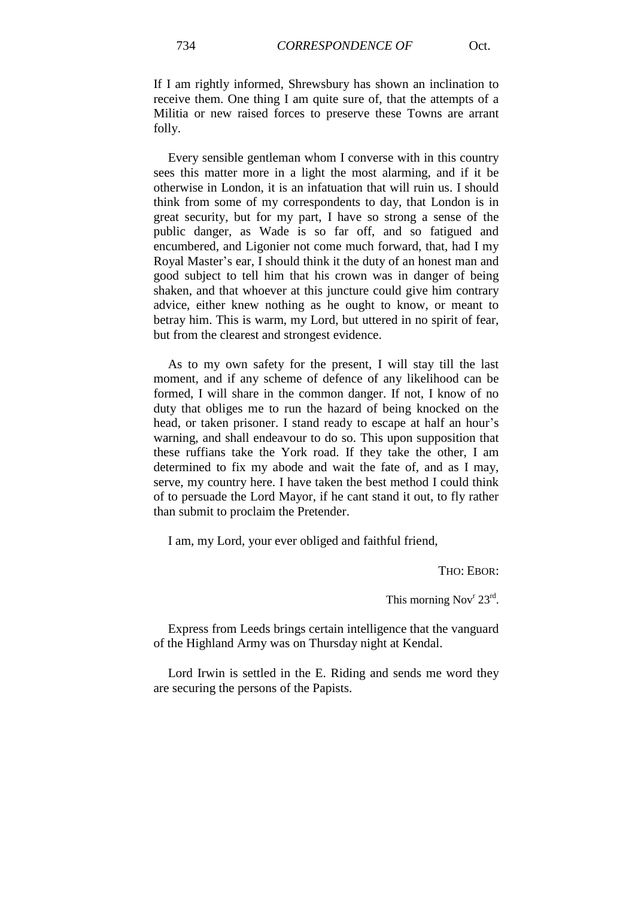If I am rightly informed, Shrewsbury has shown an inclination to receive them. One thing I am quite sure of, that the attempts of a Militia or new raised forces to preserve these Towns are arrant folly.

Every sensible gentleman whom I converse with in this country sees this matter more in a light the most alarming, and if it be otherwise in London, it is an infatuation that will ruin us. I should think from some of my correspondents to day, that London is in great security, but for my part, I have so strong a sense of the public danger, as Wade is so far off, and so fatigued and encumbered, and Ligonier not come much forward, that, had I my Royal Master's ear, I should think it the duty of an honest man and good subject to tell him that his crown was in danger of being shaken, and that whoever at this juncture could give him contrary advice, either knew nothing as he ought to know, or meant to betray him. This is warm, my Lord, but uttered in no spirit of fear, but from the clearest and strongest evidence.

As to my own safety for the present, I will stay till the last moment, and if any scheme of defence of any likelihood can be formed, I will share in the common danger. If not, I know of no duty that obliges me to run the hazard of being knocked on the head, or taken prisoner. I stand ready to escape at half an hour's warning, and shall endeavour to do so. This upon supposition that these ruffians take the York road. If they take the other, I am determined to fix my abode and wait the fate of, and as I may, serve, my country here. I have taken the best method I could think of to persuade the Lord Mayor, if he cant stand it out, to fly rather than submit to proclaim the Pretender.

I am, my Lord, your ever obliged and faithful friend,

THO: EBOR:

This morning Nov<sup>r</sup>  $23^{\text{rd}}$ .

Express from Leeds brings certain intelligence that the vanguard of the Highland Army was on Thursday night at Kendal.

Lord Irwin is settled in the E. Riding and sends me word they are securing the persons of the Papists.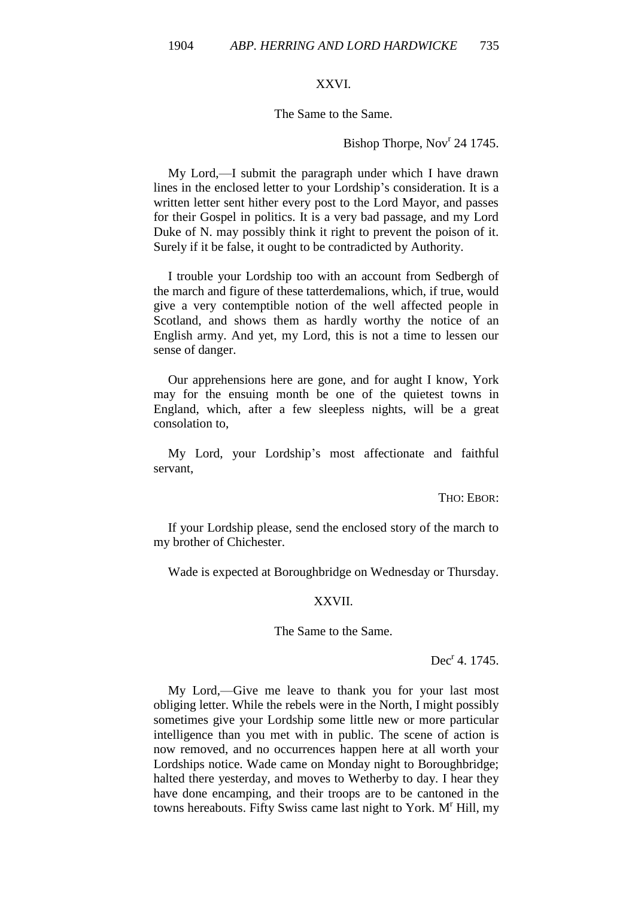#### XXVI.

#### The Same to the Same.

Bishop Thorpe, Nov<sup>r</sup> 24 1745.

My Lord,—I submit the paragraph under which I have drawn lines in the enclosed letter to your Lordship's consideration. It is a written letter sent hither every post to the Lord Mayor, and passes for their Gospel in politics. It is a very bad passage, and my Lord Duke of N. may possibly think it right to prevent the poison of it. Surely if it be false, it ought to be contradicted by Authority.

I trouble your Lordship too with an account from Sedbergh of the march and figure of these tatterdemalions, which, if true, would give a very contemptible notion of the well affected people in Scotland, and shows them as hardly worthy the notice of an English army. And yet, my Lord, this is not a time to lessen our sense of danger.

Our apprehensions here are gone, and for aught I know, York may for the ensuing month be one of the quietest towns in England, which, after a few sleepless nights, will be a great consolation to,

My Lord, your Lordship's most affectionate and faithful servant,

THO: EBOR:

If your Lordship please, send the enclosed story of the march to my brother of Chichester.

Wade is expected at Boroughbridge on Wednesday or Thursday.

# XXVII.

#### The Same to the Same.

Dec<sup>r</sup> 4. 1745.

My Lord,—Give me leave to thank you for your last most obliging letter. While the rebels were in the North, I might possibly sometimes give your Lordship some little new or more particular intelligence than you met with in public. The scene of action is now removed, and no occurrences happen here at all worth your Lordships notice. Wade came on Monday night to Boroughbridge; halted there yesterday, and moves to Wetherby to day. I hear they have done encamping, and their troops are to be cantoned in the towns hereabouts. Fifty Swiss came last night to York. M<sup>r</sup> Hill, my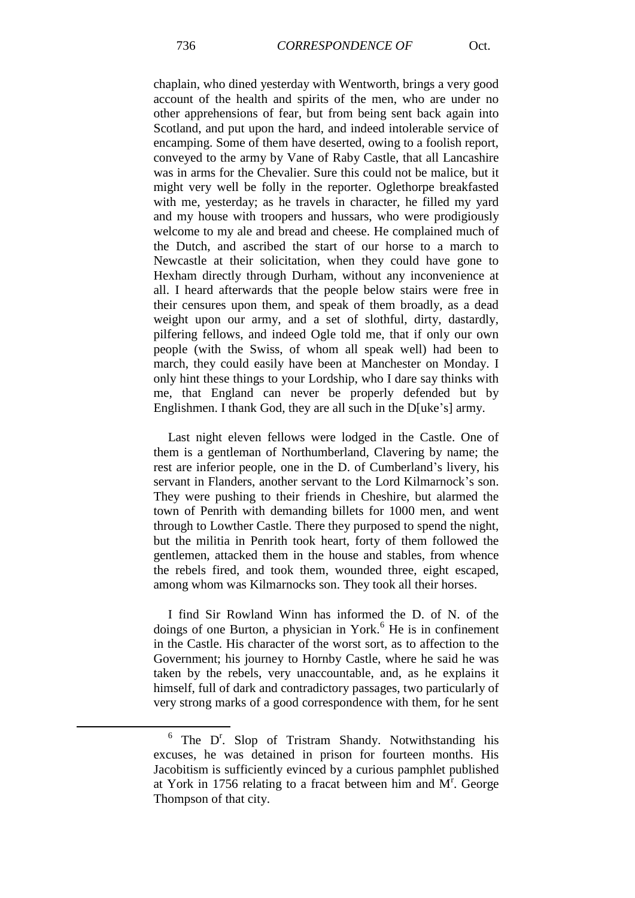# 736 *CORRESPONDENCE OF* Oct.

chaplain, who dined yesterday with Wentworth, brings a very good account of the health and spirits of the men, who are under no other apprehensions of fear, but from being sent back again into Scotland, and put upon the hard, and indeed intolerable service of encamping. Some of them have deserted, owing to a foolish report, conveyed to the army by Vane of Raby Castle, that all Lancashire was in arms for the Chevalier. Sure this could not be malice, but it might very well be folly in the reporter. Oglethorpe breakfasted with me, yesterday; as he travels in character, he filled my yard and my house with troopers and hussars, who were prodigiously welcome to my ale and bread and cheese. He complained much of the Dutch, and ascribed the start of our horse to a march to Newcastle at their solicitation, when they could have gone to Hexham directly through Durham, without any inconvenience at all. I heard afterwards that the people below stairs were free in their censures upon them, and speak of them broadly, as a dead weight upon our army, and a set of slothful, dirty, dastardly, pilfering fellows, and indeed Ogle told me, that if only our own people (with the Swiss, of whom all speak well) had been to march, they could easily have been at Manchester on Monday. I only hint these things to your Lordship, who I dare say thinks with me, that England can never be properly defended but by Englishmen. I thank God, they are all such in the D[uke's] army.

Last night eleven fellows were lodged in the Castle. One of them is a gentleman of Northumberland, Clavering by name; the rest are inferior people, one in the D. of Cumberland's livery, his servant in Flanders, another servant to the Lord Kilmarnock's son. They were pushing to their friends in Cheshire, but alarmed the town of Penrith with demanding billets for 1000 men, and went through to Lowther Castle. There they purposed to spend the night, but the militia in Penrith took heart, forty of them followed the gentlemen, attacked them in the house and stables, from whence the rebels fired, and took them, wounded three, eight escaped, among whom was Kilmarnocks son. They took all their horses.

I find Sir Rowland Winn has informed the D. of N. of the doings of one Burton, a physician in York. $<sup>6</sup>$  He is in confinement</sup> in the Castle. His character of the worst sort, as to affection to the Government; his journey to Hornby Castle, where he said he was taken by the rebels, very unaccountable, and, as he explains it himself, full of dark and contradictory passages, two particularly of very strong marks of a good correspondence with them, for he sent

**.** 

<sup>6</sup> The D<sup>r</sup>. Slop of Tristram Shandy. Notwithstanding his excuses, he was detained in prison for fourteen months. His Jacobitism is sufficiently evinced by a curious pamphlet published at York in 1756 relating to a fracat between him and  $M<sup>r</sup>$ . George Thompson of that city.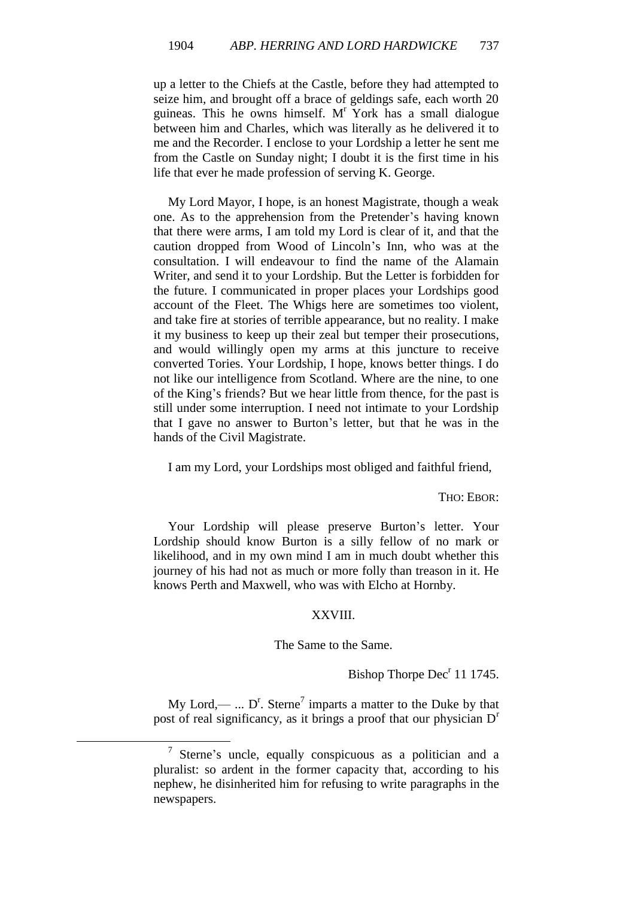up a letter to the Chiefs at the Castle, before they had attempted to seize him, and brought off a brace of geldings safe, each worth 20 guineas. This he owns himself.  $M<sup>r</sup>$  York has a small dialogue between him and Charles, which was literally as he delivered it to me and the Recorder. I enclose to your Lordship a letter he sent me from the Castle on Sunday night; I doubt it is the first time in his life that ever he made profession of serving K. George.

My Lord Mayor, I hope, is an honest Magistrate, though a weak one. As to the apprehension from the Pretender's having known that there were arms, I am told my Lord is clear of it, and that the caution dropped from Wood of Lincoln's Inn, who was at the consultation. I will endeavour to find the name of the Alamain Writer, and send it to your Lordship. But the Letter is forbidden for the future. I communicated in proper places your Lordships good account of the Fleet. The Whigs here are sometimes too violent, and take fire at stories of terrible appearance, but no reality. I make it my business to keep up their zeal but temper their prosecutions, and would willingly open my arms at this juncture to receive converted Tories. Your Lordship, I hope, knows better things. I do not like our intelligence from Scotland. Where are the nine, to one of the King's friends? But we hear little from thence, for the past is still under some interruption. I need not intimate to your Lordship that I gave no answer to Burton's letter, but that he was in the hands of the Civil Magistrate.

I am my Lord, your Lordships most obliged and faithful friend,

THO: EBOR:

Your Lordship will please preserve Burton's letter. Your Lordship should know Burton is a silly fellow of no mark or likelihood, and in my own mind I am in much doubt whether this journey of his had not as much or more folly than treason in it. He knows Perth and Maxwell, who was with Elcho at Hornby.

## XXVIII.

#### The Same to the Same.

Bishop Thorpe Dec<sup>r</sup> 11 1745.

My Lord,— ...  $D^r$ . Sterne<sup>7</sup> imparts a matter to the Duke by that post of real significancy, as it brings a proof that our physician  $D<sup>r</sup>$ 

**.** 

<sup>&</sup>lt;sup>7</sup> Sterne's uncle, equally conspicuous as a politician and a pluralist: so ardent in the former capacity that, according to his nephew, he disinherited him for refusing to write paragraphs in the newspapers.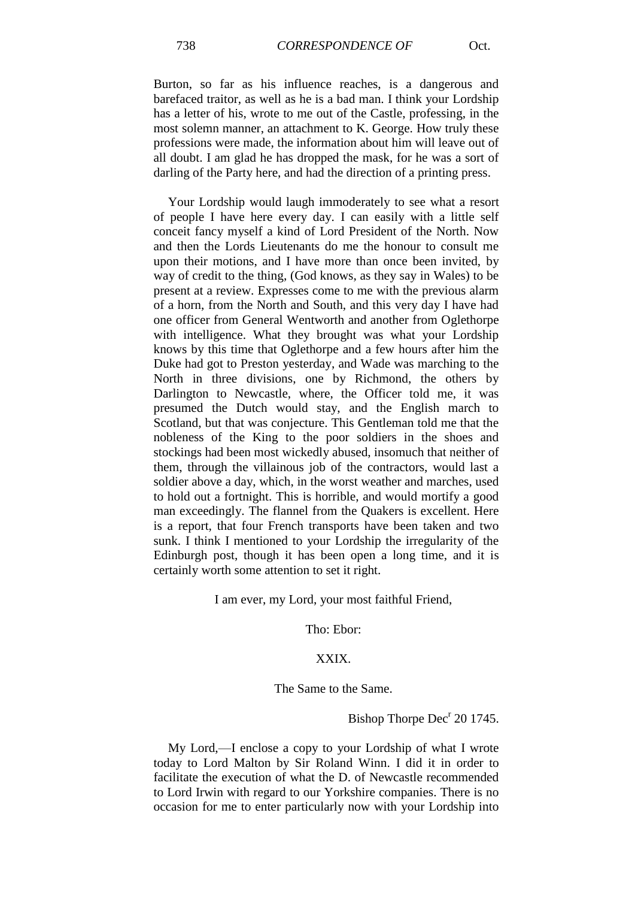## 738 *CORRESPONDENCE OF* Oct.

Burton, so far as his influence reaches, is a dangerous and barefaced traitor, as well as he is a bad man. I think your Lordship has a letter of his, wrote to me out of the Castle, professing, in the most solemn manner, an attachment to K. George. How truly these professions were made, the information about him will leave out of all doubt. I am glad he has dropped the mask, for he was a sort of darling of the Party here, and had the direction of a printing press.

Your Lordship would laugh immoderately to see what a resort of people I have here every day. I can easily with a little self conceit fancy myself a kind of Lord President of the North. Now and then the Lords Lieutenants do me the honour to consult me upon their motions, and I have more than once been invited, by way of credit to the thing, (God knows, as they say in Wales) to be present at a review. Expresses come to me with the previous alarm of a horn, from the North and South, and this very day I have had one officer from General Wentworth and another from Oglethorpe with intelligence. What they brought was what your Lordship knows by this time that Oglethorpe and a few hours after him the Duke had got to Preston yesterday, and Wade was marching to the North in three divisions, one by Richmond, the others by Darlington to Newcastle, where, the Officer told me, it was presumed the Dutch would stay, and the English march to Scotland, but that was conjecture. This Gentleman told me that the nobleness of the King to the poor soldiers in the shoes and stockings had been most wickedly abused, insomuch that neither of them, through the villainous job of the contractors, would last a soldier above a day, which, in the worst weather and marches, used to hold out a fortnight. This is horrible, and would mortify a good man exceedingly. The flannel from the Quakers is excellent. Here is a report, that four French transports have been taken and two sunk. I think I mentioned to your Lordship the irregularity of the Edinburgh post, though it has been open a long time, and it is certainly worth some attention to set it right.

I am ever, my Lord, your most faithful Friend,

Tho: Ebor:

# XXIX.

# The Same to the Same.

Bishop Thorpe Dec<sup>r</sup> 20 1745.

My Lord,—I enclose a copy to your Lordship of what I wrote today to Lord Malton by Sir Roland Winn. I did it in order to facilitate the execution of what the D. of Newcastle recommended to Lord Irwin with regard to our Yorkshire companies. There is no occasion for me to enter particularly now with your Lordship into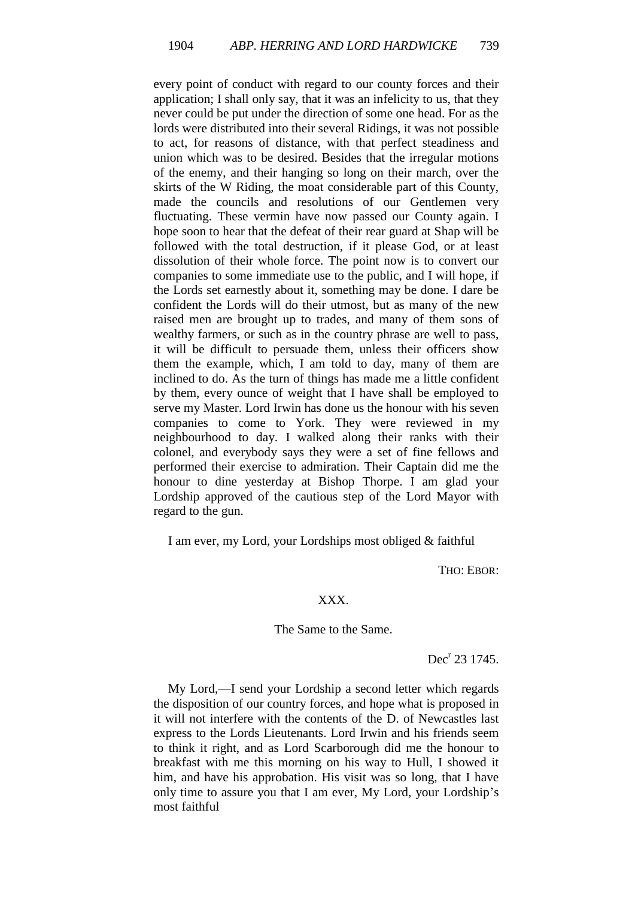every point of conduct with regard to our county forces and their application; I shall only say, that it was an infelicity to us, that they never could be put under the direction of some one head. For as the lords were distributed into their several Ridings, it was not possible to act, for reasons of distance, with that perfect steadiness and union which was to be desired. Besides that the irregular motions of the enemy, and their hanging so long on their march, over the skirts of the W Riding, the moat considerable part of this County, made the councils and resolutions of our Gentlemen very fluctuating. These vermin have now passed our County again. I hope soon to hear that the defeat of their rear guard at Shap will be followed with the total destruction, if it please God, or at least dissolution of their whole force. The point now is to convert our companies to some immediate use to the public, and I will hope, if the Lords set earnestly about it, something may be done. I dare be confident the Lords will do their utmost, but as many of the new raised men are brought up to trades, and many of them sons of wealthy farmers, or such as in the country phrase are well to pass, it will be difficult to persuade them, unless their officers show them the example, which, I am told to day, many of them are inclined to do. As the turn of things has made me a little confident by them, every ounce of weight that I have shall be employed to serve my Master. Lord Irwin has done us the honour with his seven companies to come to York. They were reviewed in my neighbourhood to day. I walked along their ranks with their colonel, and everybody says they were a set of fine fellows and performed their exercise to admiration. Their Captain did me the honour to dine yesterday at Bishop Thorpe. I am glad your Lordship approved of the cautious step of the Lord Mayor with regard to the gun.

I am ever, my Lord, your Lordships most obliged & faithful

THO: EROR:

## XXX.

#### The Same to the Same.

Dec<sup>r</sup> 23 1745.

My Lord,—I send your Lordship a second letter which regards the disposition of our country forces, and hope what is proposed in it will not interfere with the contents of the D. of Newcastles last express to the Lords Lieutenants. Lord Irwin and his friends seem to think it right, and as Lord Scarborough did me the honour to breakfast with me this morning on his way to Hull, I showed it him, and have his approbation. His visit was so long, that I have only time to assure you that I am ever, My Lord, your Lordship's most faithful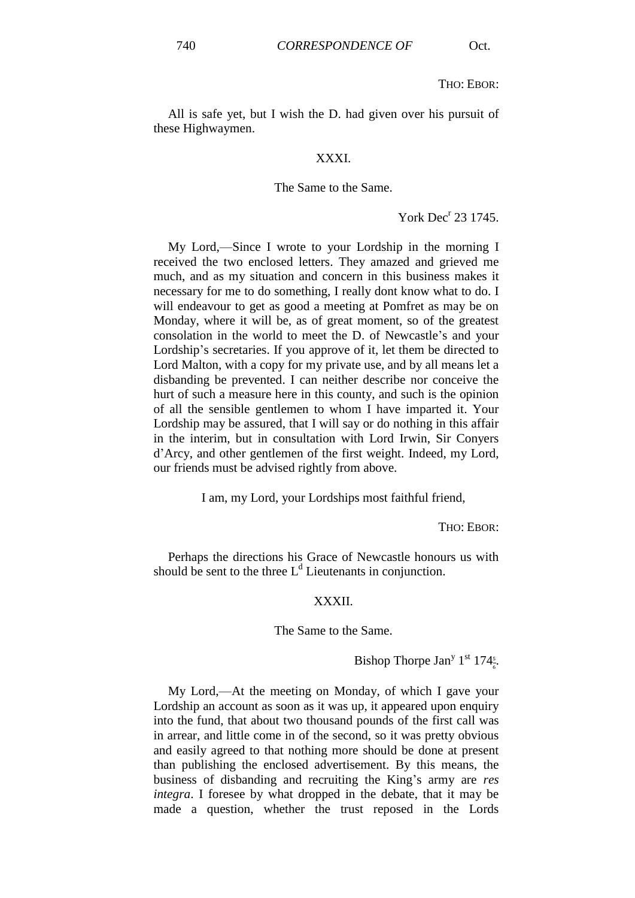THO: EBOR:

All is safe yet, but I wish the D. had given over his pursuit of these Highwaymen.

#### XXXI.

#### The Same to the Same.

York Dec<sup>r</sup> 23 1745.

My Lord,—Since I wrote to your Lordship in the morning I received the two enclosed letters. They amazed and grieved me much, and as my situation and concern in this business makes it necessary for me to do something, I really dont know what to do. I will endeavour to get as good a meeting at Pomfret as may be on Monday, where it will be, as of great moment, so of the greatest consolation in the world to meet the D. of Newcastle's and your Lordship's secretaries. If you approve of it, let them be directed to Lord Malton, with a copy for my private use, and by all means let a disbanding be prevented. I can neither describe nor conceive the hurt of such a measure here in this county, and such is the opinion of all the sensible gentlemen to whom I have imparted it. Your Lordship may be assured, that I will say or do nothing in this affair in the interim, but in consultation with Lord Irwin, Sir Conyers d'Arcy, and other gentlemen of the first weight. Indeed, my Lord, our friends must be advised rightly from above.

I am, my Lord, your Lordships most faithful friend,

THO: EBOR:

Perhaps the directions his Grace of Newcastle honours us with should be sent to the three  $L<sup>d</sup>$  Lieutenants in conjunction.

# XXXII.

#### The Same to the Same.

Bishop Thorpe Jan<sup>y</sup> 1<sup>st</sup> 174<sup>5</sup>.

My Lord,—At the meeting on Monday, of which I gave your Lordship an account as soon as it was up, it appeared upon enquiry into the fund, that about two thousand pounds of the first call was in arrear, and little come in of the second, so it was pretty obvious and easily agreed to that nothing more should be done at present than publishing the enclosed advertisement. By this means, the business of disbanding and recruiting the King's army are *res integra*. I foresee by what dropped in the debate, that it may be made a question, whether the trust reposed in the Lords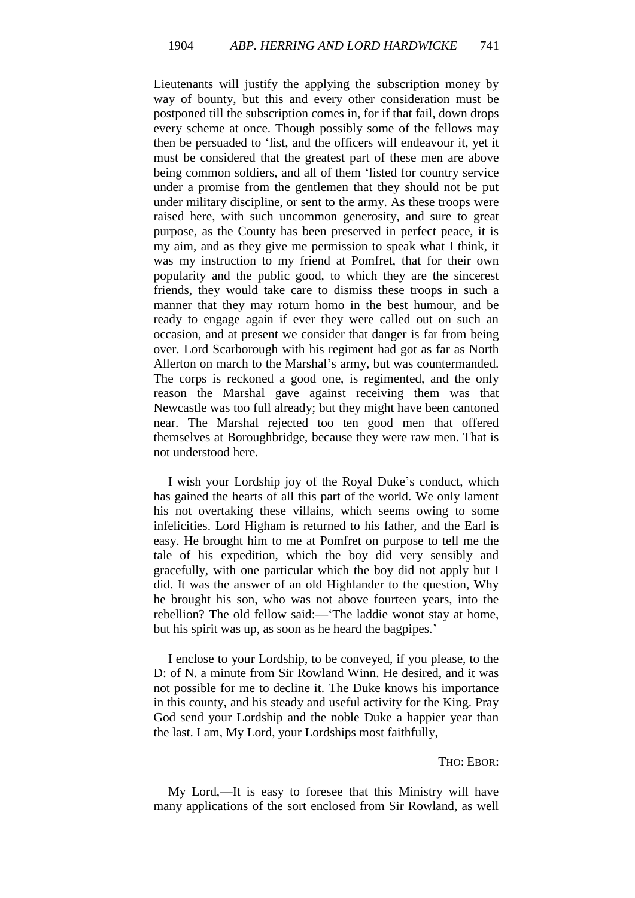Lieutenants will justify the applying the subscription money by way of bounty, but this and every other consideration must be postponed till the subscription comes in, for if that fail, down drops every scheme at once. Though possibly some of the fellows may then be persuaded to 'list, and the officers will endeavour it, yet it must be considered that the greatest part of these men are above being common soldiers, and all of them 'listed for country service under a promise from the gentlemen that they should not be put under military discipline, or sent to the army. As these troops were raised here, with such uncommon generosity, and sure to great purpose, as the County has been preserved in perfect peace, it is my aim, and as they give me permission to speak what I think, it was my instruction to my friend at Pomfret, that for their own popularity and the public good, to which they are the sincerest friends, they would take care to dismiss these troops in such a manner that they may roturn homo in the best humour, and be ready to engage again if ever they were called out on such an occasion, and at present we consider that danger is far from being over. Lord Scarborough with his regiment had got as far as North Allerton on march to the Marshal's army, but was countermanded. The corps is reckoned a good one, is regimented, and the only reason the Marshal gave against receiving them was that Newcastle was too full already; but they might have been cantoned near. The Marshal rejected too ten good men that offered themselves at Boroughbridge, because they were raw men. That is not understood here.

I wish your Lordship joy of the Royal Duke's conduct, which has gained the hearts of all this part of the world. We only lament his not overtaking these villains, which seems owing to some infelicities. Lord Higham is returned to his father, and the Earl is easy. He brought him to me at Pomfret on purpose to tell me the tale of his expedition, which the boy did very sensibly and gracefully, with one particular which the boy did not apply but I did. It was the answer of an old Highlander to the question, Why he brought his son, who was not above fourteen years, into the rebellion? The old fellow said:—'The laddie wonot stay at home, but his spirit was up, as soon as he heard the bagpipes.'

I enclose to your Lordship, to be conveyed, if you please, to the D: of N. a minute from Sir Rowland Winn. He desired, and it was not possible for me to decline it. The Duke knows his importance in this county, and his steady and useful activity for the King. Pray God send your Lordship and the noble Duke a happier year than the last. I am, My Lord, your Lordships most faithfully,

#### THO: EBOR:

My Lord,—It is easy to foresee that this Ministry will have many applications of the sort enclosed from Sir Rowland, as well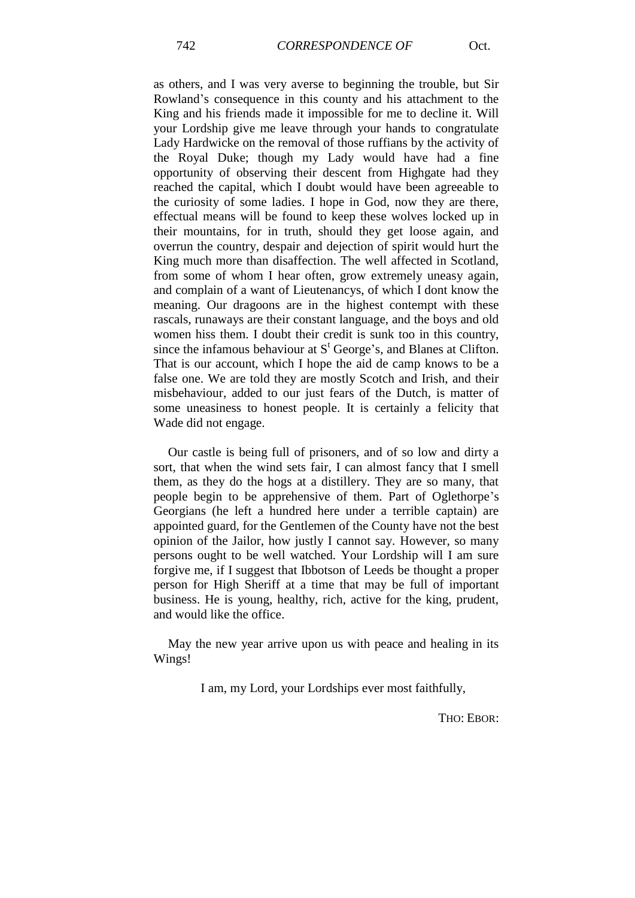# 742 *CORRESPONDENCE OF* Oct.

as others, and I was very averse to beginning the trouble, but Sir Rowland's consequence in this county and his attachment to the King and his friends made it impossible for me to decline it. Will your Lordship give me leave through your hands to congratulate Lady Hardwicke on the removal of those ruffians by the activity of the Royal Duke; though my Lady would have had a fine opportunity of observing their descent from Highgate had they reached the capital, which I doubt would have been agreeable to the curiosity of some ladies. I hope in God, now they are there, effectual means will be found to keep these wolves locked up in their mountains, for in truth, should they get loose again, and overrun the country, despair and dejection of spirit would hurt the King much more than disaffection. The well affected in Scotland, from some of whom I hear often, grow extremely uneasy again, and complain of a want of Lieutenancys, of which I dont know the meaning. Our dragoons are in the highest contempt with these rascals, runaways are their constant language, and the boys and old women hiss them. I doubt their credit is sunk too in this country, since the infamous behaviour at  $S<sup>t</sup>$  George's, and Blanes at Clifton. That is our account, which I hope the aid de camp knows to be a false one. We are told they are mostly Scotch and Irish, and their misbehaviour, added to our just fears of the Dutch, is matter of some uneasiness to honest people. It is certainly a felicity that Wade did not engage.

Our castle is being full of prisoners, and of so low and dirty a sort, that when the wind sets fair, I can almost fancy that I smell them, as they do the hogs at a distillery. They are so many, that people begin to be apprehensive of them. Part of Oglethorpe's Georgians (he left a hundred here under a terrible captain) are appointed guard, for the Gentlemen of the County have not the best opinion of the Jailor, how justly I cannot say. However, so many persons ought to be well watched. Your Lordship will I am sure forgive me, if I suggest that Ibbotson of Leeds be thought a proper person for High Sheriff at a time that may be full of important business. He is young, healthy, rich, active for the king, prudent, and would like the office.

May the new year arrive upon us with peace and healing in its Wings!

I am, my Lord, your Lordships ever most faithfully,

THO: EBOR: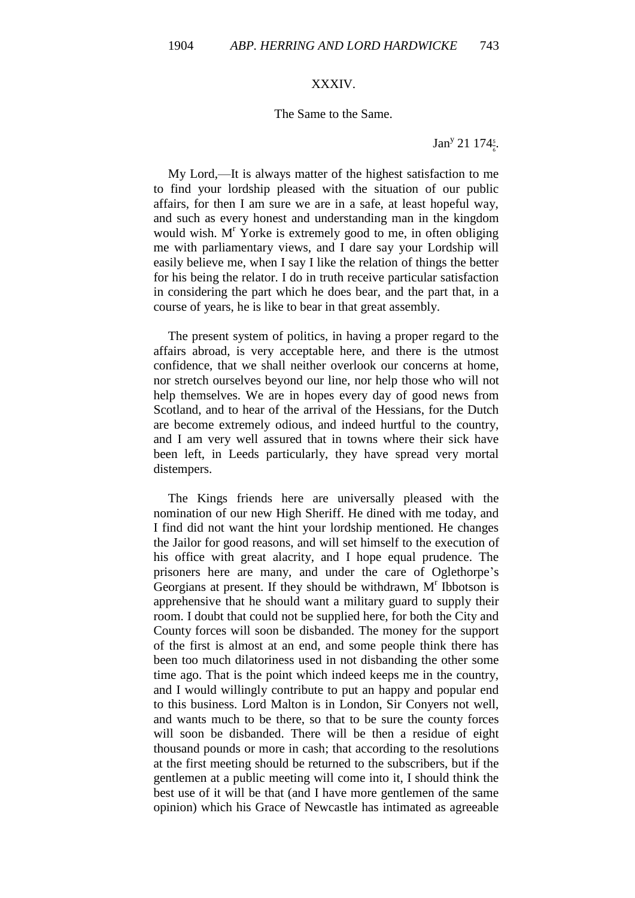#### XXXIV.

#### The Same to the Same.

 $\text{Jan}^{\text{y}} 21 \ 174 \frac{\text{5}}{\text{6}}$ .

My Lord,—It is always matter of the highest satisfaction to me to find your lordship pleased with the situation of our public affairs, for then I am sure we are in a safe, at least hopeful way, and such as every honest and understanding man in the kingdom would wish. M<sup>r</sup> Yorke is extremely good to me, in often obliging me with parliamentary views, and I dare say your Lordship will easily believe me, when I say I like the relation of things the better for his being the relator. I do in truth receive particular satisfaction in considering the part which he does bear, and the part that, in a course of years, he is like to bear in that great assembly.

The present system of politics, in having a proper regard to the affairs abroad, is very acceptable here, and there is the utmost confidence, that we shall neither overlook our concerns at home, nor stretch ourselves beyond our line, nor help those who will not help themselves. We are in hopes every day of good news from Scotland, and to hear of the arrival of the Hessians, for the Dutch are become extremely odious, and indeed hurtful to the country, and I am very well assured that in towns where their sick have been left, in Leeds particularly, they have spread very mortal distempers.

The Kings friends here are universally pleased with the nomination of our new High Sheriff. He dined with me today, and I find did not want the hint your lordship mentioned. He changes the Jailor for good reasons, and will set himself to the execution of his office with great alacrity, and I hope equal prudence. The prisoners here are many, and under the care of Oglethorpe's Georgians at present. If they should be withdrawn, M<sup>r</sup> Ibbotson is apprehensive that he should want a military guard to supply their room. I doubt that could not be supplied here, for both the City and County forces will soon be disbanded. The money for the support of the first is almost at an end, and some people think there has been too much dilatoriness used in not disbanding the other some time ago. That is the point which indeed keeps me in the country, and I would willingly contribute to put an happy and popular end to this business. Lord Malton is in London, Sir Conyers not well, and wants much to be there, so that to be sure the county forces will soon be disbanded. There will be then a residue of eight thousand pounds or more in cash; that according to the resolutions at the first meeting should be returned to the subscribers, but if the gentlemen at a public meeting will come into it, I should think the best use of it will be that (and I have more gentlemen of the same opinion) which his Grace of Newcastle has intimated as agreeable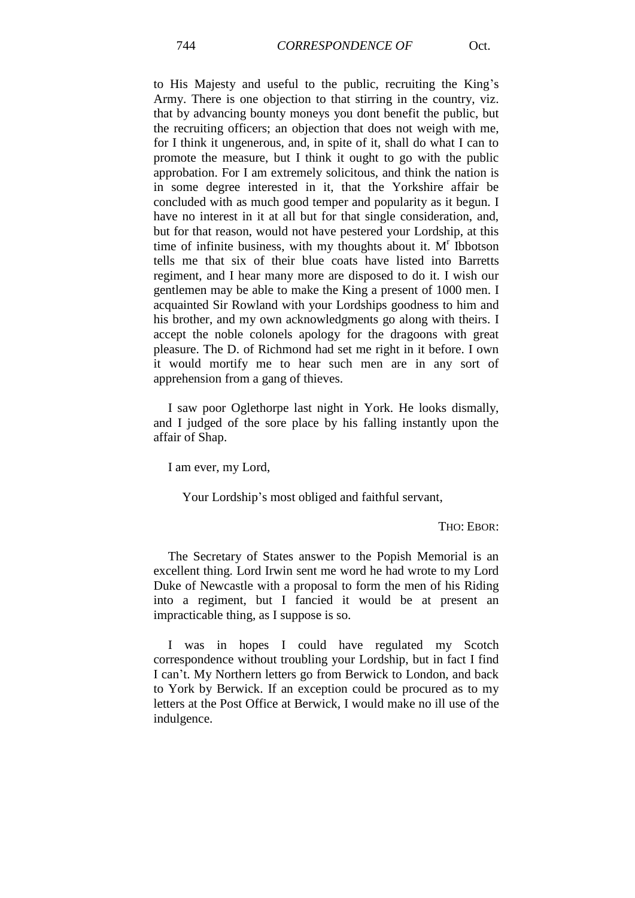# 744 *CORRESPONDENCE OF* Oct.

to His Majesty and useful to the public, recruiting the King's Army. There is one objection to that stirring in the country, viz. that by advancing bounty moneys you dont benefit the public, but the recruiting officers; an objection that does not weigh with me, for I think it ungenerous, and, in spite of it, shall do what I can to promote the measure, but I think it ought to go with the public approbation. For I am extremely solicitous, and think the nation is in some degree interested in it, that the Yorkshire affair be concluded with as much good temper and popularity as it begun. I have no interest in it at all but for that single consideration, and, but for that reason, would not have pestered your Lordship, at this time of infinite business, with my thoughts about it. M<sup>r</sup> Ibbotson tells me that six of their blue coats have listed into Barretts regiment, and I hear many more are disposed to do it. I wish our gentlemen may be able to make the King a present of 1000 men. I acquainted Sir Rowland with your Lordships goodness to him and his brother, and my own acknowledgments go along with theirs. I accept the noble colonels apology for the dragoons with great pleasure. The D. of Richmond had set me right in it before. I own it would mortify me to hear such men are in any sort of apprehension from a gang of thieves.

I saw poor Oglethorpe last night in York. He looks dismally, and I judged of the sore place by his falling instantly upon the affair of Shap.

I am ever, my Lord,

Your Lordship's most obliged and faithful servant,

THO: EBOR:

The Secretary of States answer to the Popish Memorial is an excellent thing. Lord Irwin sent me word he had wrote to my Lord Duke of Newcastle with a proposal to form the men of his Riding into a regiment, but I fancied it would be at present an impracticable thing, as I suppose is so.

I was in hopes I could have regulated my Scotch correspondence without troubling your Lordship, but in fact I find I can't. My Northern letters go from Berwick to London, and back to York by Berwick. If an exception could be procured as to my letters at the Post Office at Berwick, I would make no ill use of the indulgence.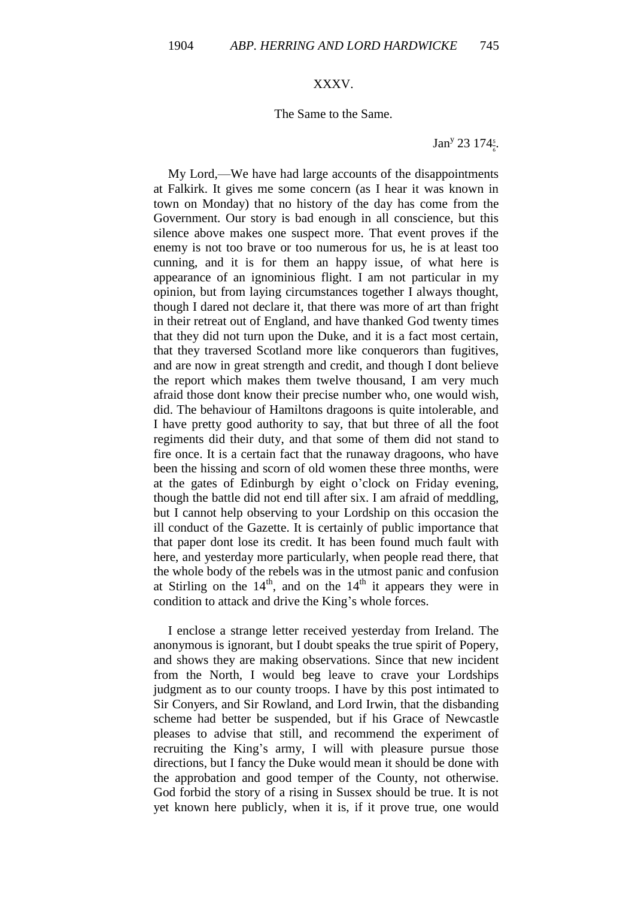#### XXXV.

#### The Same to the Same.

 $\text{Jan}^{\text{y}} 23 \frac{174 \frac{5}{6}}{6}$ 

My Lord,—We have had large accounts of the disappointments at Falkirk. It gives me some concern (as I hear it was known in town on Monday) that no history of the day has come from the Government. Our story is bad enough in all conscience, but this silence above makes one suspect more. That event proves if the enemy is not too brave or too numerous for us, he is at least too cunning, and it is for them an happy issue, of what here is appearance of an ignominious flight. I am not particular in my opinion, but from laying circumstances together I always thought, though I dared not declare it, that there was more of art than fright in their retreat out of England, and have thanked God twenty times that they did not turn upon the Duke, and it is a fact most certain, that they traversed Scotland more like conquerors than fugitives, and are now in great strength and credit, and though I dont believe the report which makes them twelve thousand, I am very much afraid those dont know their precise number who, one would wish, did. The behaviour of Hamiltons dragoons is quite intolerable, and I have pretty good authority to say, that but three of all the foot regiments did their duty, and that some of them did not stand to fire once. It is a certain fact that the runaway dragoons, who have been the hissing and scorn of old women these three months, were at the gates of Edinburgh by eight o'clock on Friday evening, though the battle did not end till after six. I am afraid of meddling, but I cannot help observing to your Lordship on this occasion the ill conduct of the Gazette. It is certainly of public importance that that paper dont lose its credit. It has been found much fault with here, and yesterday more particularly, when people read there, that the whole body of the rebels was in the utmost panic and confusion at Stirling on the  $14<sup>th</sup>$ , and on the  $14<sup>th</sup>$  it appears they were in condition to attack and drive the King's whole forces.

I enclose a strange letter received yesterday from Ireland. The anonymous is ignorant, but I doubt speaks the true spirit of Popery, and shows they are making observations. Since that new incident from the North, I would beg leave to crave your Lordships judgment as to our county troops. I have by this post intimated to Sir Conyers, and Sir Rowland, and Lord Irwin, that the disbanding scheme had better be suspended, but if his Grace of Newcastle pleases to advise that still, and recommend the experiment of recruiting the King's army, I will with pleasure pursue those directions, but I fancy the Duke would mean it should be done with the approbation and good temper of the County, not otherwise. God forbid the story of a rising in Sussex should be true. It is not yet known here publicly, when it is, if it prove true, one would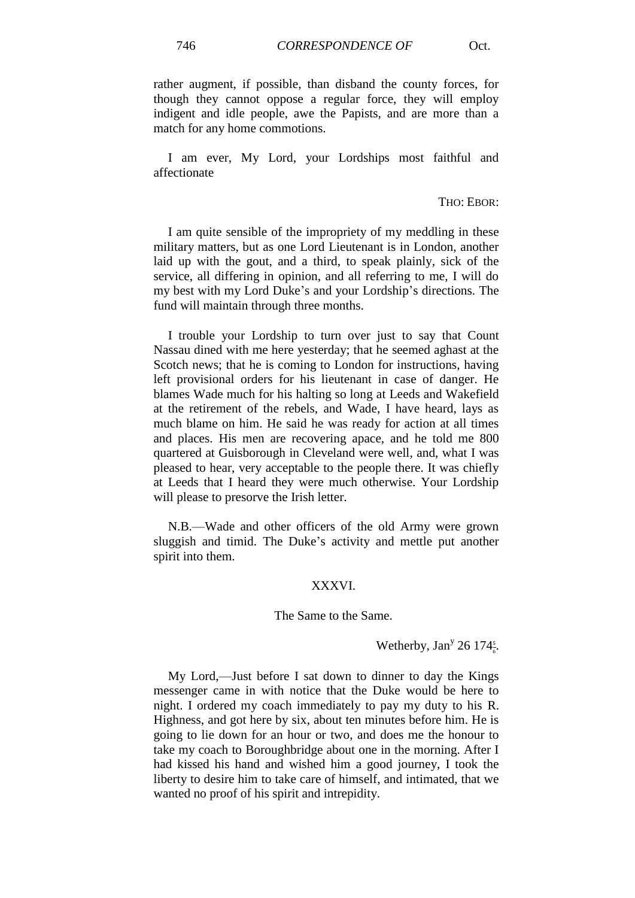rather augment, if possible, than disband the county forces, for though they cannot oppose a regular force, they will employ indigent and idle people, awe the Papists, and are more than a match for any home commotions.

I am ever, My Lord, your Lordships most faithful and affectionate

THO: EBOR:

I am quite sensible of the impropriety of my meddling in these military matters, but as one Lord Lieutenant is in London, another laid up with the gout, and a third, to speak plainly, sick of the service, all differing in opinion, and all referring to me, I will do my best with my Lord Duke's and your Lordship's directions. The fund will maintain through three months.

I trouble your Lordship to turn over just to say that Count Nassau dined with me here yesterday; that he seemed aghast at the Scotch news; that he is coming to London for instructions, having left provisional orders for his lieutenant in case of danger. He blames Wade much for his halting so long at Leeds and Wakefield at the retirement of the rebels, and Wade, I have heard, lays as much blame on him. He said he was ready for action at all times and places. His men are recovering apace, and he told me 800 quartered at Guisborough in Cleveland were well, and, what I was pleased to hear, very acceptable to the people there. It was chiefly at Leeds that I heard they were much otherwise. Your Lordship will please to presorve the Irish letter.

N.B.—Wade and other officers of the old Army were grown sluggish and timid. The Duke's activity and mettle put another spirit into them.

#### XXXVI.

#### The Same to the Same.

Wetherby,  $Jan<sup>y</sup> 26 174<sub>\frac{5}{6}</sub>$ .

My Lord,—Just before I sat down to dinner to day the Kings messenger came in with notice that the Duke would be here to night. I ordered my coach immediately to pay my duty to his R. Highness, and got here by six, about ten minutes before him. He is going to lie down for an hour or two, and does me the honour to take my coach to Boroughbridge about one in the morning. After I had kissed his hand and wished him a good journey, I took the liberty to desire him to take care of himself, and intimated, that we wanted no proof of his spirit and intrepidity.